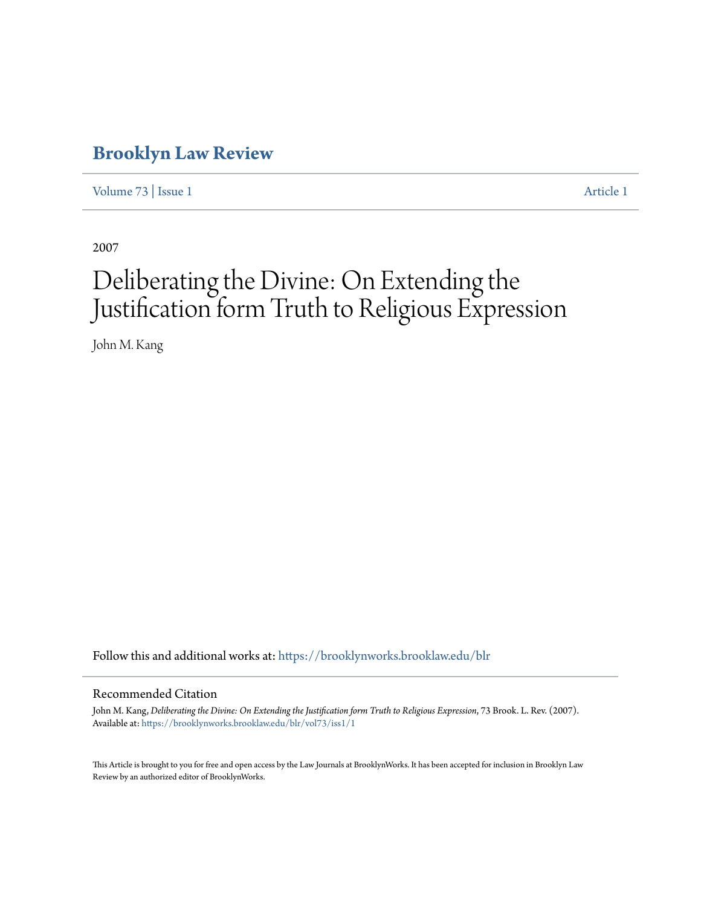# **[Brooklyn Law Review](https://brooklynworks.brooklaw.edu/blr?utm_source=brooklynworks.brooklaw.edu%2Fblr%2Fvol73%2Fiss1%2F1&utm_medium=PDF&utm_campaign=PDFCoverPages)**

[Volume 73](https://brooklynworks.brooklaw.edu/blr/vol73?utm_source=brooklynworks.brooklaw.edu%2Fblr%2Fvol73%2Fiss1%2F1&utm_medium=PDF&utm_campaign=PDFCoverPages) | [Issue 1](https://brooklynworks.brooklaw.edu/blr/vol73/iss1?utm_source=brooklynworks.brooklaw.edu%2Fblr%2Fvol73%2Fiss1%2F1&utm_medium=PDF&utm_campaign=PDFCoverPages) [Article 1](https://brooklynworks.brooklaw.edu/blr/vol73/iss1/1?utm_source=brooklynworks.brooklaw.edu%2Fblr%2Fvol73%2Fiss1%2F1&utm_medium=PDF&utm_campaign=PDFCoverPages)

2007

# Deliberating the Divine: On Extending the Justification form Truth to Religious Expression

John M. Kang

Follow this and additional works at: [https://brooklynworks.brooklaw.edu/blr](https://brooklynworks.brooklaw.edu/blr?utm_source=brooklynworks.brooklaw.edu%2Fblr%2Fvol73%2Fiss1%2F1&utm_medium=PDF&utm_campaign=PDFCoverPages)

### Recommended Citation

John M. Kang, *Deliberating the Divine: On Extending the Justification form Truth to Religious Expression*, 73 Brook. L. Rev. (2007). Available at: [https://brooklynworks.brooklaw.edu/blr/vol73/iss1/1](https://brooklynworks.brooklaw.edu/blr/vol73/iss1/1?utm_source=brooklynworks.brooklaw.edu%2Fblr%2Fvol73%2Fiss1%2F1&utm_medium=PDF&utm_campaign=PDFCoverPages)

This Article is brought to you for free and open access by the Law Journals at BrooklynWorks. It has been accepted for inclusion in Brooklyn Law Review by an authorized editor of BrooklynWorks.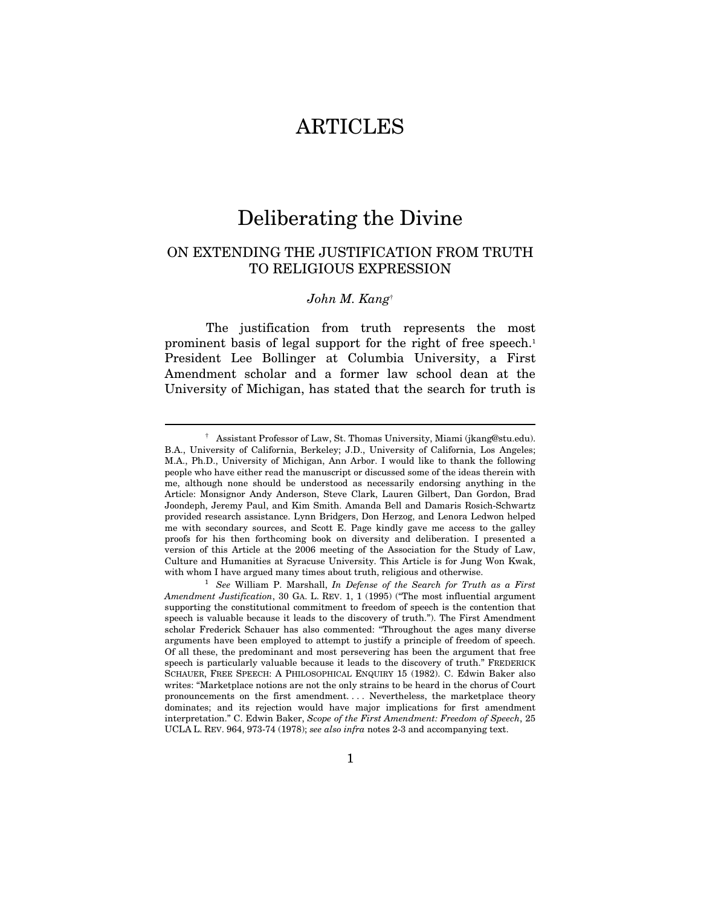# ARTICLES

# Deliberating the Divine

# ON EXTENDING THE JUSTIFICATION FROM TRUTH TO RELIGIOUS EXPRESSION

#### John M. Kang†

The justification from truth represents the most prominent basis of legal support for the right of free speech.<sup>1</sup> President Lee Bollinger at Columbia University, a First Amendment scholar and a former law school dean at the University of Michigan, has stated that the search for truth is

 <sup>†</sup> Assistant Professor of Law, St. Thomas University, Miami (jkang@stu.edu). B.A., University of California, Berkeley; J.D., University of California, Los Angeles; M.A., Ph.D., University of Michigan, Ann Arbor. I would like to thank the following people who have either read the manuscript or discussed some of the ideas therein with me, although none should be understood as necessarily endorsing anything in the Article: Monsignor Andy Anderson, Steve Clark, Lauren Gilbert, Dan Gordon, Brad Joondeph, Jeremy Paul, and Kim Smith. Amanda Bell and Damaris Rosich-Schwartz provided research assistance. Lynn Bridgers, Don Herzog, and Lenora Ledwon helped me with secondary sources, and Scott E. Page kindly gave me access to the galley proofs for his then forthcoming book on diversity and deliberation. I presented a version of this Article at the 2006 meeting of the Association for the Study of Law, Culture and Humanities at Syracuse University. This Article is for Jung Won Kwak, with whom I have argued many times about truth, religious and otherwise.<br> $\frac{1}{1}$  See William P. Marshall, In Defense of the Search for Truth as a First

Amendment Justification, 30 GA. L. REV. 1, 1 (1995) ("The most influential argument supporting the constitutional commitment to freedom of speech is the contention that speech is valuable because it leads to the discovery of truth."). The First Amendment scholar Frederick Schauer has also commented: "Throughout the ages many diverse arguments have been employed to attempt to justify a principle of freedom of speech. Of all these, the predominant and most persevering has been the argument that free speech is particularly valuable because it leads to the discovery of truth." FREDERICK SCHAUER, FREE SPEECH: A PHILOSOPHICAL ENQUIRY 15 (1982). C. Edwin Baker also writes: "Marketplace notions are not the only strains to be heard in the chorus of Court pronouncements on the first amendment. . . . Nevertheless, the marketplace theory dominates; and its rejection would have major implications for first amendment interpretation." C. Edwin Baker, Scope of the First Amendment: Freedom of Speech, 25 UCLA L. REV. 964, 973-74 (1978); see also infra notes 2-3 and accompanying text.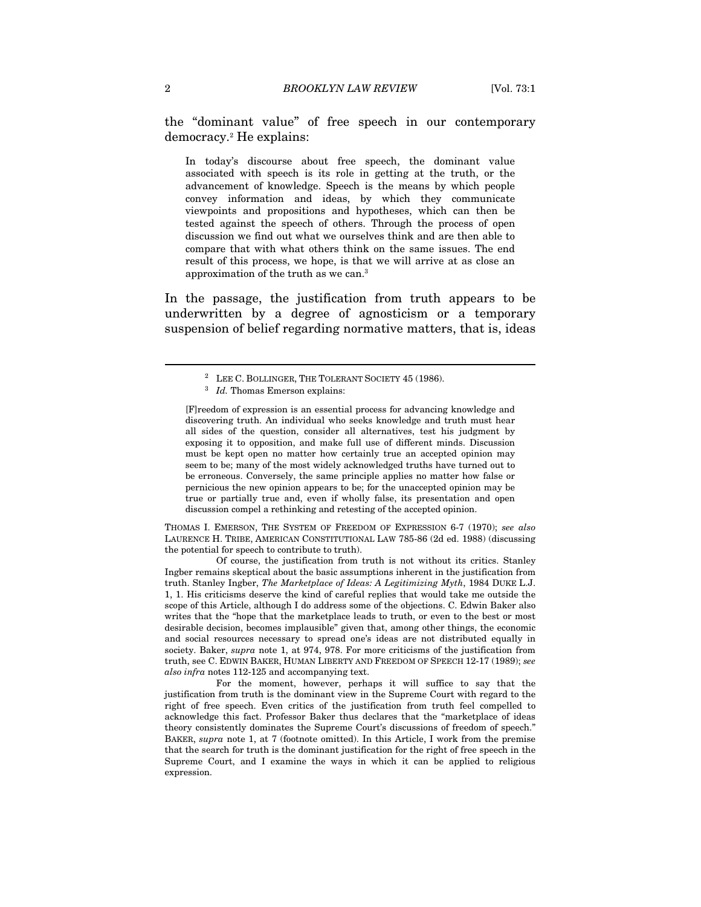the "dominant value" of free speech in our contemporary democracy.2 He explains:

In today's discourse about free speech, the dominant value associated with speech is its role in getting at the truth, or the advancement of knowledge. Speech is the means by which people convey information and ideas, by which they communicate viewpoints and propositions and hypotheses, which can then be tested against the speech of others. Through the process of open discussion we find out what we ourselves think and are then able to compare that with what others think on the same issues. The end result of this process, we hope, is that we will arrive at as close an approximation of the truth as we can.3

In the passage, the justification from truth appears to be underwritten by a degree of agnosticism or a temporary suspension of belief regarding normative matters, that is, ideas

THOMAS I. EMERSON, THE SYSTEM OF FREEDOM OF EXPRESSION 6-7 (1970); see also LAURENCE H. TRIBE, AMERICAN CONSTITUTIONAL LAW 785-86 (2d ed. 1988) (discussing the potential for speech to contribute to truth).

 Of course, the justification from truth is not without its critics. Stanley Ingber remains skeptical about the basic assumptions inherent in the justification from truth. Stanley Ingber, The Marketplace of Ideas: A Legitimizing Myth, 1984 DUKE L.J. 1, 1. His criticisms deserve the kind of careful replies that would take me outside the scope of this Article, although I do address some of the objections. C. Edwin Baker also writes that the "hope that the marketplace leads to truth, or even to the best or most desirable decision, becomes implausible" given that, among other things, the economic and social resources necessary to spread one's ideas are not distributed equally in society. Baker, supra note 1, at 974, 978. For more criticisms of the justification from truth, see C. EDWIN BAKER, HUMAN LIBERTY AND FREEDOM OF SPEECH 12-17 (1989); see also infra notes 112-125 and accompanying text.

 For the moment, however, perhaps it will suffice to say that the justification from truth is the dominant view in the Supreme Court with regard to the right of free speech. Even critics of the justification from truth feel compelled to acknowledge this fact. Professor Baker thus declares that the "marketplace of ideas theory consistently dominates the Supreme Court's discussions of freedom of speech." BAKER, *supra* note 1, at 7 (footnote omitted). In this Article, I work from the premise that the search for truth is the dominant justification for the right of free speech in the Supreme Court, and I examine the ways in which it can be applied to religious expression.

<sup>&</sup>lt;sup>2</sup> LEE C. BOLLINGER, THE TOLERANT SOCIETY 45 (1986).<br><sup>3</sup> Id. Thomas Emerson explains:

<sup>[</sup>F]reedom of expression is an essential process for advancing knowledge and discovering truth. An individual who seeks knowledge and truth must hear all sides of the question, consider all alternatives, test his judgment by exposing it to opposition, and make full use of different minds. Discussion must be kept open no matter how certainly true an accepted opinion may seem to be; many of the most widely acknowledged truths have turned out to be erroneous. Conversely, the same principle applies no matter how false or pernicious the new opinion appears to be; for the unaccepted opinion may be true or partially true and, even if wholly false, its presentation and open discussion compel a rethinking and retesting of the accepted opinion.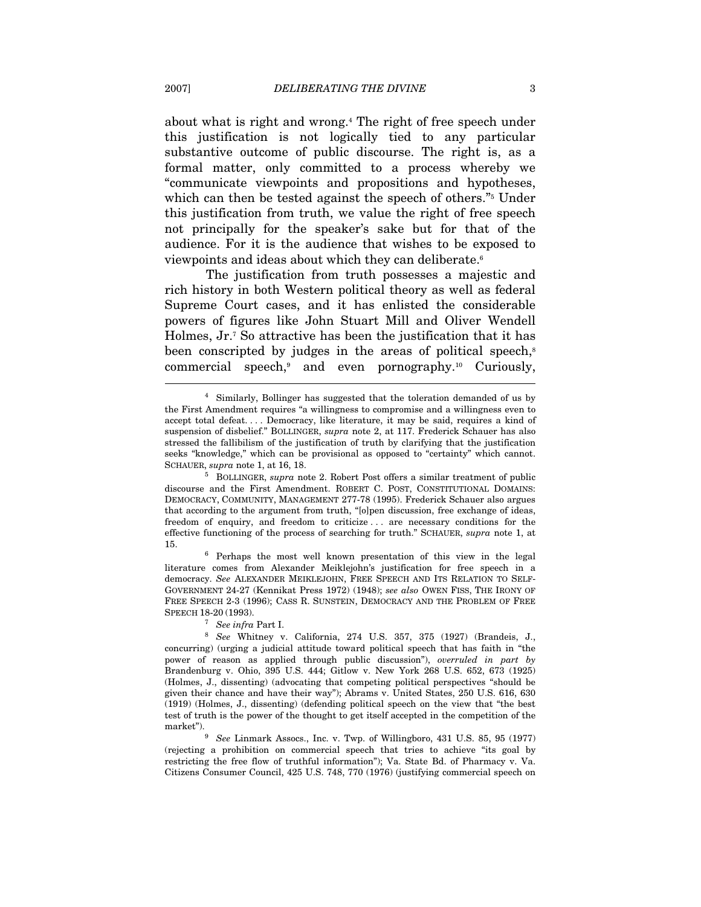about what is right and wrong.4 The right of free speech under this justification is not logically tied to any particular substantive outcome of public discourse. The right is, as a formal matter, only committed to a process whereby we "communicate viewpoints and propositions and hypotheses, which can then be tested against the speech of others."<sup>5</sup> Under this justification from truth, we value the right of free speech not principally for the speaker's sake but for that of the audience. For it is the audience that wishes to be exposed to viewpoints and ideas about which they can deliberate.6

The justification from truth possesses a majestic and rich history in both Western political theory as well as federal Supreme Court cases, and it has enlisted the considerable powers of figures like John Stuart Mill and Oliver Wendell Holmes, Jr.7 So attractive has been the justification that it has been conscripted by judges in the areas of political speech, $\frac{8}{3}$ commercial speech, $9$  and even pornography.<sup>10</sup> Curiously,

<sup>4</sup> Similarly, Bollinger has suggested that the toleration demanded of us by the First Amendment requires "a willingness to compromise and a willingness even to accept total defeat. . . . Democracy, like literature, it may be said, requires a kind of suspension of disbelief." BOLLINGER, supra note 2, at 117. Frederick Schauer has also stressed the fallibilism of the justification of truth by clarifying that the justification seeks "knowledge," which can be provisional as opposed to "certainty" which cannot.

SCHAUER, supra note 1, at 16, 18.  $\frac{5}{5}$  BOLLINGER, supra note 2. Robert Post offers a similar treatment of public discourse and the First Amendment. ROBERT C. POST, CONSTITUTIONAL DOMAINS: DEMOCRACY, COMMUNITY, MANAGEMENT 277-78 (1995). Frederick Schauer also argues that according to the argument from truth, "[o]pen discussion, free exchange of ideas, freedom of enquiry, and freedom to criticize . . . are necessary conditions for the effective functioning of the process of searching for truth." SCHAUER, supra note 1, at 15. 6 Perhaps the most well known presentation of this view in the legal

literature comes from Alexander Meiklejohn's justification for free speech in a democracy. See ALEXANDER MEIKLEJOHN, FREE SPEECH AND ITS RELATION TO SELF-GOVERNMENT 24-27 (Kennikat Press 1972) (1948); see also OWEN FISS, THE IRONY OF FREE SPEECH 2-3 (1996); CASS R. SUNSTEIN, DEMOCRACY AND THE PROBLEM OF FREE  $\begin{array}{r} \text{SPEECH 18-20 (1993).}\\ \text{7} \quad \text{See infra Part I.} \end{array}$ 

 $8$  See Whitney v. California, 274 U.S. 357, 375 (1927) (Brandeis, J., concurring) (urging a judicial attitude toward political speech that has faith in "the power of reason as applied through public discussion"), overruled in part by Brandenburg v. Ohio, 395 U.S. 444; Gitlow v. New York 268 U.S. 652, 673 (1925) (Holmes, J., dissenting) (advocating that competing political perspectives "should be given their chance and have their way"); Abrams v. United States, 250 U.S. 616, 630 (1919) (Holmes, J., dissenting) (defending political speech on the view that "the best test of truth is the power of the thought to get itself accepted in the competition of the market"). 9 See Linmark Assocs., Inc. v. Twp. of Willingboro, 431 U.S. 85, 95 (1977)

<sup>(</sup>rejecting a prohibition on commercial speech that tries to achieve "its goal by restricting the free flow of truthful information"); Va. State Bd. of Pharmacy v. Va. Citizens Consumer Council, 425 U.S. 748, 770 (1976) (justifying commercial speech on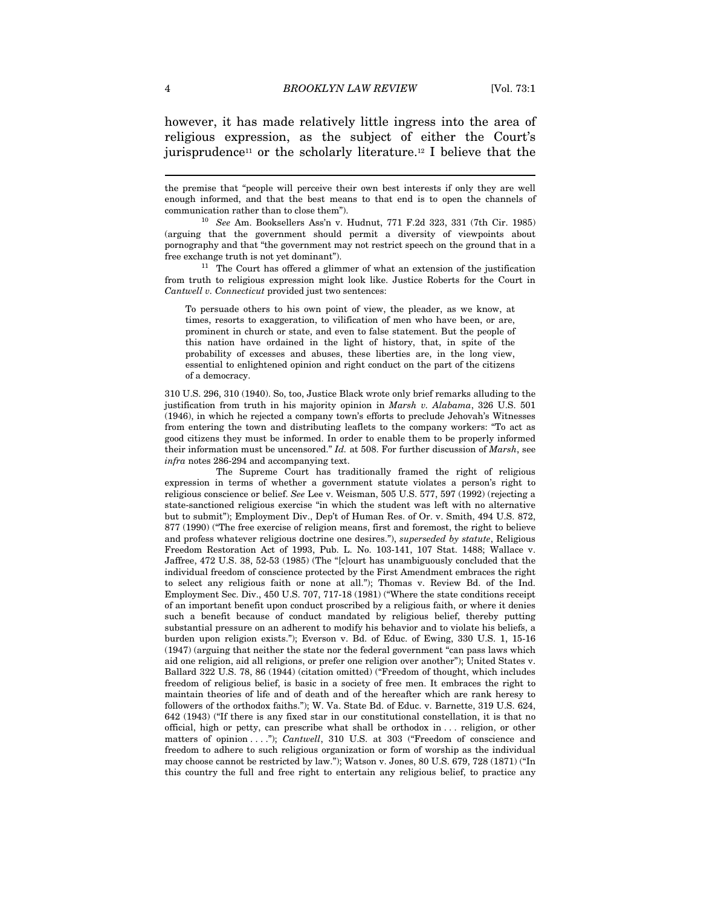however, it has made relatively little ingress into the area of religious expression, as the subject of either the Court's jurisprudence<sup>11</sup> or the scholarly literature.<sup>12</sup> I believe that the

the premise that "people will perceive their own best interests if only they are well enough informed, and that the best means to that end is to open the channels of communication rather than to close them"). 10 See Am. Booksellers Ass'n v. Hudnut, 771 F.2d 323, 331 (7th Cir. 1985)

(arguing that the government should permit a diversity of viewpoints about pornography and that "the government may not restrict speech on the ground that in a free exchange truth is not yet dominant"). 11 The Court has offered a glimmer of what an extension of the justification

from truth to religious expression might look like. Justice Roberts for the Court in Cantwell v. Connecticut provided just two sentences:

To persuade others to his own point of view, the pleader, as we know, at times, resorts to exaggeration, to vilification of men who have been, or are, prominent in church or state, and even to false statement. But the people of this nation have ordained in the light of history, that, in spite of the probability of excesses and abuses, these liberties are, in the long view, essential to enlightened opinion and right conduct on the part of the citizens of a democracy.

310 U.S. 296, 310 (1940). So, too, Justice Black wrote only brief remarks alluding to the justification from truth in his majority opinion in Marsh v. Alabama, 326 U.S. 501 (1946), in which he rejected a company town's efforts to preclude Jehovah's Witnesses from entering the town and distributing leaflets to the company workers: "To act as good citizens they must be informed. In order to enable them to be properly informed their information must be uncensored." Id. at 508. For further discussion of  $Marsh$ , see infra notes 286-294 and accompanying text.

 The Supreme Court has traditionally framed the right of religious expression in terms of whether a government statute violates a person's right to religious conscience or belief. See Lee v. Weisman, 505 U.S. 577, 597 (1992) (rejecting a state-sanctioned religious exercise "in which the student was left with no alternative but to submit"); Employment Div., Dep't of Human Res. of Or. v. Smith, 494 U.S. 872, 877 (1990) ("The free exercise of religion means, first and foremost, the right to believe and profess whatever religious doctrine one desires."), superseded by statute, Religious Freedom Restoration Act of 1993, Pub. L. No. 103-141, 107 Stat. 1488; Wallace v. Jaffree, 472 U.S. 38, 52-53 (1985) (The "[c]ourt has unambiguously concluded that the individual freedom of conscience protected by the First Amendment embraces the right to select any religious faith or none at all."); Thomas v. Review Bd. of the Ind. Employment Sec. Div., 450 U.S. 707, 717-18 (1981) ("Where the state conditions receipt of an important benefit upon conduct proscribed by a religious faith, or where it denies such a benefit because of conduct mandated by religious belief, thereby putting substantial pressure on an adherent to modify his behavior and to violate his beliefs, a burden upon religion exists."); Everson v. Bd. of Educ. of Ewing, 330 U.S. 1, 15-16 (1947) (arguing that neither the state nor the federal government "can pass laws which aid one religion, aid all religions, or prefer one religion over another"); United States v. Ballard 322 U.S. 78, 86 (1944) (citation omitted) ("Freedom of thought, which includes freedom of religious belief, is basic in a society of free men. It embraces the right to maintain theories of life and of death and of the hereafter which are rank heresy to followers of the orthodox faiths."); W. Va. State Bd. of Educ. v. Barnette, 319 U.S. 624, 642 (1943) ("If there is any fixed star in our constitutional constellation, it is that no official, high or petty, can prescribe what shall be orthodox in . . . religion, or other matters of opinion . . . "); Cantwell, 310 U.S. at 303 ("Freedom of conscience and freedom to adhere to such religious organization or form of worship as the individual may choose cannot be restricted by law."); Watson v. Jones, 80 U.S. 679, 728 (1871) ("In this country the full and free right to entertain any religious belief, to practice any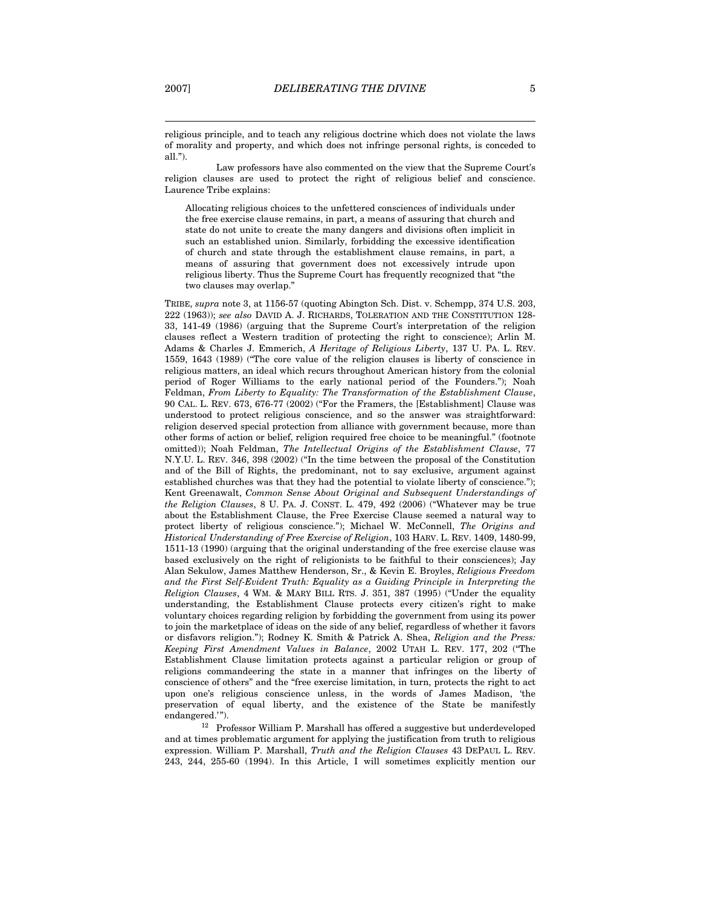religious principle, and to teach any religious doctrine which does not violate the laws of morality and property, and which does not infringe personal rights, is conceded to all.").

 Law professors have also commented on the view that the Supreme Court's religion clauses are used to protect the right of religious belief and conscience. Laurence Tribe explains:

Allocating religious choices to the unfettered consciences of individuals under the free exercise clause remains, in part, a means of assuring that church and state do not unite to create the many dangers and divisions often implicit in such an established union. Similarly, forbidding the excessive identification of church and state through the establishment clause remains, in part, a means of assuring that government does not excessively intrude upon religious liberty. Thus the Supreme Court has frequently recognized that "the two clauses may overlap."

TRIBE, supra note 3, at 1156-57 (quoting Abington Sch. Dist. v. Schempp, 374 U.S. 203, 222 (1963)); see also DAVID A. J. RICHARDS, TOLERATION AND THE CONSTITUTION 128- 33, 141-49 (1986) (arguing that the Supreme Court's interpretation of the religion clauses reflect a Western tradition of protecting the right to conscience); Arlin M. Adams & Charles J. Emmerich, A Heritage of Religious Liberty, 137 U. PA. L. REV. 1559, 1643 (1989) ("The core value of the religion clauses is liberty of conscience in religious matters, an ideal which recurs throughout American history from the colonial period of Roger Williams to the early national period of the Founders."); Noah Feldman, From Liberty to Equality: The Transformation of the Establishment Clause, 90 CAL. L. REV. 673, 676-77 (2002) ("For the Framers, the [Establishment] Clause was understood to protect religious conscience, and so the answer was straightforward: religion deserved special protection from alliance with government because, more than other forms of action or belief, religion required free choice to be meaningful." (footnote omitted)); Noah Feldman, The Intellectual Origins of the Establishment Clause, 77 N.Y.U. L. REV. 346, 398 (2002) ("In the time between the proposal of the Constitution and of the Bill of Rights, the predominant, not to say exclusive, argument against established churches was that they had the potential to violate liberty of conscience."); Kent Greenawalt, Common Sense About Original and Subsequent Understandings of the Religion Clauses, 8 U. PA. J. CONST. L. 479, 492 (2006) ("Whatever may be true about the Establishment Clause, the Free Exercise Clause seemed a natural way to protect liberty of religious conscience."); Michael W. McConnell, The Origins and Historical Understanding of Free Exercise of Religion, 103 HARV. L. REV. 1409, 1480-99, 1511-13 (1990) (arguing that the original understanding of the free exercise clause was based exclusively on the right of religionists to be faithful to their consciences); Jay Alan Sekulow, James Matthew Henderson, Sr., & Kevin E. Broyles, Religious Freedom and the First Self-Evident Truth: Equality as a Guiding Principle in Interpreting the Religion Clauses, 4 WM. & MARY BILL RTS. J. 351, 387 (1995) ("Under the equality understanding, the Establishment Clause protects every citizen's right to make voluntary choices regarding religion by forbidding the government from using its power to join the marketplace of ideas on the side of any belief, regardless of whether it favors or disfavors religion."); Rodney K. Smith & Patrick A. Shea, Religion and the Press: Keeping First Amendment Values in Balance, 2002 UTAH L. REV. 177, 202 ("The Establishment Clause limitation protects against a particular religion or group of religions commandeering the state in a manner that infringes on the liberty of conscience of others" and the "free exercise limitation, in turn, protects the right to act upon one's religious conscience unless, in the words of James Madison, 'the preservation of equal liberty, and the existence of the State be manifestly endangered.'"). 12 Professor William P. Marshall has offered a suggestive but underdeveloped

and at times problematic argument for applying the justification from truth to religious expression. William P. Marshall, Truth and the Religion Clauses 43 DEPAUL L. REV. 243, 244, 255-60 (1994). In this Article, I will sometimes explicitly mention our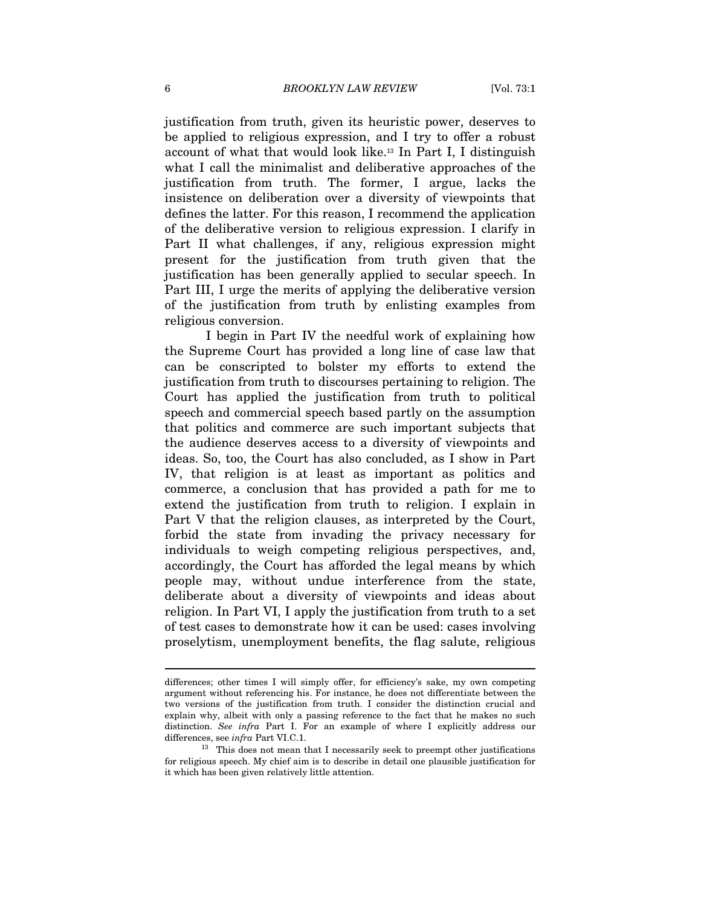justification from truth, given its heuristic power, deserves to be applied to religious expression, and I try to offer a robust account of what that would look like.13 In Part I, I distinguish what I call the minimalist and deliberative approaches of the justification from truth. The former, I argue, lacks the insistence on deliberation over a diversity of viewpoints that defines the latter. For this reason, I recommend the application of the deliberative version to religious expression. I clarify in Part II what challenges, if any, religious expression might present for the justification from truth given that the justification has been generally applied to secular speech. In Part III, I urge the merits of applying the deliberative version of the justification from truth by enlisting examples from religious conversion.

I begin in Part IV the needful work of explaining how the Supreme Court has provided a long line of case law that can be conscripted to bolster my efforts to extend the justification from truth to discourses pertaining to religion. The Court has applied the justification from truth to political speech and commercial speech based partly on the assumption that politics and commerce are such important subjects that the audience deserves access to a diversity of viewpoints and ideas. So, too, the Court has also concluded, as I show in Part IV, that religion is at least as important as politics and commerce, a conclusion that has provided a path for me to extend the justification from truth to religion. I explain in Part V that the religion clauses, as interpreted by the Court, forbid the state from invading the privacy necessary for individuals to weigh competing religious perspectives, and, accordingly, the Court has afforded the legal means by which people may, without undue interference from the state, deliberate about a diversity of viewpoints and ideas about religion. In Part VI, I apply the justification from truth to a set of test cases to demonstrate how it can be used: cases involving proselytism, unemployment benefits, the flag salute, religious

differences; other times I will simply offer, for efficiency's sake, my own competing argument without referencing his. For instance, he does not differentiate between the two versions of the justification from truth. I consider the distinction crucial and explain why, albeit with only a passing reference to the fact that he makes no such distinction. See infra Part I. For an example of where I explicitly address our differences, see *infra* Part VI.C.1.<br><sup>13</sup> This does not mean that I necessarily seek to preempt other justifications

for religious speech. My chief aim is to describe in detail one plausible justification for it which has been given relatively little attention.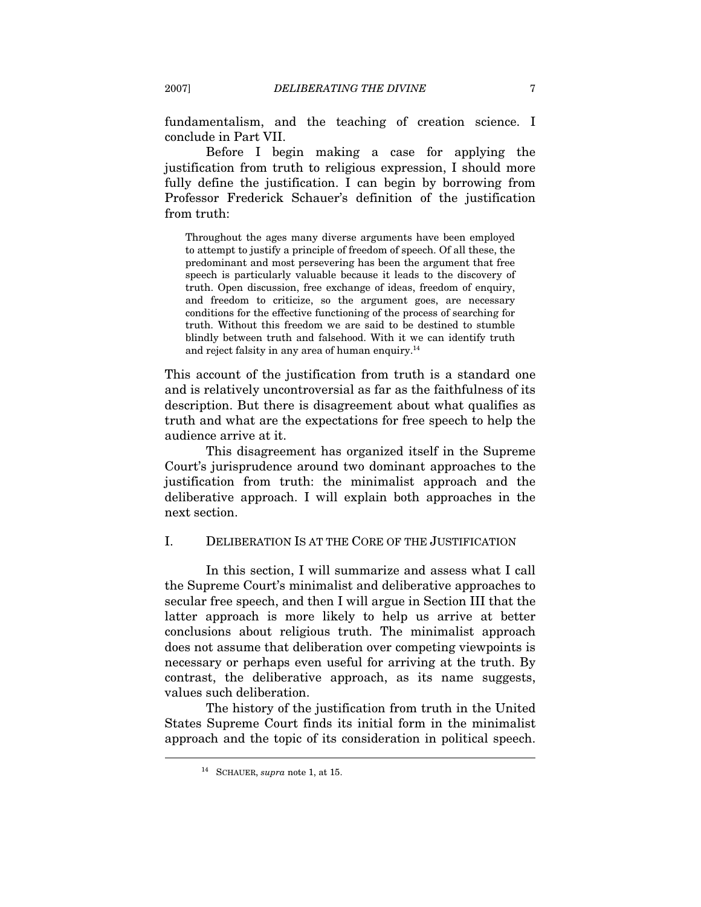fundamentalism, and the teaching of creation science. I conclude in Part VII.

Before I begin making a case for applying the justification from truth to religious expression, I should more fully define the justification. I can begin by borrowing from Professor Frederick Schauer's definition of the justification from truth:

Throughout the ages many diverse arguments have been employed to attempt to justify a principle of freedom of speech. Of all these, the predominant and most persevering has been the argument that free speech is particularly valuable because it leads to the discovery of truth. Open discussion, free exchange of ideas, freedom of enquiry, and freedom to criticize, so the argument goes, are necessary conditions for the effective functioning of the process of searching for truth. Without this freedom we are said to be destined to stumble blindly between truth and falsehood. With it we can identify truth and reject falsity in any area of human enquiry.<sup>14</sup>

This account of the justification from truth is a standard one and is relatively uncontroversial as far as the faithfulness of its description. But there is disagreement about what qualifies as truth and what are the expectations for free speech to help the audience arrive at it.

This disagreement has organized itself in the Supreme Court's jurisprudence around two dominant approaches to the justification from truth: the minimalist approach and the deliberative approach. I will explain both approaches in the next section.

### I. DELIBERATION IS AT THE CORE OF THE JUSTIFICATION

In this section, I will summarize and assess what I call the Supreme Court's minimalist and deliberative approaches to secular free speech, and then I will argue in Section III that the latter approach is more likely to help us arrive at better conclusions about religious truth. The minimalist approach does not assume that deliberation over competing viewpoints is necessary or perhaps even useful for arriving at the truth. By contrast, the deliberative approach, as its name suggests, values such deliberation.

The history of the justification from truth in the United States Supreme Court finds its initial form in the minimalist approach and the topic of its consideration in political speech.

<sup>&</sup>lt;sup>14</sup> SCHAUER, *supra* note 1, at 15.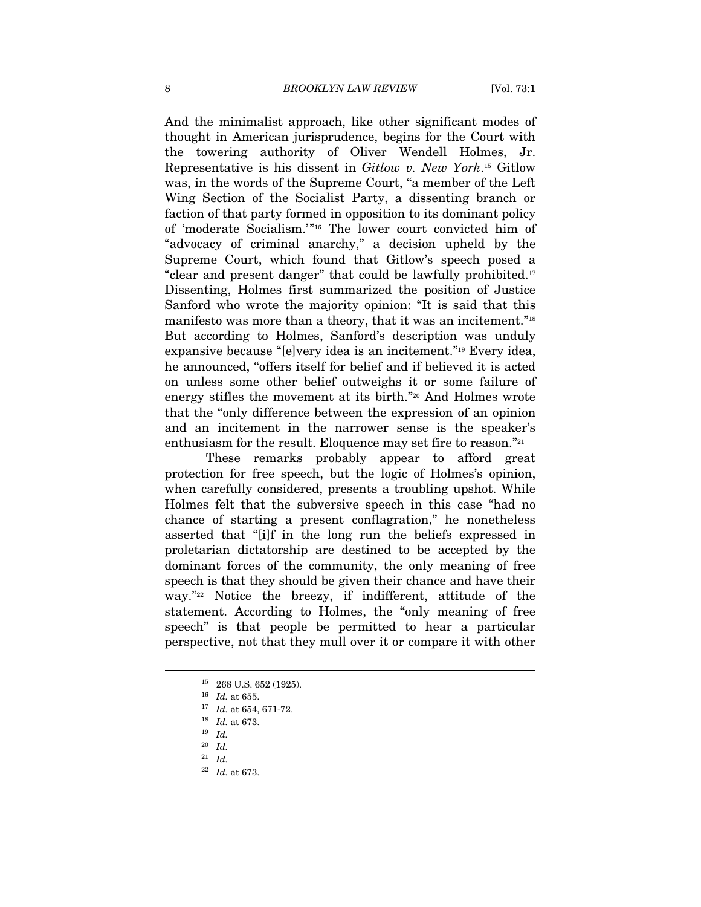And the minimalist approach, like other significant modes of thought in American jurisprudence, begins for the Court with the towering authority of Oliver Wendell Holmes, Jr. Representative is his dissent in Gitlow v. New York.15 Gitlow was, in the words of the Supreme Court, "a member of the Left Wing Section of the Socialist Party, a dissenting branch or faction of that party formed in opposition to its dominant policy of 'moderate Socialism.'"16 The lower court convicted him of "advocacy of criminal anarchy," a decision upheld by the Supreme Court, which found that Gitlow's speech posed a "clear and present danger" that could be lawfully prohibited.17 Dissenting, Holmes first summarized the position of Justice Sanford who wrote the majority opinion: "It is said that this manifesto was more than a theory, that it was an incitement."<sup>18</sup> But according to Holmes, Sanford's description was unduly expansive because "[e]very idea is an incitement."19 Every idea, he announced, "offers itself for belief and if believed it is acted on unless some other belief outweighs it or some failure of energy stifles the movement at its birth."20 And Holmes wrote that the "only difference between the expression of an opinion and an incitement in the narrower sense is the speaker's enthusiasm for the result. Eloquence may set fire to reason."<sup>21</sup>

These remarks probably appear to afford great protection for free speech, but the logic of Holmes's opinion, when carefully considered, presents a troubling upshot. While Holmes felt that the subversive speech in this case "had no chance of starting a present conflagration," he nonetheless asserted that "[i]f in the long run the beliefs expressed in proletarian dictatorship are destined to be accepted by the dominant forces of the community, the only meaning of free speech is that they should be given their chance and have their way."22 Notice the breezy, if indifferent, attitude of the statement. According to Holmes, the "only meaning of free speech" is that people be permitted to hear a particular perspective, not that they mull over it or compare it with other

 $15$  268 U.S. 652 (1925).

<sup>&</sup>lt;sup>16</sup> *Id.* at 655.<br><sup>17</sup> *Id.* at 654, 671-72.<br><sup>18</sup> *Id.* at 673.<br><sup>19</sup> *Id.* 

 $^{20}\;$  Id.

 $21$  *Id.* 

 $22$  *Id.* at 673.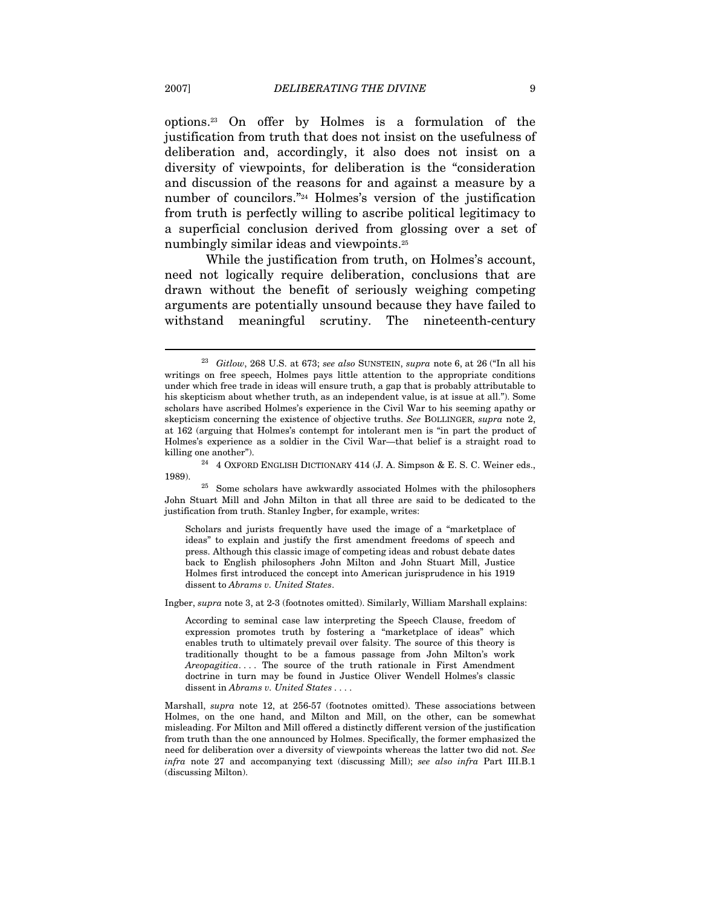options.23 On offer by Holmes is a formulation of the justification from truth that does not insist on the usefulness of deliberation and, accordingly, it also does not insist on a diversity of viewpoints, for deliberation is the "consideration and discussion of the reasons for and against a measure by a number of councilors."<sup>24</sup> Holmes's version of the justification from truth is perfectly willing to ascribe political legitimacy to a superficial conclusion derived from glossing over a set of numbingly similar ideas and viewpoints.<sup>25</sup>

While the justification from truth, on Holmes's account, need not logically require deliberation, conclusions that are drawn without the benefit of seriously weighing competing arguments are potentially unsound because they have failed to withstand meaningful scrutiny. The nineteenth-century

Scholars and jurists frequently have used the image of a "marketplace of ideas" to explain and justify the first amendment freedoms of speech and press. Although this classic image of competing ideas and robust debate dates back to English philosophers John Milton and John Stuart Mill, Justice Holmes first introduced the concept into American jurisprudence in his 1919 dissent to Abrams v. United States.

Ingber, supra note 3, at 2-3 (footnotes omitted). Similarly, William Marshall explains:

According to seminal case law interpreting the Speech Clause, freedom of expression promotes truth by fostering a "marketplace of ideas" which enables truth to ultimately prevail over falsity. The source of this theory is traditionally thought to be a famous passage from John Milton's work Areopagitica.... The source of the truth rationale in First Amendment doctrine in turn may be found in Justice Oliver Wendell Holmes's classic dissent in Abrams v. United States . . . .

Marshall, supra note 12, at 256-57 (footnotes omitted). These associations between Holmes, on the one hand, and Milton and Mill, on the other, can be somewhat misleading. For Milton and Mill offered a distinctly different version of the justification from truth than the one announced by Holmes. Specifically, the former emphasized the need for deliberation over a diversity of viewpoints whereas the latter two did not. See infra note 27 and accompanying text (discussing Mill); see also infra Part III.B.1 (discussing Milton).

<sup>&</sup>lt;sup>23</sup> Gitlow, 268 U.S. at 673; see also SUNSTEIN, supra note 6, at 26 ("In all his writings on free speech, Holmes pays little attention to the appropriate conditions under which free trade in ideas will ensure truth, a gap that is probably attributable to his skepticism about whether truth, as an independent value, is at issue at all."). Some scholars have ascribed Holmes's experience in the Civil War to his seeming apathy or skepticism concerning the existence of objective truths. See BOLLINGER, supra note 2, at 162 (arguing that Holmes's contempt for intolerant men is "in part the product of Holmes's experience as a soldier in the Civil War—that belief is a straight road to

killing one another").  $^{24}$  4 OXFORD ENGLISH DICTIONARY 414 (J. A. Simpson & E. S. C. Weiner eds., 1989).

 $^\mathrm{25}$  Some scholars have awkwardly associated Holmes with the philosophers John Stuart Mill and John Milton in that all three are said to be dedicated to the justification from truth. Stanley Ingber, for example, writes: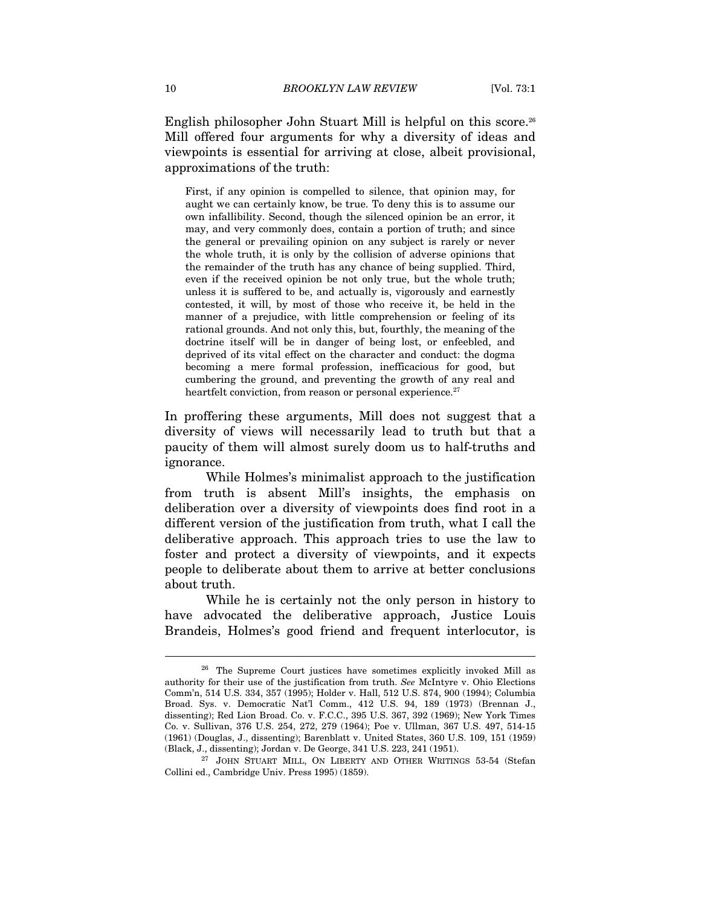English philosopher John Stuart Mill is helpful on this score.<sup>26</sup> Mill offered four arguments for why a diversity of ideas and viewpoints is essential for arriving at close, albeit provisional, approximations of the truth:

First, if any opinion is compelled to silence, that opinion may, for aught we can certainly know, be true. To deny this is to assume our own infallibility. Second, though the silenced opinion be an error, it may, and very commonly does, contain a portion of truth; and since the general or prevailing opinion on any subject is rarely or never the whole truth, it is only by the collision of adverse opinions that the remainder of the truth has any chance of being supplied. Third, even if the received opinion be not only true, but the whole truth; unless it is suffered to be, and actually is, vigorously and earnestly contested, it will, by most of those who receive it, be held in the manner of a prejudice, with little comprehension or feeling of its rational grounds. And not only this, but, fourthly, the meaning of the doctrine itself will be in danger of being lost, or enfeebled, and deprived of its vital effect on the character and conduct: the dogma becoming a mere formal profession, inefficacious for good, but cumbering the ground, and preventing the growth of any real and heartfelt conviction, from reason or personal experience.<sup>27</sup>

In proffering these arguments, Mill does not suggest that a diversity of views will necessarily lead to truth but that a paucity of them will almost surely doom us to half-truths and ignorance.

While Holmes's minimalist approach to the justification from truth is absent Mill's insights, the emphasis on deliberation over a diversity of viewpoints does find root in a different version of the justification from truth, what I call the deliberative approach. This approach tries to use the law to foster and protect a diversity of viewpoints, and it expects people to deliberate about them to arrive at better conclusions about truth.

While he is certainly not the only person in history to have advocated the deliberative approach, Justice Louis Brandeis, Holmes's good friend and frequent interlocutor, is

<sup>26</sup> The Supreme Court justices have sometimes explicitly invoked Mill as authority for their use of the justification from truth. See McIntyre v. Ohio Elections Comm'n, 514 U.S. 334, 357 (1995); Holder v. Hall, 512 U.S. 874, 900 (1994); Columbia Broad. Sys. v. Democratic Nat'l Comm., 412 U.S. 94, 189 (1973) (Brennan J., dissenting); Red Lion Broad. Co. v. F.C.C., 395 U.S. 367, 392 (1969); New York Times Co. v. Sullivan, 376 U.S. 254, 272, 279 (1964); Poe v. Ullman, 367 U.S. 497, 514-15 (1961) (Douglas, J., dissenting); Barenblatt v. United States, 360 U.S. 109, 151 (1959) (Black, J., dissenting); Jordan v. De George, 341 U.S. 223, 241 (1951). <sup>27</sup> JOHN STUART MILL, ON LIBERTY AND OTHER WRITINGS 53-54 (Stefan

Collini ed., Cambridge Univ. Press 1995) (1859).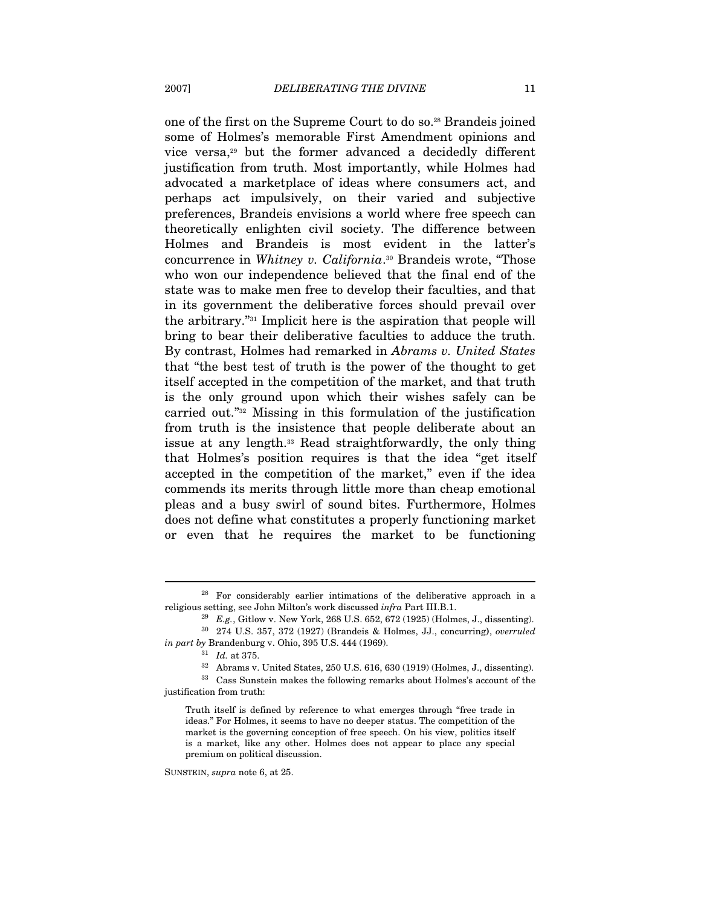one of the first on the Supreme Court to do so.28 Brandeis joined some of Holmes's memorable First Amendment opinions and vice versa,29 but the former advanced a decidedly different justification from truth. Most importantly, while Holmes had advocated a marketplace of ideas where consumers act, and perhaps act impulsively, on their varied and subjective preferences, Brandeis envisions a world where free speech can theoretically enlighten civil society. The difference between Holmes and Brandeis is most evident in the latter's concurrence in Whitney v. California.30 Brandeis wrote, "Those who won our independence believed that the final end of the state was to make men free to develop their faculties, and that in its government the deliberative forces should prevail over the arbitrary."31 Implicit here is the aspiration that people will bring to bear their deliberative faculties to adduce the truth. By contrast, Holmes had remarked in Abrams v. United States that "the best test of truth is the power of the thought to get itself accepted in the competition of the market, and that truth is the only ground upon which their wishes safely can be carried out."32 Missing in this formulation of the justification from truth is the insistence that people deliberate about an issue at any length.33 Read straightforwardly, the only thing that Holmes's position requires is that the idea "get itself accepted in the competition of the market," even if the idea commends its merits through little more than cheap emotional pleas and a busy swirl of sound bites. Furthermore, Holmes does not define what constitutes a properly functioning market or even that he requires the market to be functioning

 $\overline{a}$ 

SUNSTEIN, supra note 6, at 25.

<sup>28</sup> For considerably earlier intimations of the deliberative approach in a

religious setting, see John Milton's work discussed  $infra$ Part III.B.1.<br> $^{29}$   $E.g.,$  Gitlow v. New York, 268 U.S. 652, 672 (1925) (Holmes, J., dissenting).<br> $^{30}$  274 U.S. 357, 372 (1927) (Brandeis & Holmes, JJ., concurring

in part by Brandenburg v. Ohio, 395 U.S. 444 (1969).

 $^{31}$  *Id.* at 375.<br><sup>32</sup> Abrams v. United States, 250 U.S. 616, 630 (1919) (Holmes, J., dissenting).

<sup>33</sup> Cass Sunstein makes the following remarks about Holmes's account of the justification from truth:

Truth itself is defined by reference to what emerges through "free trade in ideas." For Holmes, it seems to have no deeper status. The competition of the market is the governing conception of free speech. On his view, politics itself is a market, like any other. Holmes does not appear to place any special premium on political discussion.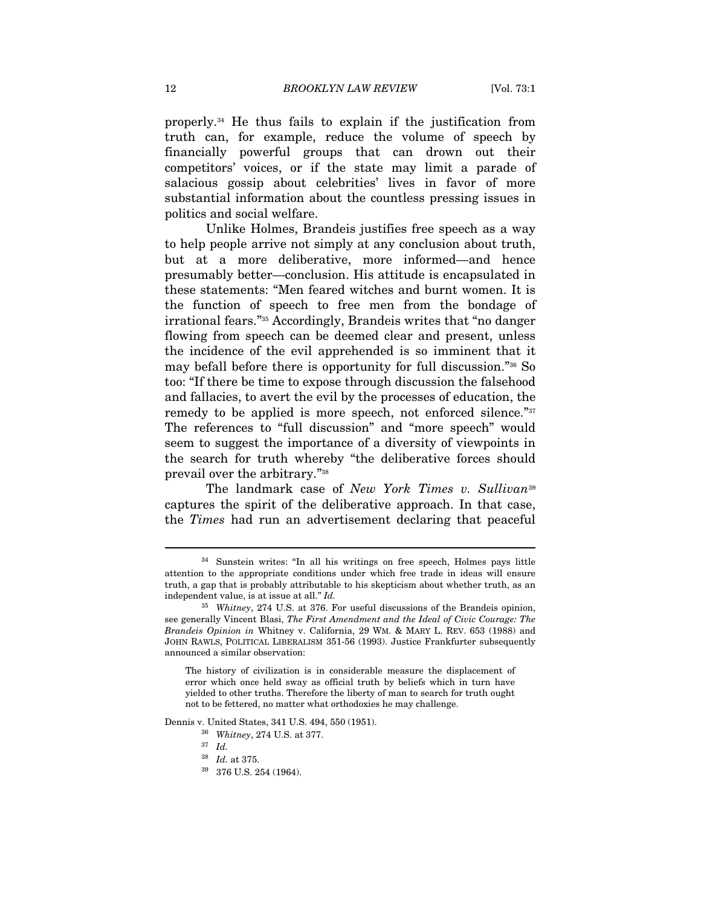properly.34 He thus fails to explain if the justification from truth can, for example, reduce the volume of speech by financially powerful groups that can drown out their competitors' voices, or if the state may limit a parade of salacious gossip about celebrities' lives in favor of more substantial information about the countless pressing issues in politics and social welfare.

Unlike Holmes, Brandeis justifies free speech as a way to help people arrive not simply at any conclusion about truth, but at a more deliberative, more informed—and hence presumably better—conclusion. His attitude is encapsulated in these statements: "Men feared witches and burnt women. It is the function of speech to free men from the bondage of irrational fears."35 Accordingly, Brandeis writes that "no danger flowing from speech can be deemed clear and present, unless the incidence of the evil apprehended is so imminent that it may befall before there is opportunity for full discussion."36 So too: "If there be time to expose through discussion the falsehood and fallacies, to avert the evil by the processes of education, the remedy to be applied is more speech, not enforced silence."<sup>37</sup> The references to "full discussion" and "more speech" would seem to suggest the importance of a diversity of viewpoints in the search for truth whereby "the deliberative forces should prevail over the arbitrary."38

The landmark case of New York Times v. Sullivan<sup>39</sup> captures the spirit of the deliberative approach. In that case, the Times had run an advertisement declaring that peaceful

The history of civilization is in considerable measure the displacement of error which once held sway as official truth by beliefs which in turn have yielded to other truths. Therefore the liberty of man to search for truth ought not to be fettered, no matter what orthodoxies he may challenge.

Dennis v. United States, 341 U.S. 494, 550 (1951).<br><sup>36</sup> Whitney, 274 U.S. at 377.<br><sup>37</sup> Id.

- 
- 

- 
- $\frac{38}{39}$  *Id.* at 375.<br> $\frac{39}{376}$  U.S. 254 (1964).

<sup>34</sup> Sunstein writes: "In all his writings on free speech, Holmes pays little attention to the appropriate conditions under which free trade in ideas will ensure truth, a gap that is probably attributable to his skepticism about whether truth, as an independent value, is at issue at all." Id.

 $35$  Whitney, 274 U.S. at 376. For useful discussions of the Brandeis opinion, see generally Vincent Blasi, The First Amendment and the Ideal of Civic Courage: The Brandeis Opinion in Whitney v. California, 29 WM. & MARY L. REV. 653 (1988) and JOHN RAWLS, POLITICAL LIBERALISM 351-56 (1993). Justice Frankfurter subsequently announced a similar observation: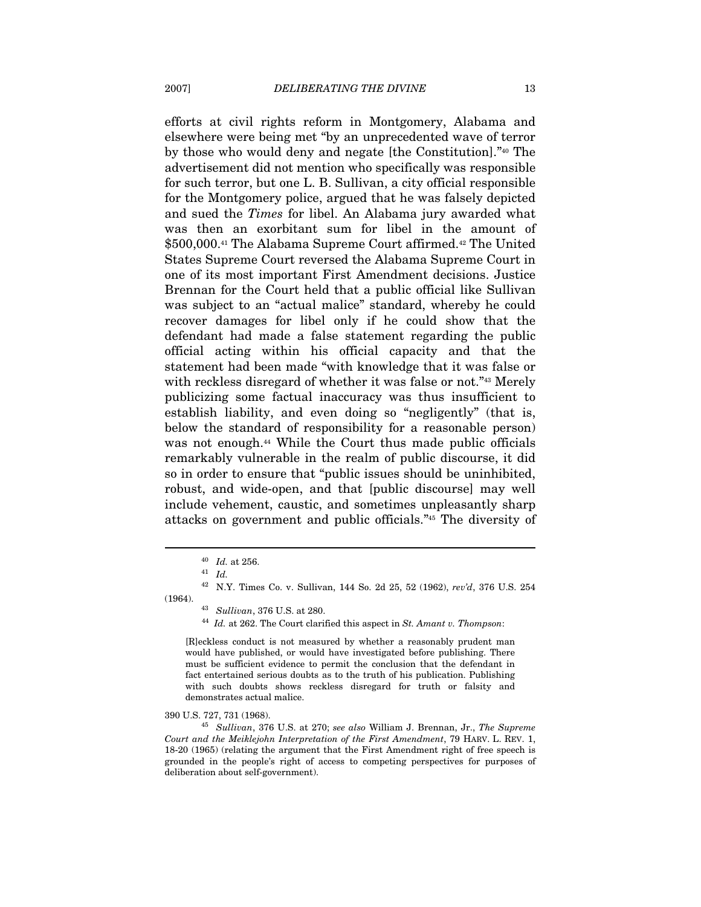efforts at civil rights reform in Montgomery, Alabama and elsewhere were being met "by an unprecedented wave of terror by those who would deny and negate [the Constitution]."40 The advertisement did not mention who specifically was responsible for such terror, but one L. B. Sullivan, a city official responsible for the Montgomery police, argued that he was falsely depicted and sued the Times for libel. An Alabama jury awarded what was then an exorbitant sum for libel in the amount of \$500,000.41 The Alabama Supreme Court affirmed.42 The United States Supreme Court reversed the Alabama Supreme Court in one of its most important First Amendment decisions. Justice Brennan for the Court held that a public official like Sullivan was subject to an "actual malice" standard, whereby he could recover damages for libel only if he could show that the defendant had made a false statement regarding the public official acting within his official capacity and that the statement had been made "with knowledge that it was false or with reckless disregard of whether it was false or not."<sup>43</sup> Merely publicizing some factual inaccuracy was thus insufficient to establish liability, and even doing so "negligently" (that is, below the standard of responsibility for a reasonable person) was not enough.<sup>44</sup> While the Court thus made public officials remarkably vulnerable in the realm of public discourse, it did so in order to ensure that "public issues should be uninhibited, robust, and wide-open, and that [public discourse] may well include vehement, caustic, and sometimes unpleasantly sharp attacks on government and public officials."45 The diversity of

 $\overline{a}$ 

40 Id. at 256.<br>
41 Id.<br>
42 N.Y. Times Co. v. Sullivan, 144 So. 2d 25, 52 (1962),  $rev'd$ , 376 U.S. 254 (1964).  $\frac{43}{10}$  Sullivan, 376 U.S. at 280.

<sup>44</sup> Id. at 262. The Court clarified this aspect in St. Amant v. Thompson:

[R]eckless conduct is not measured by whether a reasonably prudent man would have published, or would have investigated before publishing. There must be sufficient evidence to permit the conclusion that the defendant in fact entertained serious doubts as to the truth of his publication. Publishing with such doubts shows reckless disregard for truth or falsity and demonstrates actual malice.

<sup>390</sup> U.S. 727, 731 (1968). 45 Sullivan, 376 U.S. at 270; see also William J. Brennan, Jr., The Supreme Court and the Meiklejohn Interpretation of the First Amendment, 79 HARV. L. REV. 1, 18-20 (1965) (relating the argument that the First Amendment right of free speech is grounded in the people's right of access to competing perspectives for purposes of deliberation about self-government).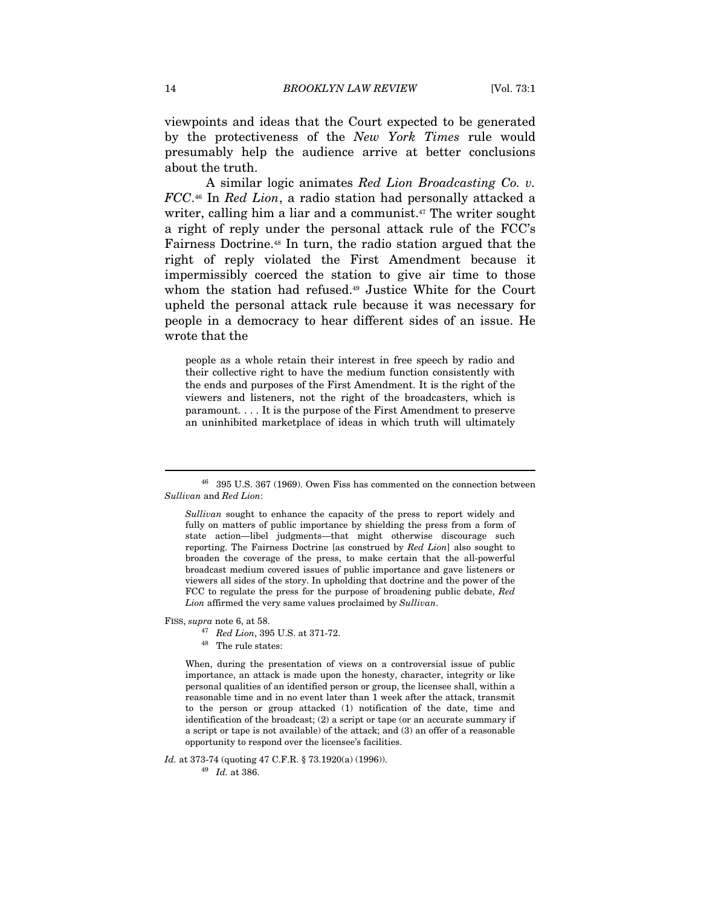viewpoints and ideas that the Court expected to be generated by the protectiveness of the New York Times rule would presumably help the audience arrive at better conclusions about the truth.

A similar logic animates Red Lion Broadcasting Co. v. FCC.46 In Red Lion, a radio station had personally attacked a writer, calling him a liar and a communist.<sup>47</sup> The writer sought a right of reply under the personal attack rule of the FCC's Fairness Doctrine.48 In turn, the radio station argued that the right of reply violated the First Amendment because it impermissibly coerced the station to give air time to those whom the station had refused.<sup>49</sup> Justice White for the Court upheld the personal attack rule because it was necessary for people in a democracy to hear different sides of an issue. He wrote that the

people as a whole retain their interest in free speech by radio and their collective right to have the medium function consistently with the ends and purposes of the First Amendment. It is the right of the viewers and listeners, not the right of the broadcasters, which is paramount. . . . It is the purpose of the First Amendment to preserve an uninhibited marketplace of ideas in which truth will ultimately

When, during the presentation of views on a controversial issue of public importance, an attack is made upon the honesty, character, integrity or like personal qualities of an identified person or group, the licensee shall, within a reasonable time and in no event later than 1 week after the attack, transmit to the person or group attacked (1) notification of the date, time and identification of the broadcast; (2) a script or tape (or an accurate summary if a script or tape is not available) of the attack; and (3) an offer of a reasonable opportunity to respond over the licensee's facilities.

*Id.* at 373-74 (quoting 47 C.F.R. § 73.1920(a) (1996)).  $^{49}$  *Id.* at 386.

<sup>46 395</sup> U.S. 367 (1969). Owen Fiss has commented on the connection between Sullivan and Red Lion:

Sullivan sought to enhance the capacity of the press to report widely and fully on matters of public importance by shielding the press from a form of state action—libel judgments—that might otherwise discourage such reporting. The Fairness Doctrine [as construed by Red Lion] also sought to broaden the coverage of the press, to make certain that the all-powerful broadcast medium covered issues of public importance and gave listeners or viewers all sides of the story. In upholding that doctrine and the power of the FCC to regulate the press for the purpose of broadening public debate, Red Lion affirmed the very same values proclaimed by Sullivan.

FISS, supra note 6, at 58.  $^{47}$  Red Lion, 395 U.S. at 371-72.  $^{48}$  The rule states: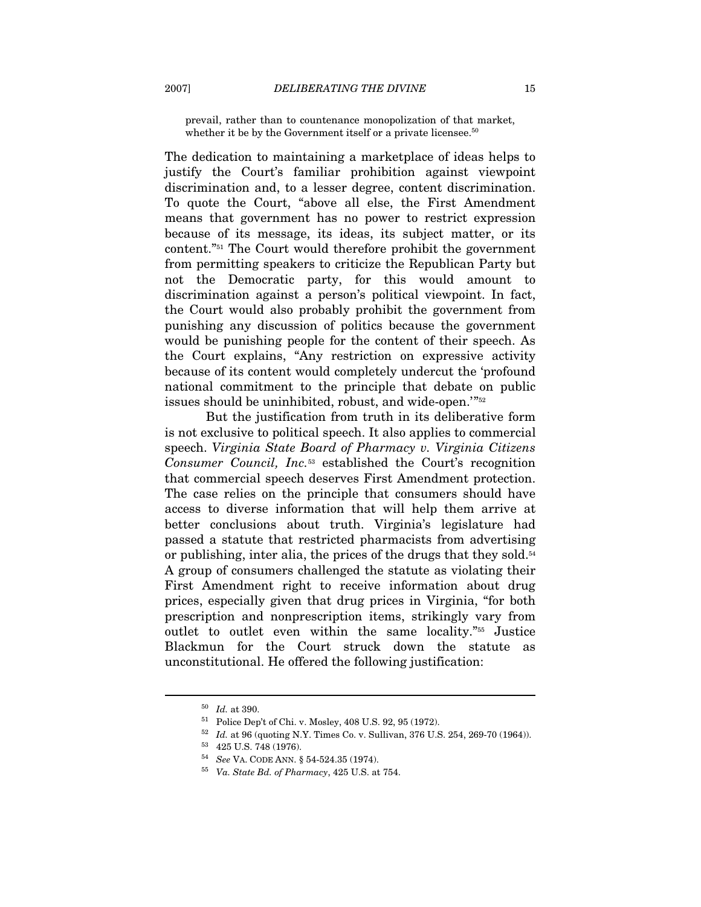prevail, rather than to countenance monopolization of that market, whether it be by the Government itself or a private licensee.<sup>50</sup>

The dedication to maintaining a marketplace of ideas helps to justify the Court's familiar prohibition against viewpoint discrimination and, to a lesser degree, content discrimination. To quote the Court, "above all else, the First Amendment means that government has no power to restrict expression because of its message, its ideas, its subject matter, or its content."51 The Court would therefore prohibit the government from permitting speakers to criticize the Republican Party but not the Democratic party, for this would amount to discrimination against a person's political viewpoint. In fact, the Court would also probably prohibit the government from punishing any discussion of politics because the government would be punishing people for the content of their speech. As the Court explains, "Any restriction on expressive activity because of its content would completely undercut the 'profound national commitment to the principle that debate on public issues should be uninhibited, robust, and wide-open.'"52

But the justification from truth in its deliberative form is not exclusive to political speech. It also applies to commercial speech. Virginia State Board of Pharmacy v. Virginia Citizens Consumer Council, Inc.53 established the Court's recognition that commercial speech deserves First Amendment protection. The case relies on the principle that consumers should have access to diverse information that will help them arrive at better conclusions about truth. Virginia's legislature had passed a statute that restricted pharmacists from advertising or publishing, inter alia, the prices of the drugs that they sold.54 A group of consumers challenged the statute as violating their First Amendment right to receive information about drug prices, especially given that drug prices in Virginia, "for both prescription and nonprescription items, strikingly vary from outlet to outlet even within the same locality."55 Justice Blackmun for the Court struck down the statute as unconstitutional. He offered the following justification:

 $^{50}\,$   $Id.$  at 390.

<sup>&</sup>lt;sup>51</sup> Police Dep't of Chi. v. Mosley, 408 U.S. 92, 95 (1972).<br><sup>52</sup> Id. at 96 (quoting N.Y. Times Co. v. Sullivan, 376 U.S. 254, 269-70 (1964)).

<sup>53 425</sup> U.S. 748 (1976).

 $54$  See VA. CODE ANN.  $\S 54-524.35$  (1974).<br> $55$  Va. State Bd. of Pharmacy, 425 U.S. at 754.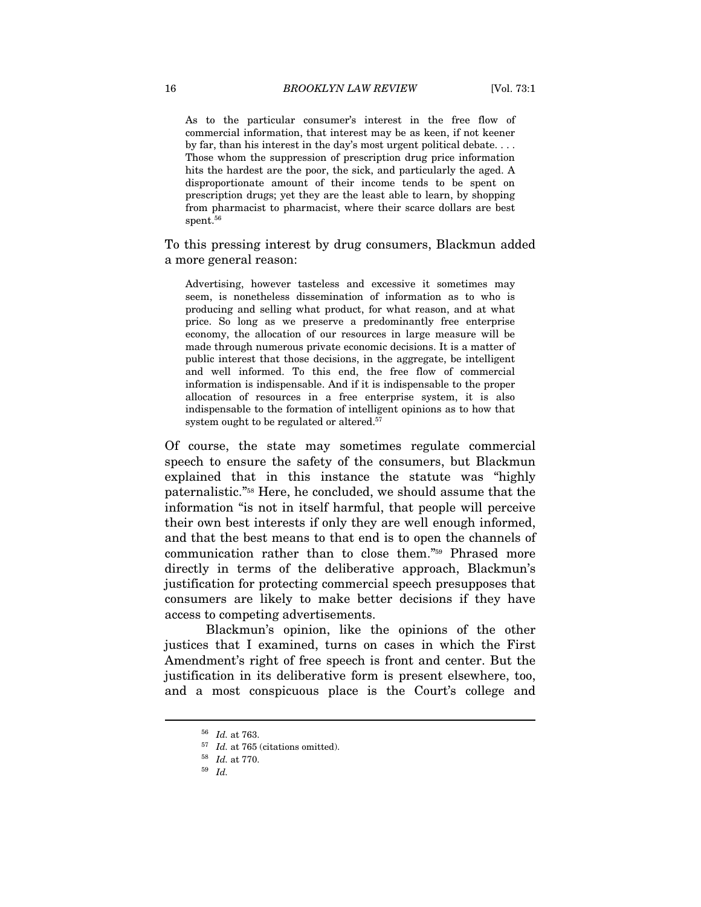As to the particular consumer's interest in the free flow of commercial information, that interest may be as keen, if not keener by far, than his interest in the day's most urgent political debate. . . . Those whom the suppression of prescription drug price information hits the hardest are the poor, the sick, and particularly the aged. A disproportionate amount of their income tends to be spent on prescription drugs; yet they are the least able to learn, by shopping from pharmacist to pharmacist, where their scarce dollars are best spent.<sup>56</sup>

### To this pressing interest by drug consumers, Blackmun added a more general reason:

Advertising, however tasteless and excessive it sometimes may seem, is nonetheless dissemination of information as to who is producing and selling what product, for what reason, and at what price. So long as we preserve a predominantly free enterprise economy, the allocation of our resources in large measure will be made through numerous private economic decisions. It is a matter of public interest that those decisions, in the aggregate, be intelligent and well informed. To this end, the free flow of commercial information is indispensable. And if it is indispensable to the proper allocation of resources in a free enterprise system, it is also indispensable to the formation of intelligent opinions as to how that system ought to be regulated or altered.57

Of course, the state may sometimes regulate commercial speech to ensure the safety of the consumers, but Blackmun explained that in this instance the statute was "highly paternalistic."58 Here, he concluded, we should assume that the information "is not in itself harmful, that people will perceive their own best interests if only they are well enough informed, and that the best means to that end is to open the channels of communication rather than to close them."59 Phrased more directly in terms of the deliberative approach, Blackmun's justification for protecting commercial speech presupposes that consumers are likely to make better decisions if they have access to competing advertisements.

Blackmun's opinion, like the opinions of the other justices that I examined, turns on cases in which the First Amendment's right of free speech is front and center. But the justification in its deliberative form is present elsewhere, too, and a most conspicuous place is the Court's college and

<sup>56</sup> Id. at 763.

<sup>&</sup>lt;sup>57</sup> Id. at 765 (citations omitted).<br><sup>58</sup> Id. at 770.<br><sup>59</sup> Id.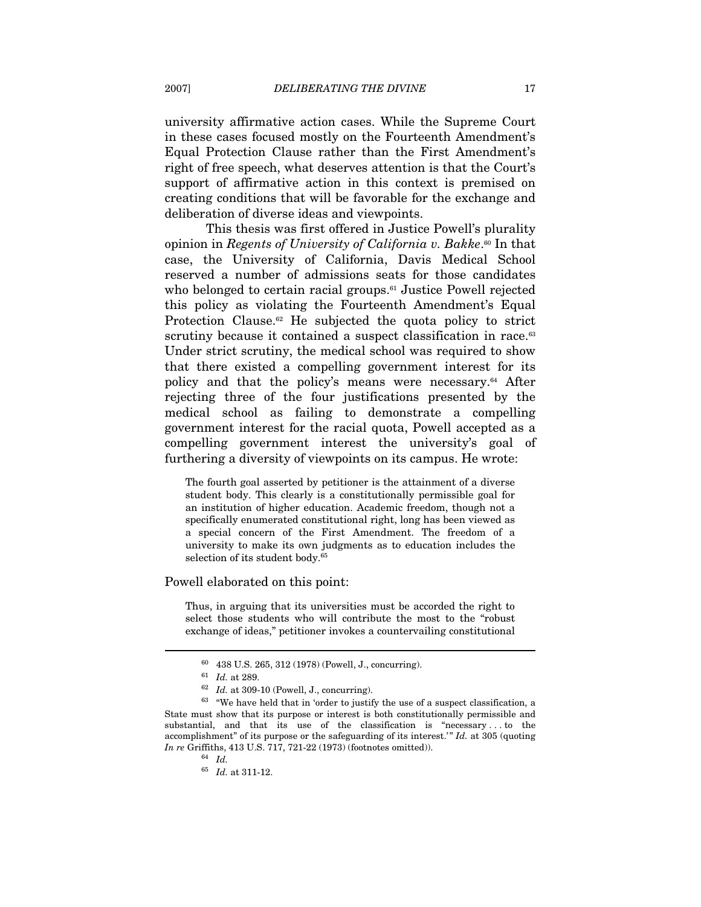university affirmative action cases. While the Supreme Court in these cases focused mostly on the Fourteenth Amendment's Equal Protection Clause rather than the First Amendment's right of free speech, what deserves attention is that the Court's support of affirmative action in this context is premised on creating conditions that will be favorable for the exchange and deliberation of diverse ideas and viewpoints.

This thesis was first offered in Justice Powell's plurality opinion in Regents of University of California v. Bakke.<sup>60</sup> In that case, the University of California, Davis Medical School reserved a number of admissions seats for those candidates who belonged to certain racial groups.<sup>61</sup> Justice Powell rejected this policy as violating the Fourteenth Amendment's Equal Protection Clause.<sup>62</sup> He subjected the quota policy to strict scrutiny because it contained a suspect classification in race.<sup>63</sup> Under strict scrutiny, the medical school was required to show that there existed a compelling government interest for its policy and that the policy's means were necessary.64 After rejecting three of the four justifications presented by the medical school as failing to demonstrate a compelling government interest for the racial quota, Powell accepted as a compelling government interest the university's goal of furthering a diversity of viewpoints on its campus. He wrote:

The fourth goal asserted by petitioner is the attainment of a diverse student body. This clearly is a constitutionally permissible goal for an institution of higher education. Academic freedom, though not a specifically enumerated constitutional right, long has been viewed as a special concern of the First Amendment. The freedom of a university to make its own judgments as to education includes the selection of its student body.<sup>65</sup>

#### Powell elaborated on this point:

Thus, in arguing that its universities must be accorded the right to select those students who will contribute the most to the "robust exchange of ideas," petitioner invokes a countervailing constitutional

<sup>&</sup>lt;sup>60</sup> 438 U.S. 265, 312 (1978) (Powell, J., concurring).<br><sup>61</sup> *Id.* at 289.

 $^{62}$  Id. at 309-10 (Powell, J., concurring).  $^{63}$  "We have held that in 'order to justify the use of a suspect classification, a State must show that its purpose or interest is both constitutionally permissible and substantial, and that its use of the classification is "necessary . . . to the accomplishment" of its purpose or the safeguarding of its interest.'" Id. at 305 (quoting *In re* Griffiths, 413 U.S. 717, 721-22 (1973) (footnotes omitted)).  $64$  *Id.* 

 $65$  *Id.* at 311-12.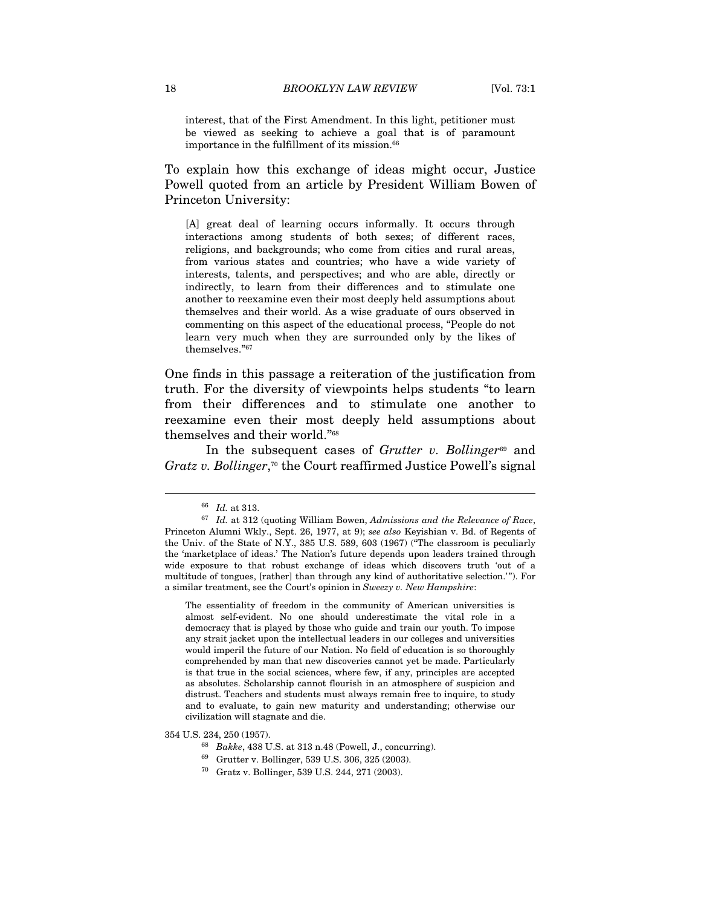interest, that of the First Amendment. In this light, petitioner must be viewed as seeking to achieve a goal that is of paramount importance in the fulfillment of its mission.<sup>66</sup>

To explain how this exchange of ideas might occur, Justice Powell quoted from an article by President William Bowen of Princeton University:

[A] great deal of learning occurs informally. It occurs through interactions among students of both sexes; of different races, religions, and backgrounds; who come from cities and rural areas, from various states and countries; who have a wide variety of interests, talents, and perspectives; and who are able, directly or indirectly, to learn from their differences and to stimulate one another to reexamine even their most deeply held assumptions about themselves and their world. As a wise graduate of ours observed in commenting on this aspect of the educational process, "People do not learn very much when they are surrounded only by the likes of themselves."67

One finds in this passage a reiteration of the justification from truth. For the diversity of viewpoints helps students "to learn from their differences and to stimulate one another to reexamine even their most deeply held assumptions about themselves and their world."68

In the subsequent cases of *Grutter v. Bollinger*<sup>69</sup> and Gratz v. Bollinger,<sup>70</sup> the Court reaffirmed Justice Powell's signal

 $\overline{a}$ 

The essentiality of freedom in the community of American universities is almost self-evident. No one should underestimate the vital role in a democracy that is played by those who guide and train our youth. To impose any strait jacket upon the intellectual leaders in our colleges and universities would imperil the future of our Nation. No field of education is so thoroughly comprehended by man that new discoveries cannot yet be made. Particularly is that true in the social sciences, where few, if any, principles are accepted as absolutes. Scholarship cannot flourish in an atmosphere of suspicion and distrust. Teachers and students must always remain free to inquire, to study and to evaluate, to gain new maturity and understanding; otherwise our civilization will stagnate and die.

- 354 U.S. 234, 250 (1957).<br><sup>68</sup> Bakke, 438 U.S. at 313 n.48 (Powell, J., concurring).<br><sup>69</sup> Grutter v. Bollinger, 539 U.S. 306, 325 (2003).
	-
	- 70 Gratz v. Bollinger, 539 U.S. 244, 271 (2003).

 $66$  Id. at 313.<br> $67$  Id. at 312 (quoting William Bowen, Admissions and the Relevance of Race, Princeton Alumni Wkly., Sept. 26, 1977, at 9); see also Keyishian v. Bd. of Regents of the Univ. of the State of N.Y., 385 U.S. 589, 603 (1967) ("The classroom is peculiarly the 'marketplace of ideas.' The Nation's future depends upon leaders trained through wide exposure to that robust exchange of ideas which discovers truth 'out of a multitude of tongues, [rather] than through any kind of authoritative selection.'"). For a similar treatment, see the Court's opinion in Sweezy v. New Hampshire: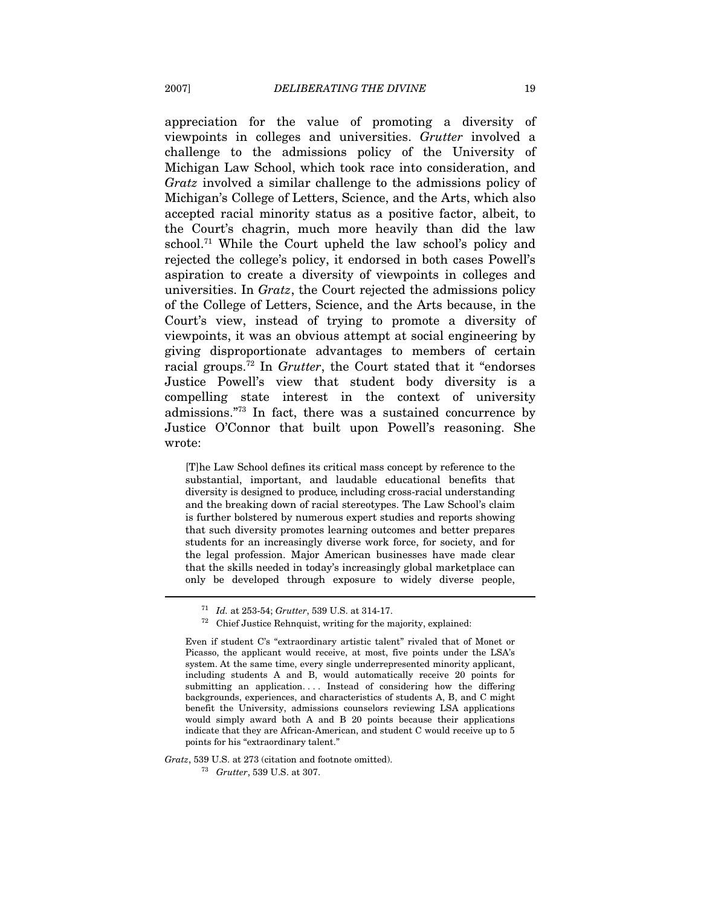appreciation for the value of promoting a diversity of viewpoints in colleges and universities. Grutter involved a challenge to the admissions policy of the University of Michigan Law School, which took race into consideration, and Gratz involved a similar challenge to the admissions policy of Michigan's College of Letters, Science, and the Arts, which also accepted racial minority status as a positive factor, albeit, to the Court's chagrin, much more heavily than did the law school.<sup>71</sup> While the Court upheld the law school's policy and rejected the college's policy, it endorsed in both cases Powell's aspiration to create a diversity of viewpoints in colleges and universities. In Gratz, the Court rejected the admissions policy of the College of Letters, Science, and the Arts because, in the Court's view, instead of trying to promote a diversity of viewpoints, it was an obvious attempt at social engineering by giving disproportionate advantages to members of certain racial groups.<sup>72</sup> In Grutter, the Court stated that it "endorses" Justice Powell's view that student body diversity is a compelling state interest in the context of university admissions."73 In fact, there was a sustained concurrence by Justice O'Connor that built upon Powell's reasoning. She wrote:

[T]he Law School defines its critical mass concept by reference to the substantial, important, and laudable educational benefits that diversity is designed to produce, including cross-racial understanding and the breaking down of racial stereotypes. The Law School's claim is further bolstered by numerous expert studies and reports showing that such diversity promotes learning outcomes and better prepares students for an increasingly diverse work force, for society, and for the legal profession. Major American businesses have made clear that the skills needed in today's increasingly global marketplace can only be developed through exposure to widely diverse people,

<sup>71</sup> Id. at 253-54; Grutter, 539 U.S. at 314-17.<br><sup>72</sup> Chief Justice Rehnquist, writing for the majority, explained:

Even if student C's "extraordinary artistic talent" rivaled that of Monet or Picasso, the applicant would receive, at most, five points under the LSA's system. At the same time, every single underrepresented minority applicant, including students A and B, would automatically receive 20 points for submitting an application.... Instead of considering how the differing backgrounds, experiences, and characteristics of students A, B, and C might benefit the University, admissions counselors reviewing LSA applications would simply award both A and B 20 points because their applications indicate that they are African-American, and student C would receive up to 5 points for his "extraordinary talent."

Gratz, 539 U.S. at 273 (citation and footnote omitted).<br><sup>73</sup> Grutter, 539 U.S. at 307.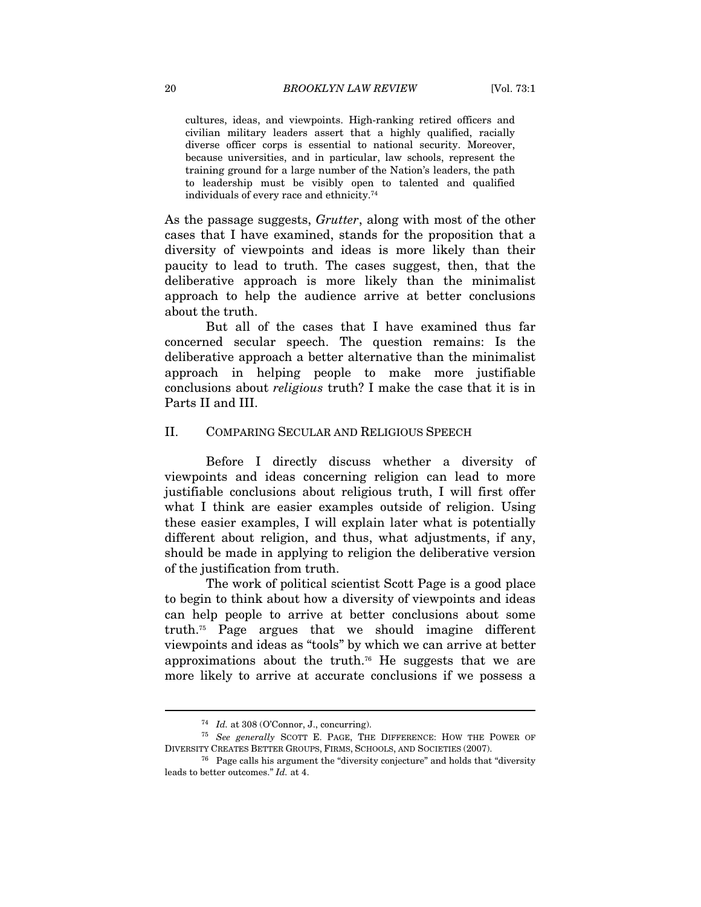cultures, ideas, and viewpoints. High-ranking retired officers and civilian military leaders assert that a highly qualified, racially diverse officer corps is essential to national security. Moreover, because universities, and in particular, law schools, represent the training ground for a large number of the Nation's leaders, the path to leadership must be visibly open to talented and qualified individuals of every race and ethnicity.74

As the passage suggests, *Grutter*, along with most of the other cases that I have examined, stands for the proposition that a diversity of viewpoints and ideas is more likely than their paucity to lead to truth. The cases suggest, then, that the deliberative approach is more likely than the minimalist approach to help the audience arrive at better conclusions about the truth.

But all of the cases that I have examined thus far concerned secular speech. The question remains: Is the deliberative approach a better alternative than the minimalist approach in helping people to make more justifiable conclusions about religious truth? I make the case that it is in Parts II and III.

#### II. COMPARING SECULAR AND RELIGIOUS SPEECH

Before I directly discuss whether a diversity of viewpoints and ideas concerning religion can lead to more justifiable conclusions about religious truth, I will first offer what I think are easier examples outside of religion. Using these easier examples, I will explain later what is potentially different about religion, and thus, what adjustments, if any, should be made in applying to religion the deliberative version of the justification from truth.

The work of political scientist Scott Page is a good place to begin to think about how a diversity of viewpoints and ideas can help people to arrive at better conclusions about some truth.75 Page argues that we should imagine different viewpoints and ideas as "tools" by which we can arrive at better approximations about the truth.76 He suggests that we are more likely to arrive at accurate conclusions if we possess a

 $^{74}$  Id. at 308 (O'Connor, J., concurring).  $^{75}$  See generally SCOTT E. PAGE, THE DIFFERENCE: HOW THE POWER OF DIVERSITY CREATES BETTER GROUPS, FIRMS, SCHOOLS, AND SOCIETIES (2007).

 $^{76}$  Page calls his argument the "diversity conjecture" and holds that "diversity  $\,$ leads to better outcomes." Id. at 4.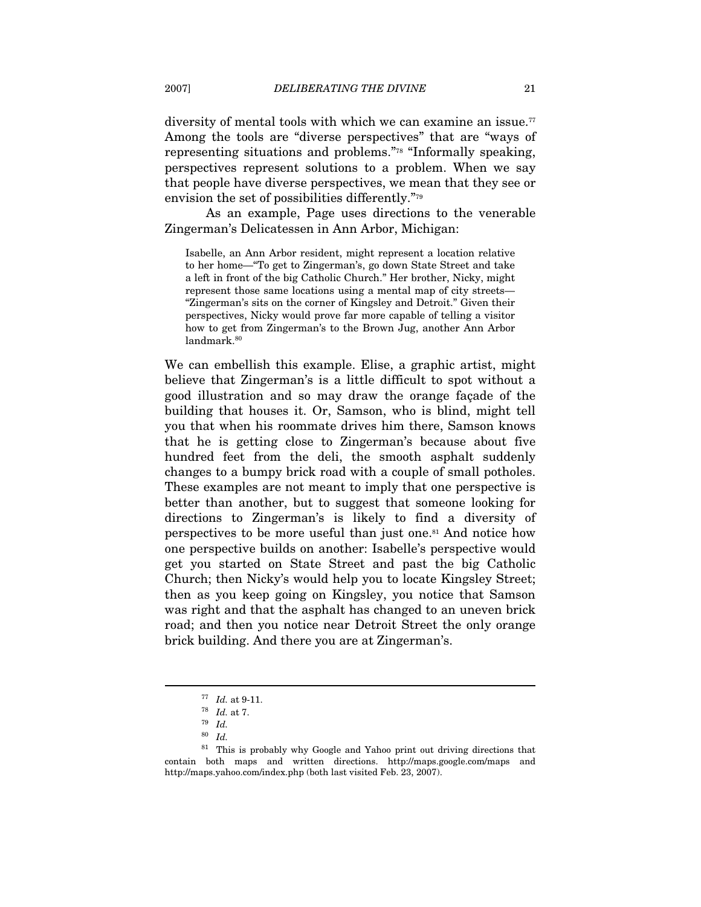diversity of mental tools with which we can examine an issue.<sup>77</sup> Among the tools are "diverse perspectives" that are "ways of representing situations and problems."78 "Informally speaking, perspectives represent solutions to a problem. When we say that people have diverse perspectives, we mean that they see or envision the set of possibilities differently."79

As an example, Page uses directions to the venerable Zingerman's Delicatessen in Ann Arbor, Michigan:

Isabelle, an Ann Arbor resident, might represent a location relative to her home—"To get to Zingerman's, go down State Street and take a left in front of the big Catholic Church." Her brother, Nicky, might represent those same locations using a mental map of city streets— "Zingerman's sits on the corner of Kingsley and Detroit." Given their perspectives, Nicky would prove far more capable of telling a visitor how to get from Zingerman's to the Brown Jug, another Ann Arbor landmark.<sup>80</sup>

We can embellish this example. Elise, a graphic artist, might believe that Zingerman's is a little difficult to spot without a good illustration and so may draw the orange façade of the building that houses it. Or, Samson, who is blind, might tell you that when his roommate drives him there, Samson knows that he is getting close to Zingerman's because about five hundred feet from the deli, the smooth asphalt suddenly changes to a bumpy brick road with a couple of small potholes. These examples are not meant to imply that one perspective is better than another, but to suggest that someone looking for directions to Zingerman's is likely to find a diversity of perspectives to be more useful than just one.81 And notice how one perspective builds on another: Isabelle's perspective would get you started on State Street and past the big Catholic Church; then Nicky's would help you to locate Kingsley Street; then as you keep going on Kingsley, you notice that Samson was right and that the asphalt has changed to an uneven brick road; and then you notice near Detroit Street the only orange brick building. And there you are at Zingerman's.

 $\begin{array}{c} 77 \ 78 \ \hline 1d. \ \hline 18 \ \hline 79 \ \hline 1d. \end{array}$  17.

 $80$  Id.

 $81$  This is probably why Google and Yahoo print out driving directions that contain both maps and written directions. http://maps.google.com/maps and http://maps.yahoo.com/index.php (both last visited Feb. 23, 2007).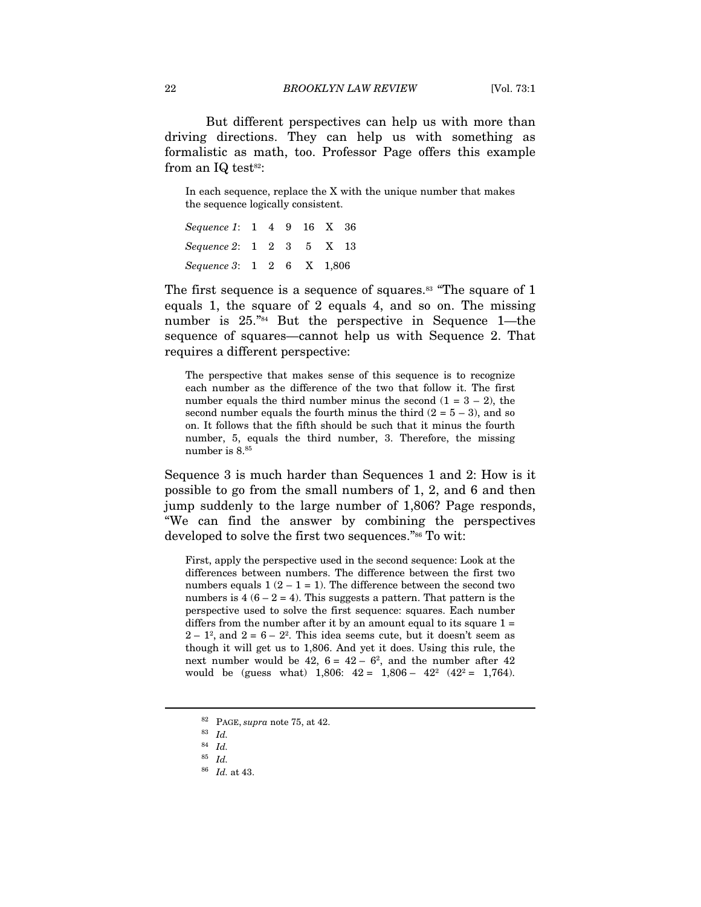But different perspectives can help us with more than driving directions. They can help us with something as formalistic as math, too. Professor Page offers this example from an  $IQ$  test $^{82}$ :

In each sequence, replace the X with the unique number that makes the sequence logically consistent.

| Sequence 1: 1 4 9 16 X 36 |  |  |  |  |
|---------------------------|--|--|--|--|
| Sequence 2: 1 2 3 5 X 13  |  |  |  |  |
| Sequence 3: 1 2 6 X 1,806 |  |  |  |  |

The first sequence is a sequence of squares.<sup>83</sup> "The square of 1 equals 1, the square of 2 equals 4, and so on. The missing number is 25."84 But the perspective in Sequence 1—the sequence of squares—cannot help us with Sequence 2. That requires a different perspective:

The perspective that makes sense of this sequence is to recognize each number as the difference of the two that follow it. The first number equals the third number minus the second  $(1 = 3 - 2)$ , the second number equals the fourth minus the third  $(2 = 5 - 3)$ , and so on. It follows that the fifth should be such that it minus the fourth number, 5, equals the third number, 3. Therefore, the missing number is 8.<sup>85</sup>

Sequence 3 is much harder than Sequences 1 and 2: How is it possible to go from the small numbers of 1, 2, and 6 and then jump suddenly to the large number of 1,806? Page responds, "We can find the answer by combining the perspectives developed to solve the first two sequences."86 To wit:

First, apply the perspective used in the second sequence: Look at the differences between numbers. The difference between the first two numbers equals  $1(2 - 1 = 1)$ . The difference between the second two numbers is  $4(6-2=4)$ . This suggests a pattern. That pattern is the perspective used to solve the first sequence: squares. Each number differs from the number after it by an amount equal to its square  $1 =$  $2 - 1^2$ , and  $2 = 6 - 2^2$ . This idea seems cute, but it doesn't seem as though it will get us to 1,806. And yet it does. Using this rule, the next number would be  $42$ ,  $6 = 42 - 6^2$ , and the number after  $42$ would be (guess what)  $1,806$ :  $42 = 1,806 - 42^2$   $(42^2 = 1,764)$ .

<sup>&</sup>lt;sup>82</sup> PAGE, *supra* note 75, at 42.<br><sup>83</sup> Id.

 $^{84}\,$   $Id.$ 

 $^{85}\,$   $Id.$ 

 $86$  *Id.* at 43.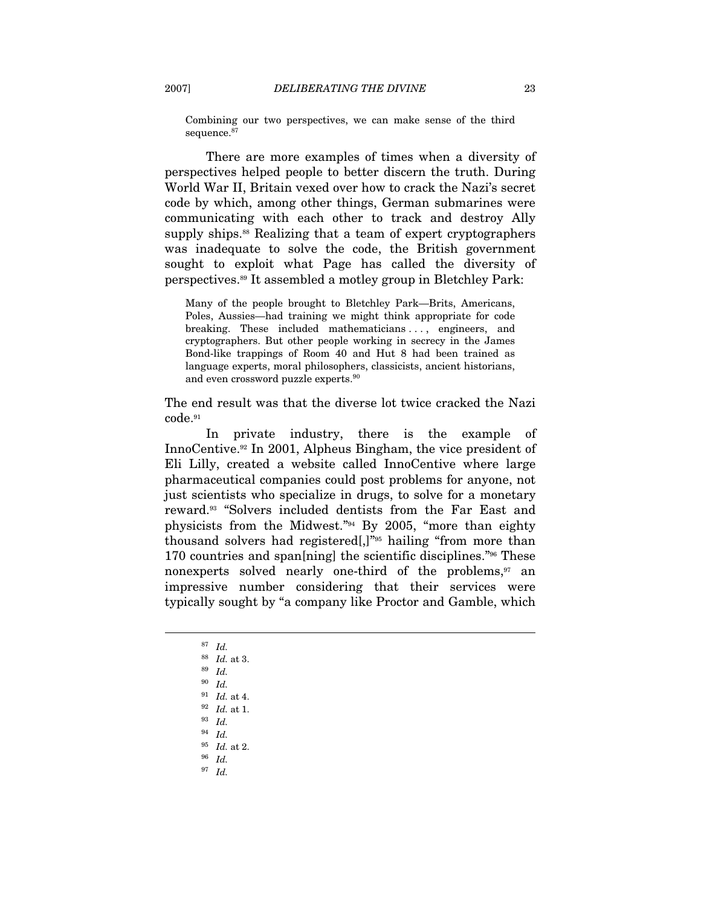Combining our two perspectives, we can make sense of the third sequence.<sup>87</sup>

There are more examples of times when a diversity of perspectives helped people to better discern the truth. During World War II, Britain vexed over how to crack the Nazi's secret code by which, among other things, German submarines were communicating with each other to track and destroy Ally supply ships.<sup>88</sup> Realizing that a team of expert cryptographers was inadequate to solve the code, the British government sought to exploit what Page has called the diversity of perspectives.89 It assembled a motley group in Bletchley Park:

Many of the people brought to Bletchley Park—Brits, Americans, Poles, Aussies—had training we might think appropriate for code breaking. These included mathematicians ..., engineers, and cryptographers. But other people working in secrecy in the James Bond-like trappings of Room 40 and Hut 8 had been trained as language experts, moral philosophers, classicists, ancient historians, and even crossword puzzle experts.90

The end result was that the diverse lot twice cracked the Nazi code.91

In private industry, there is the example of InnoCentive.92 In 2001, Alpheus Bingham, the vice president of Eli Lilly, created a website called InnoCentive where large pharmaceutical companies could post problems for anyone, not just scientists who specialize in drugs, to solve for a monetary reward.93 "Solvers included dentists from the Far East and physicists from the Midwest."94 By 2005, "more than eighty thousand solvers had registered[,]"95 hailing "from more than 170 countries and span[ning] the scientific disciplines."96 These nonexperts solved nearly one-third of the problems,<sup>97</sup> an impressive number considering that their services were typically sought by "a company like Proctor and Gamble, which

- <sup>87</sup> Id.
- $\frac{88}{89}$  *Id.* at 3.<br> $\frac{89}{1}$  *Id.*
- 

 $\overline{a}$ 

- 
- $\stackrel{90}{1}$   $\stackrel{Id.}{Id.}$  at 4.
- $\frac{92}{93}$  *Id.* at 1.<br> $\frac{93}{1d}$ .
- 
- <sup>94</sup> Id.

 $\stackrel{95}{\phantom{1}96}\,\,\stackrel{Id.}{Id.}$  at 2.

- 
- <sup>97</sup> Id.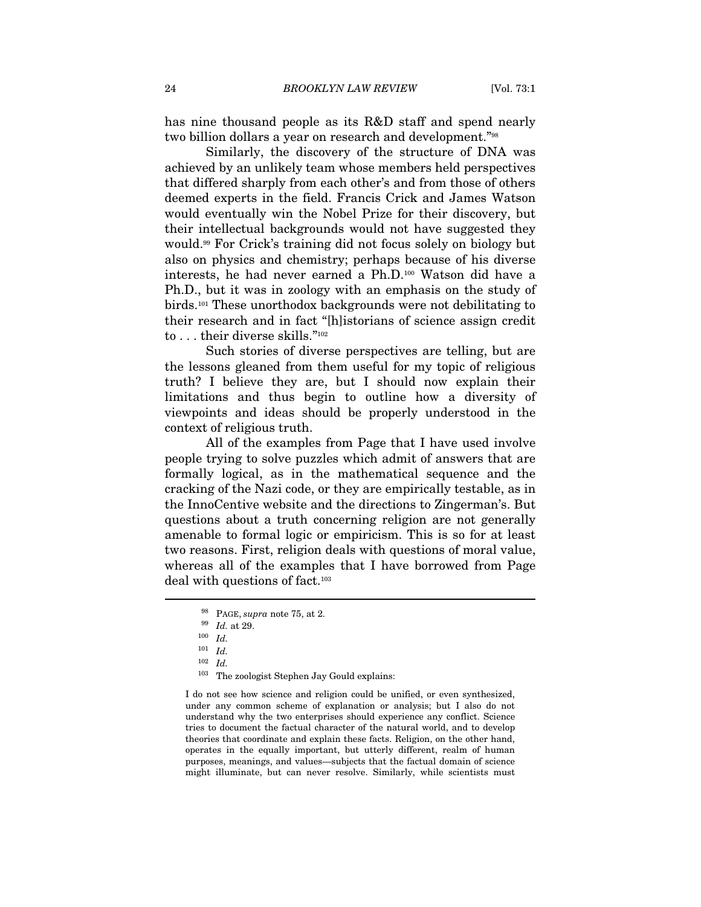has nine thousand people as its R&D staff and spend nearly two billion dollars a year on research and development."98

Similarly, the discovery of the structure of DNA was achieved by an unlikely team whose members held perspectives that differed sharply from each other's and from those of others deemed experts in the field. Francis Crick and James Watson would eventually win the Nobel Prize for their discovery, but their intellectual backgrounds would not have suggested they would.99 For Crick's training did not focus solely on biology but also on physics and chemistry; perhaps because of his diverse interests, he had never earned a Ph.D.100 Watson did have a Ph.D., but it was in zoology with an emphasis on the study of birds.101 These unorthodox backgrounds were not debilitating to their research and in fact "[h]istorians of science assign credit to . . . their diverse skills."102

Such stories of diverse perspectives are telling, but are the lessons gleaned from them useful for my topic of religious truth? I believe they are, but I should now explain their limitations and thus begin to outline how a diversity of viewpoints and ideas should be properly understood in the context of religious truth.

All of the examples from Page that I have used involve people trying to solve puzzles which admit of answers that are formally logical, as in the mathematical sequence and the cracking of the Nazi code, or they are empirically testable, as in the InnoCentive website and the directions to Zingerman's. But questions about a truth concerning religion are not generally amenable to formal logic or empiricism. This is so for at least two reasons. First, religion deals with questions of moral value, whereas all of the examples that I have borrowed from Page deal with questions of fact.103

I do not see how science and religion could be unified, or even synthesized, under any common scheme of explanation or analysis; but I also do not understand why the two enterprises should experience any conflict. Science tries to document the factual character of the natural world, and to develop theories that coordinate and explain these facts. Religion, on the other hand, operates in the equally important, but utterly different, realm of human purposes, meanings, and values—subjects that the factual domain of science might illuminate, but can never resolve. Similarly, while scientists must

<sup>&</sup>lt;sup>98</sup> PAGE, *supra* note 75, at 2.<br><sup>99</sup> Id. at 29.<br><sup>100</sup> Id.<br><sup>101</sup> Id.

 $102$  *Id.* 

 $^{103}\;$  The zoologist Stephen Jay Gould explains: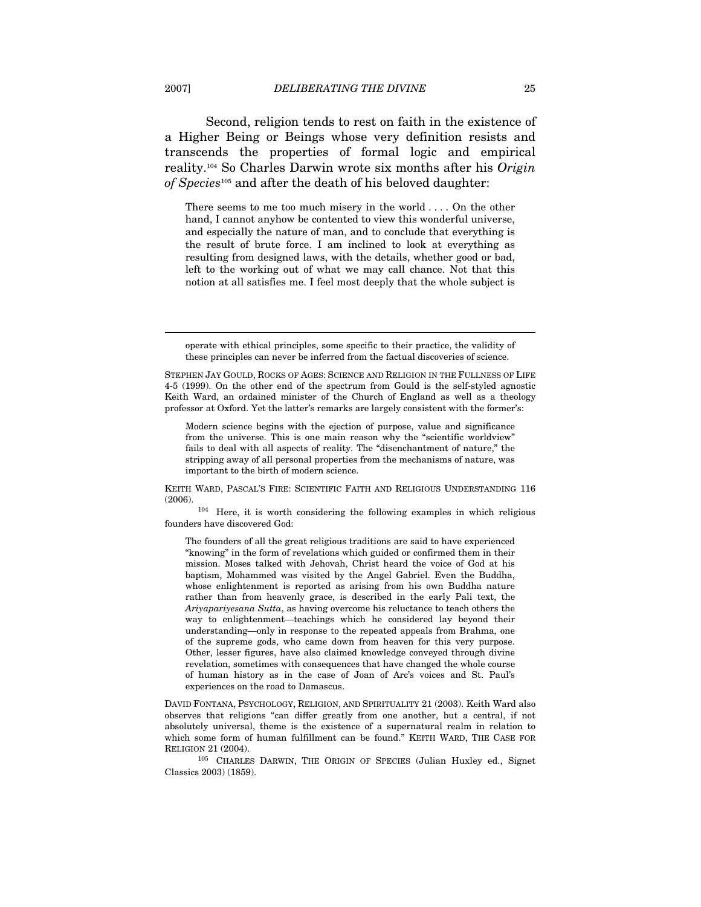Second, religion tends to rest on faith in the existence of a Higher Being or Beings whose very definition resists and transcends the properties of formal logic and empirical reality.104 So Charles Darwin wrote six months after his Origin of Species<sup>105</sup> and after the death of his beloved daughter:

There seems to me too much misery in the world . . . . On the other hand, I cannot anyhow be contented to view this wonderful universe, and especially the nature of man, and to conclude that everything is the result of brute force. I am inclined to look at everything as resulting from designed laws, with the details, whether good or bad, left to the working out of what we may call chance. Not that this notion at all satisfies me. I feel most deeply that the whole subject is

operate with ethical principles, some specific to their practice, the validity of these principles can never be inferred from the factual discoveries of science.

STEPHEN JAY GOULD, ROCKS OF AGES: SCIENCE AND RELIGION IN THE FULLNESS OF LIFE 4-5 (1999). On the other end of the spectrum from Gould is the self-styled agnostic Keith Ward, an ordained minister of the Church of England as well as a theology professor at Oxford. Yet the latter's remarks are largely consistent with the former's:

Modern science begins with the ejection of purpose, value and significance from the universe. This is one main reason why the "scientific worldview" fails to deal with all aspects of reality. The "disenchantment of nature," the stripping away of all personal properties from the mechanisms of nature, was important to the birth of modern science.

KEITH WARD, PASCAL'S FIRE: SCIENTIFIC FAITH AND RELIGIOUS UNDERSTANDING 116

(2006).  $104$  Here, it is worth considering the following examples in which religious founders have discovered God:

The founders of all the great religious traditions are said to have experienced "knowing" in the form of revelations which guided or confirmed them in their mission. Moses talked with Jehovah, Christ heard the voice of God at his baptism, Mohammed was visited by the Angel Gabriel. Even the Buddha, whose enlightenment is reported as arising from his own Buddha nature rather than from heavenly grace, is described in the early Pali text, the Ariyapariyesana Sutta, as having overcome his reluctance to teach others the way to enlightenment—teachings which he considered lay beyond their understanding—only in response to the repeated appeals from Brahma, one of the supreme gods, who came down from heaven for this very purpose. Other, lesser figures, have also claimed knowledge conveyed through divine revelation, sometimes with consequences that have changed the whole course of human history as in the case of Joan of Arc's voices and St. Paul's experiences on the road to Damascus.

DAVID FONTANA, PSYCHOLOGY, RELIGION, AND SPIRITUALITY 21 (2003). Keith Ward also observes that religions "can differ greatly from one another, but a central, if not absolutely universal, theme is the existence of a supernatural realm in relation to which some form of human fulfillment can be found." KEITH WARD, THE CASE FOR RELIGION 21 (2004).

105 CHARLES DARWIN, THE ORIGIN OF SPECIES (Julian Huxley ed., Signet Classics 2003) (1859).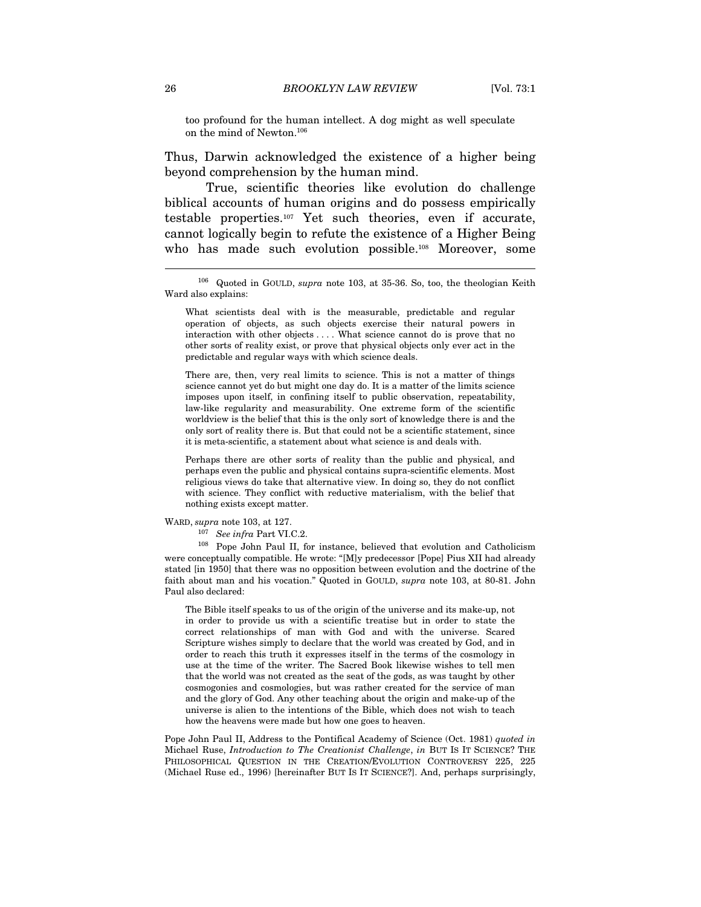too profound for the human intellect. A dog might as well speculate on the mind of Newton.106

Thus, Darwin acknowledged the existence of a higher being beyond comprehension by the human mind.

True, scientific theories like evolution do challenge biblical accounts of human origins and do possess empirically testable properties.107 Yet such theories, even if accurate, cannot logically begin to refute the existence of a Higher Being who has made such evolution possible.<sup>108</sup> Moreover, some

What scientists deal with is the measurable, predictable and regular operation of objects, as such objects exercise their natural powers in interaction with other objects . . . . What science cannot do is prove that no other sorts of reality exist, or prove that physical objects only ever act in the predictable and regular ways with which science deals.

There are, then, very real limits to science. This is not a matter of things science cannot yet do but might one day do. It is a matter of the limits science imposes upon itself, in confining itself to public observation, repeatability, law-like regularity and measurability. One extreme form of the scientific worldview is the belief that this is the only sort of knowledge there is and the only sort of reality there is. But that could not be a scientific statement, since it is meta-scientific, a statement about what science is and deals with.

Perhaps there are other sorts of reality than the public and physical, and perhaps even the public and physical contains supra-scientific elements. Most religious views do take that alternative view. In doing so, they do not conflict with science. They conflict with reductive materialism, with the belief that nothing exists except matter.

WARD, supra note 103, at 127.<br><sup>107</sup> See infra Part VI.C.2.<br><sup>108</sup> Pope John Paul II, for instance, believed that evolution and Catholicism were conceptually compatible. He wrote: "[M]y predecessor [Pope] Pius XII had already stated [in 1950] that there was no opposition between evolution and the doctrine of the faith about man and his vocation." Quoted in GOULD, supra note 103, at 80-81. John Paul also declared:

The Bible itself speaks to us of the origin of the universe and its make-up, not in order to provide us with a scientific treatise but in order to state the correct relationships of man with God and with the universe. Scared Scripture wishes simply to declare that the world was created by God, and in order to reach this truth it expresses itself in the terms of the cosmology in use at the time of the writer. The Sacred Book likewise wishes to tell men that the world was not created as the seat of the gods, as was taught by other cosmogonies and cosmologies, but was rather created for the service of man and the glory of God. Any other teaching about the origin and make-up of the universe is alien to the intentions of the Bible, which does not wish to teach how the heavens were made but how one goes to heaven.

Pope John Paul II, Address to the Pontifical Academy of Science (Oct. 1981) quoted in Michael Ruse, Introduction to The Creationist Challenge, in BUT IS IT SCIENCE? THE PHILOSOPHICAL QUESTION IN THE CREATION/EVOLUTION CONTROVERSY 225, 225 (Michael Ruse ed., 1996) [hereinafter BUT IS IT SCIENCE?]. And, perhaps surprisingly,

<sup>106</sup> Quoted in GOULD, supra note 103, at 35-36. So, too, the theologian Keith Ward also explains: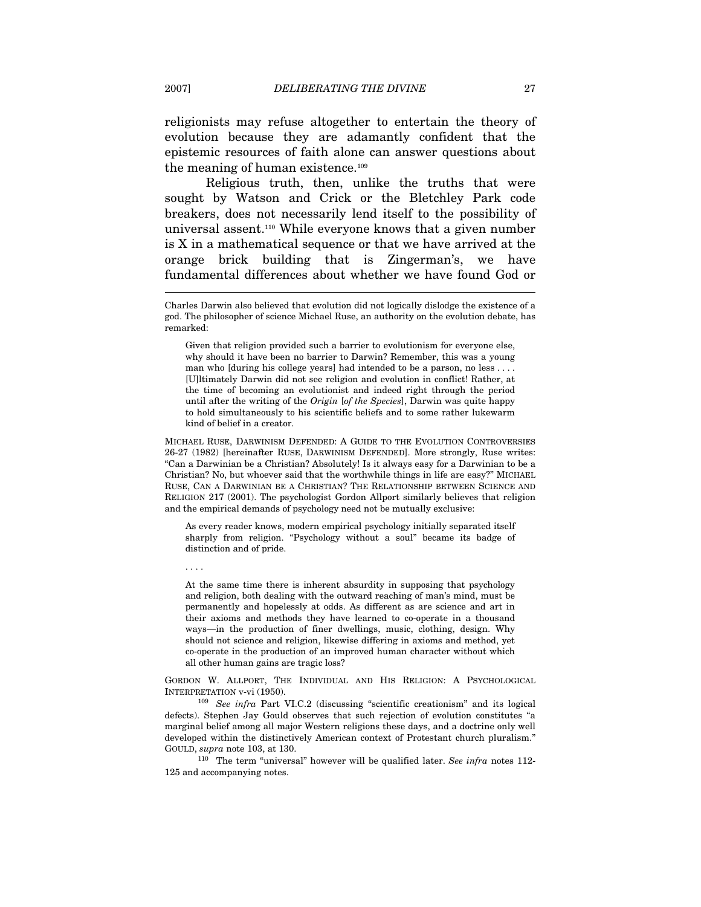religionists may refuse altogether to entertain the theory of evolution because they are adamantly confident that the epistemic resources of faith alone can answer questions about the meaning of human existence.109

Religious truth, then, unlike the truths that were sought by Watson and Crick or the Bletchley Park code breakers, does not necessarily lend itself to the possibility of universal assent.110 While everyone knows that a given number is X in a mathematical sequence or that we have arrived at the orange brick building that is Zingerman's, we have fundamental differences about whether we have found God or

Given that religion provided such a barrier to evolutionism for everyone else, why should it have been no barrier to Darwin? Remember, this was a young man who [during his college years] had intended to be a parson, no less . . . . [U]ltimately Darwin did not see religion and evolution in conflict! Rather, at the time of becoming an evolutionist and indeed right through the period until after the writing of the Origin [of the Species], Darwin was quite happy to hold simultaneously to his scientific beliefs and to some rather lukewarm kind of belief in a creator.

MICHAEL RUSE, DARWINISM DEFENDED: A GUIDE TO THE EVOLUTION CONTROVERSIES 26-27 (1982) [hereinafter RUSE, DARWINISM DEFENDED]. More strongly, Ruse writes: "Can a Darwinian be a Christian? Absolutely! Is it always easy for a Darwinian to be a Christian? No, but whoever said that the worthwhile things in life are easy?" MICHAEL RUSE, CAN A DARWINIAN BE A CHRISTIAN? THE RELATIONSHIP BETWEEN SCIENCE AND RELIGION 217 (2001). The psychologist Gordon Allport similarly believes that religion and the empirical demands of psychology need not be mutually exclusive:

As every reader knows, modern empirical psychology initially separated itself sharply from religion. "Psychology without a soul" became its badge of distinction and of pride.

At the same time there is inherent absurdity in supposing that psychology and religion, both dealing with the outward reaching of man's mind, must be permanently and hopelessly at odds. As different as are science and art in their axioms and methods they have learned to co-operate in a thousand ways—in the production of finer dwellings, music, clothing, design. Why should not science and religion, likewise differing in axioms and method, yet co-operate in the production of an improved human character without which all other human gains are tragic loss?

GORDON W. ALLPORT, THE INDIVIDUAL AND HIS RELIGION: A PSYCHOLOGICAL INTERPRETATION v-vi (1950).<br><sup>109</sup> See infra Part VI.C.2 (discussing "scientific creationism" and its logical

defects). Stephen Jay Gould observes that such rejection of evolution constitutes "a marginal belief among all major Western religions these days, and a doctrine only well developed within the distinctively American context of Protestant church pluralism."

GOULD, supra note 103, at 130.<br><sup>110</sup> The term "universal" however will be qualified later. See infra notes 112-125 and accompanying notes.

. . . .

Charles Darwin also believed that evolution did not logically dislodge the existence of a god. The philosopher of science Michael Ruse, an authority on the evolution debate, has remarked: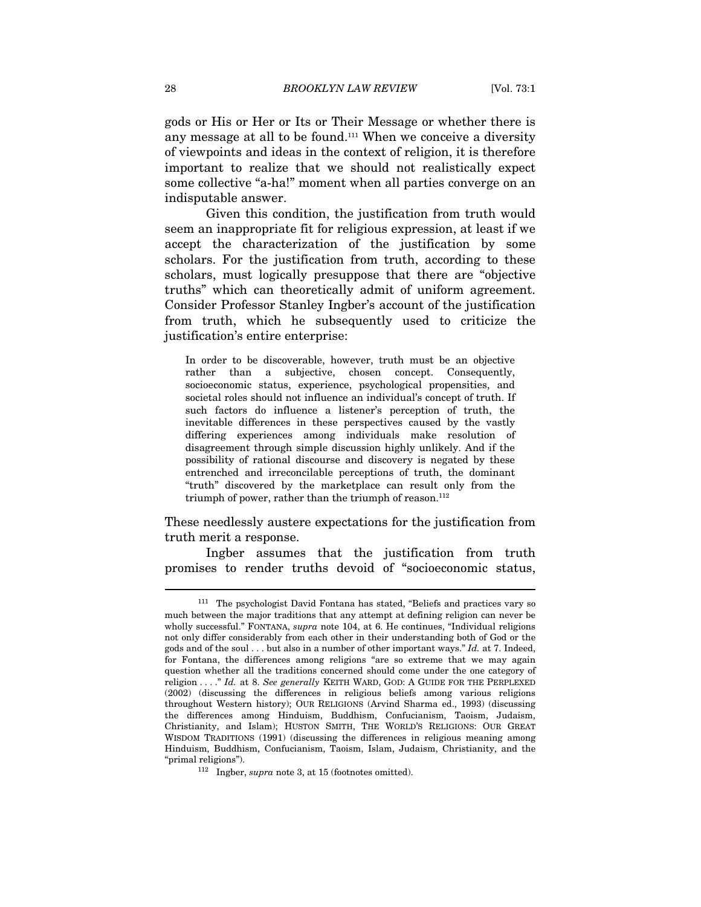gods or His or Her or Its or Their Message or whether there is any message at all to be found.111 When we conceive a diversity of viewpoints and ideas in the context of religion, it is therefore important to realize that we should not realistically expect some collective "a-ha!" moment when all parties converge on an indisputable answer.

Given this condition, the justification from truth would seem an inappropriate fit for religious expression, at least if we accept the characterization of the justification by some scholars. For the justification from truth, according to these scholars, must logically presuppose that there are "objective truths" which can theoretically admit of uniform agreement. Consider Professor Stanley Ingber's account of the justification from truth, which he subsequently used to criticize the justification's entire enterprise:

In order to be discoverable, however, truth must be an objective rather than a subjective, chosen concept. Consequently, socioeconomic status, experience, psychological propensities, and societal roles should not influence an individual's concept of truth. If such factors do influence a listener's perception of truth, the inevitable differences in these perspectives caused by the vastly differing experiences among individuals make resolution of disagreement through simple discussion highly unlikely. And if the possibility of rational discourse and discovery is negated by these entrenched and irreconcilable perceptions of truth, the dominant "truth" discovered by the marketplace can result only from the triumph of power, rather than the triumph of reason.<sup>112</sup>

These needlessly austere expectations for the justification from truth merit a response.

Ingber assumes that the justification from truth promises to render truths devoid of "socioeconomic status,

<sup>111</sup> The psychologist David Fontana has stated, "Beliefs and practices vary so much between the major traditions that any attempt at defining religion can never be wholly successful." FONTANA, *supra* note 104, at 6. He continues, "Individual religions not only differ considerably from each other in their understanding both of God or the gods and of the soul . . . but also in a number of other important ways." Id. at 7. Indeed, for Fontana, the differences among religions "are so extreme that we may again question whether all the traditions concerned should come under the one category of religion . . . ." Id. at 8. See generally KEITH WARD, GOD: A GUIDE FOR THE PERPLEXED (2002) (discussing the differences in religious beliefs among various religions throughout Western history); OUR RELIGIONS (Arvind Sharma ed., 1993) (discussing the differences among Hinduism, Buddhism, Confucianism, Taoism, Judaism, Christianity, and Islam); HUSTON SMITH, THE WORLD'S RELIGIONS: OUR GREAT WISDOM TRADITIONS (1991) (discussing the differences in religious meaning among Hinduism, Buddhism, Confucianism, Taoism, Islam, Judaism, Christianity, and the "primal religions").<br> $^{112}$  Ingber, *supra* note 3, at 15 (footnotes omitted).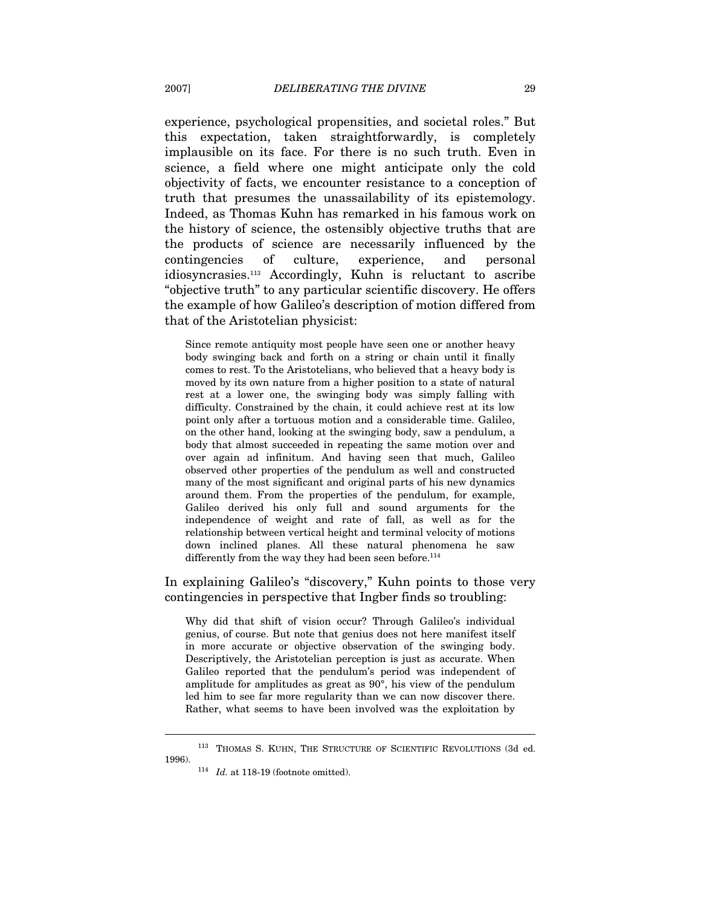experience, psychological propensities, and societal roles." But this expectation, taken straightforwardly, is completely implausible on its face. For there is no such truth. Even in science, a field where one might anticipate only the cold objectivity of facts, we encounter resistance to a conception of truth that presumes the unassailability of its epistemology. Indeed, as Thomas Kuhn has remarked in his famous work on the history of science, the ostensibly objective truths that are the products of science are necessarily influenced by the contingencies of culture, experience, and personal idiosyncrasies.113 Accordingly, Kuhn is reluctant to ascribe "objective truth" to any particular scientific discovery. He offers the example of how Galileo's description of motion differed from that of the Aristotelian physicist:

Since remote antiquity most people have seen one or another heavy body swinging back and forth on a string or chain until it finally comes to rest. To the Aristotelians, who believed that a heavy body is moved by its own nature from a higher position to a state of natural rest at a lower one, the swinging body was simply falling with difficulty. Constrained by the chain, it could achieve rest at its low point only after a tortuous motion and a considerable time. Galileo, on the other hand, looking at the swinging body, saw a pendulum, a body that almost succeeded in repeating the same motion over and over again ad infinitum. And having seen that much, Galileo observed other properties of the pendulum as well and constructed many of the most significant and original parts of his new dynamics around them. From the properties of the pendulum, for example, Galileo derived his only full and sound arguments for the independence of weight and rate of fall, as well as for the relationship between vertical height and terminal velocity of motions down inclined planes. All these natural phenomena he saw differently from the way they had been seen before.<sup>114</sup>

# In explaining Galileo's "discovery," Kuhn points to those very contingencies in perspective that Ingber finds so troubling:

Why did that shift of vision occur? Through Galileo's individual genius, of course. But note that genius does not here manifest itself in more accurate or objective observation of the swinging body. Descriptively, the Aristotelian perception is just as accurate. When Galileo reported that the pendulum's period was independent of amplitude for amplitudes as great as 90°, his view of the pendulum led him to see far more regularity than we can now discover there. Rather, what seems to have been involved was the exploitation by

<sup>113</sup> THOMAS S. KUHN, THE STRUCTURE OF SCIENTIFIC REVOLUTIONS (3d ed. 1996).  $114$  *Id.* at 118-19 (footnote omitted).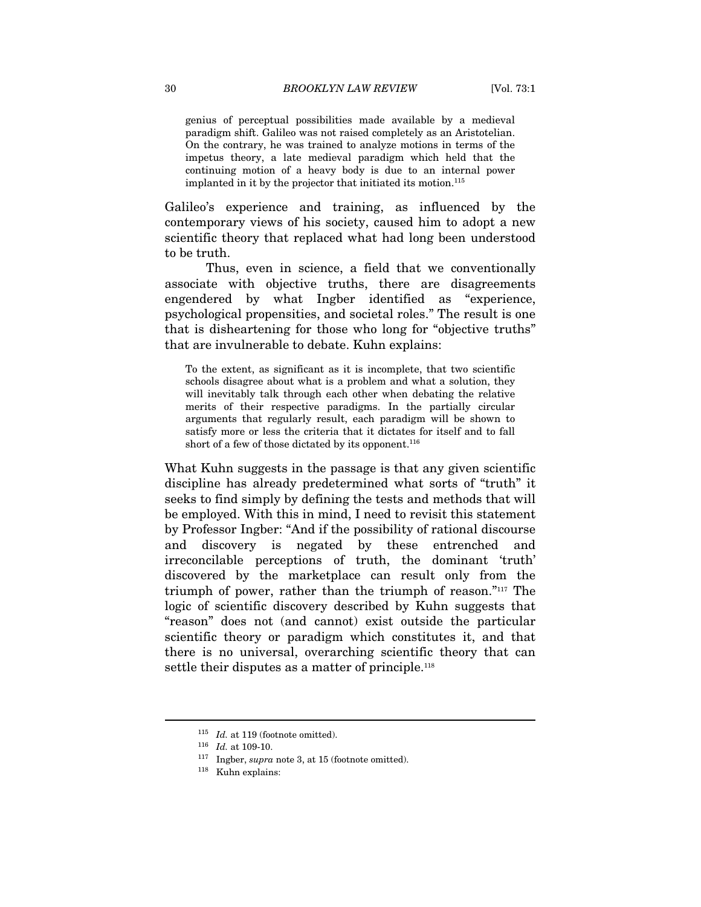genius of perceptual possibilities made available by a medieval paradigm shift. Galileo was not raised completely as an Aristotelian. On the contrary, he was trained to analyze motions in terms of the impetus theory, a late medieval paradigm which held that the continuing motion of a heavy body is due to an internal power implanted in it by the projector that initiated its motion.<sup>115</sup>

Galileo's experience and training, as influenced by the contemporary views of his society, caused him to adopt a new scientific theory that replaced what had long been understood to be truth.

Thus, even in science, a field that we conventionally associate with objective truths, there are disagreements engendered by what Ingber identified as "experience, psychological propensities, and societal roles." The result is one that is disheartening for those who long for "objective truths" that are invulnerable to debate. Kuhn explains:

To the extent, as significant as it is incomplete, that two scientific schools disagree about what is a problem and what a solution, they will inevitably talk through each other when debating the relative merits of their respective paradigms. In the partially circular arguments that regularly result, each paradigm will be shown to satisfy more or less the criteria that it dictates for itself and to fall short of a few of those dictated by its opponent.<sup>116</sup>

What Kuhn suggests in the passage is that any given scientific discipline has already predetermined what sorts of "truth" it seeks to find simply by defining the tests and methods that will be employed. With this in mind, I need to revisit this statement by Professor Ingber: "And if the possibility of rational discourse and discovery is negated by these entrenched and irreconcilable perceptions of truth, the dominant 'truth' discovered by the marketplace can result only from the triumph of power, rather than the triumph of reason."117 The logic of scientific discovery described by Kuhn suggests that "reason" does not (and cannot) exist outside the particular scientific theory or paradigm which constitutes it, and that there is no universal, overarching scientific theory that can settle their disputes as a matter of principle.<sup>118</sup>

 $^{115}\;$   $Id.$  at 119 (footnote omitted).

<sup>&</sup>lt;sup>116</sup> *Id.* at 109-10.<br><sup>117</sup> Ingber, *supra* note 3, at 15 (footnote omitted).<br><sup>118</sup> Kuhn explains: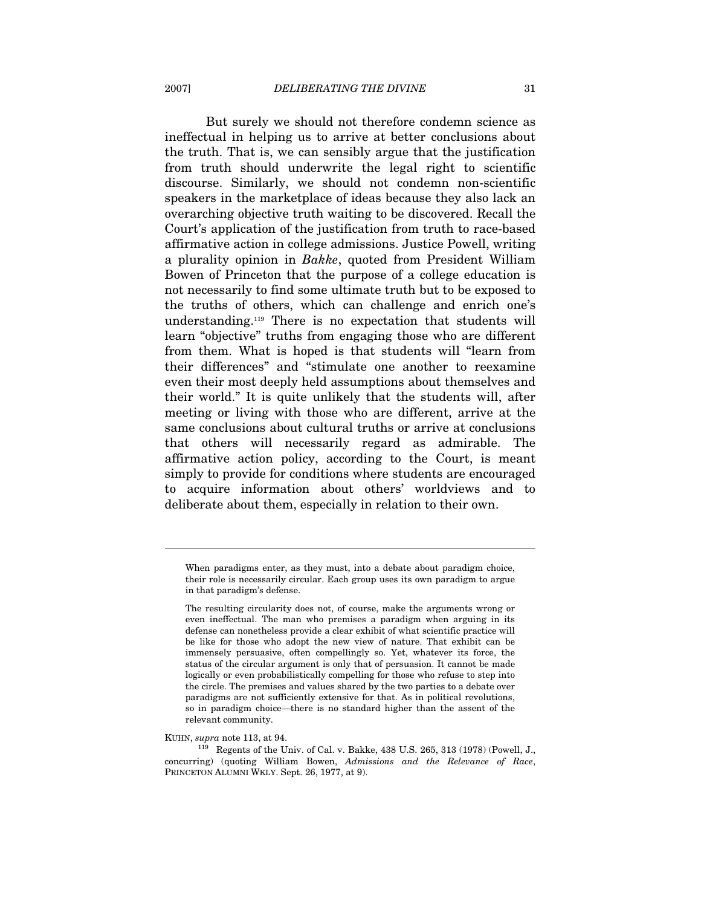But surely we should not therefore condemn science as ineffectual in helping us to arrive at better conclusions about the truth. That is, we can sensibly argue that the justification from truth should underwrite the legal right to scientific discourse. Similarly, we should not condemn non-scientific speakers in the marketplace of ideas because they also lack an overarching objective truth waiting to be discovered. Recall the Court's application of the justification from truth to race-based affirmative action in college admissions. Justice Powell, writing a plurality opinion in Bakke, quoted from President William Bowen of Princeton that the purpose of a college education is not necessarily to find some ultimate truth but to be exposed to the truths of others, which can challenge and enrich one's understanding.119 There is no expectation that students will learn "objective" truths from engaging those who are different from them. What is hoped is that students will "learn from their differences" and "stimulate one another to reexamine even their most deeply held assumptions about themselves and their world." It is quite unlikely that the students will, after meeting or living with those who are different, arrive at the same conclusions about cultural truths or arrive at conclusions that others will necessarily regard as admirable. The affirmative action policy, according to the Court, is meant simply to provide for conditions where students are encouraged to acquire information about others' worldviews and to deliberate about them, especially in relation to their own.

When paradigms enter, as they must, into a debate about paradigm choice, their role is necessarily circular. Each group uses its own paradigm to argue in that paradigm's defense.

The resulting circularity does not, of course, make the arguments wrong or even ineffectual. The man who premises a paradigm when arguing in its defense can nonetheless provide a clear exhibit of what scientific practice will be like for those who adopt the new view of nature. That exhibit can be immensely persuasive, often compellingly so. Yet, whatever its force, the status of the circular argument is only that of persuasion. It cannot be made logically or even probabilistically compelling for those who refuse to step into the circle. The premises and values shared by the two parties to a debate over paradigms are not sufficiently extensive for that. As in political revolutions, so in paradigm choice—there is no standard higher than the assent of the relevant community.

KUHN, supra note 113, at 94. 119 Regents of the Univ. of Cal. v. Bakke, 438 U.S. 265, 313 (1978) (Powell, J., concurring) (quoting William Bowen, Admissions and the Relevance of Race, PRINCETON ALUMNI WKLY. Sept. 26, 1977, at 9).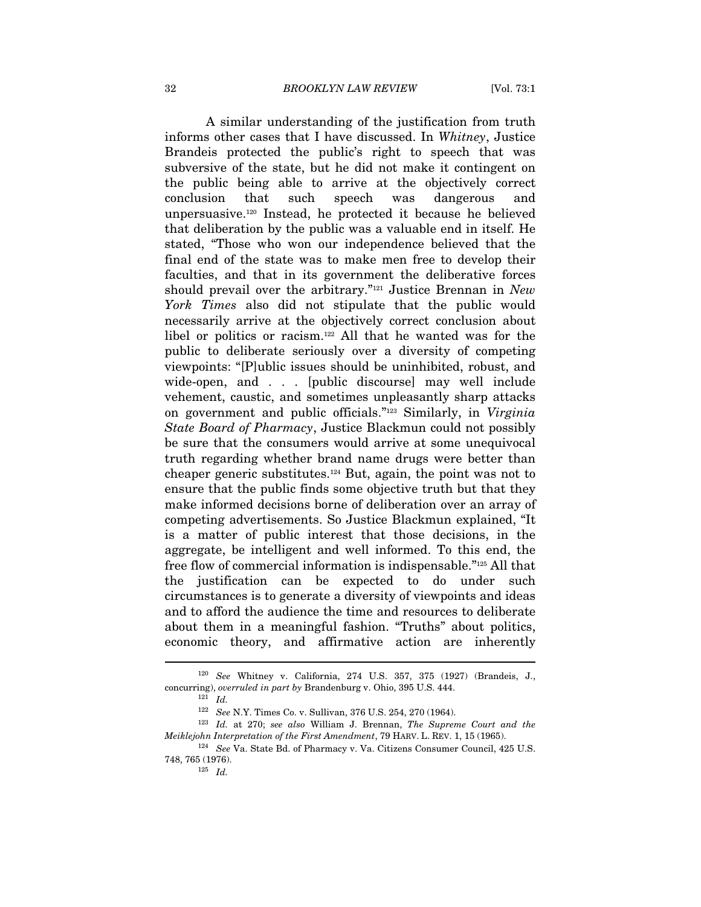A similar understanding of the justification from truth informs other cases that I have discussed. In Whitney, Justice Brandeis protected the public's right to speech that was subversive of the state, but he did not make it contingent on the public being able to arrive at the objectively correct conclusion that such speech was dangerous and unpersuasive.120 Instead, he protected it because he believed that deliberation by the public was a valuable end in itself. He stated, "Those who won our independence believed that the final end of the state was to make men free to develop their faculties, and that in its government the deliberative forces should prevail over the arbitrary."<sup>121</sup> Justice Brennan in New York Times also did not stipulate that the public would necessarily arrive at the objectively correct conclusion about libel or politics or racism.122 All that he wanted was for the public to deliberate seriously over a diversity of competing viewpoints: "[P]ublic issues should be uninhibited, robust, and wide-open, and . . . [public discourse] may well include vehement, caustic, and sometimes unpleasantly sharp attacks on government and public officials."123 Similarly, in Virginia State Board of Pharmacy, Justice Blackmun could not possibly be sure that the consumers would arrive at some unequivocal truth regarding whether brand name drugs were better than cheaper generic substitutes.124 But, again, the point was not to ensure that the public finds some objective truth but that they make informed decisions borne of deliberation over an array of competing advertisements. So Justice Blackmun explained, "It is a matter of public interest that those decisions, in the aggregate, be intelligent and well informed. To this end, the free flow of commercial information is indispensable."125 All that the justification can be expected to do under such circumstances is to generate a diversity of viewpoints and ideas and to afford the audience the time and resources to deliberate about them in a meaningful fashion. "Truths" about politics, economic theory, and affirmative action are inherently

 $^{120}$  See Whitney v. California, 274 U.S. 357, 375 (1927) (Brandeis, J., concurring), overruled in part by Brandenburg v. Ohio, 395 U.S. 444.

 $\frac{121}{122}$  Id.  $\frac{122}{122}$  See N.Y. Times Co. v. Sullivan, 376 U.S. 254, 270 (1964).

<sup>123</sup> Id. at 270; see also William J. Brennan, The Supreme Court and the

Meiklejohn Interpretation of the First Amendment, 79 HARV. L. REV. 1, 15 (1965).<br><sup>124</sup> See Va. State Bd. of Pharmacy v. Va. Citizens Consumer Council, 425 U.S. 748, 765 (1976).<br> $125\;\;Id.$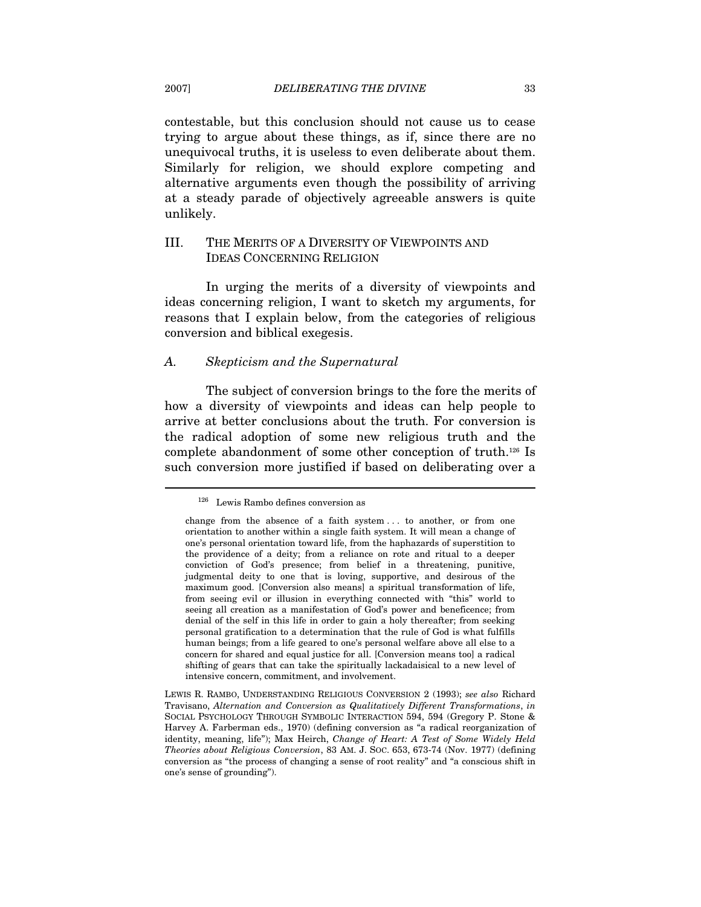contestable, but this conclusion should not cause us to cease trying to argue about these things, as if, since there are no unequivocal truths, it is useless to even deliberate about them. Similarly for religion, we should explore competing and alternative arguments even though the possibility of arriving at a steady parade of objectively agreeable answers is quite unlikely.

# III. THE MERITS OF A DIVERSITY OF VIEWPOINTS AND IDEAS CONCERNING RELIGION

In urging the merits of a diversity of viewpoints and ideas concerning religion, I want to sketch my arguments, for reasons that I explain below, from the categories of religious conversion and biblical exegesis.

#### A. Skepticism and the Supernatural

The subject of conversion brings to the fore the merits of how a diversity of viewpoints and ideas can help people to arrive at better conclusions about the truth. For conversion is the radical adoption of some new religious truth and the complete abandonment of some other conception of truth.126 Is such conversion more justified if based on deliberating over a

<sup>126</sup> Lewis Rambo defines conversion as

change from the absence of a faith system . . . to another, or from one orientation to another within a single faith system. It will mean a change of one's personal orientation toward life, from the haphazards of superstition to the providence of a deity; from a reliance on rote and ritual to a deeper conviction of God's presence; from belief in a threatening, punitive, judgmental deity to one that is loving, supportive, and desirous of the maximum good. [Conversion also means] a spiritual transformation of life, from seeing evil or illusion in everything connected with "this" world to seeing all creation as a manifestation of God's power and beneficence; from denial of the self in this life in order to gain a holy thereafter; from seeking personal gratification to a determination that the rule of God is what fulfills human beings; from a life geared to one's personal welfare above all else to a concern for shared and equal justice for all. [Conversion means too] a radical shifting of gears that can take the spiritually lackadaisical to a new level of intensive concern, commitment, and involvement.

LEWIS R. RAMBO, UNDERSTANDING RELIGIOUS CONVERSION 2 (1993); see also Richard Travisano, Alternation and Conversion as Qualitatively Different Transformations, in SOCIAL PSYCHOLOGY THROUGH SYMBOLIC INTERACTION 594, 594 (Gregory P. Stone & Harvey A. Farberman eds., 1970) (defining conversion as "a radical reorganization of identity, meaning, life"); Max Heirch, Change of Heart: A Test of Some Widely Held Theories about Religious Conversion, 83 AM. J. SOC. 653, 673-74 (Nov. 1977) (defining conversion as "the process of changing a sense of root reality" and "a conscious shift in one's sense of grounding").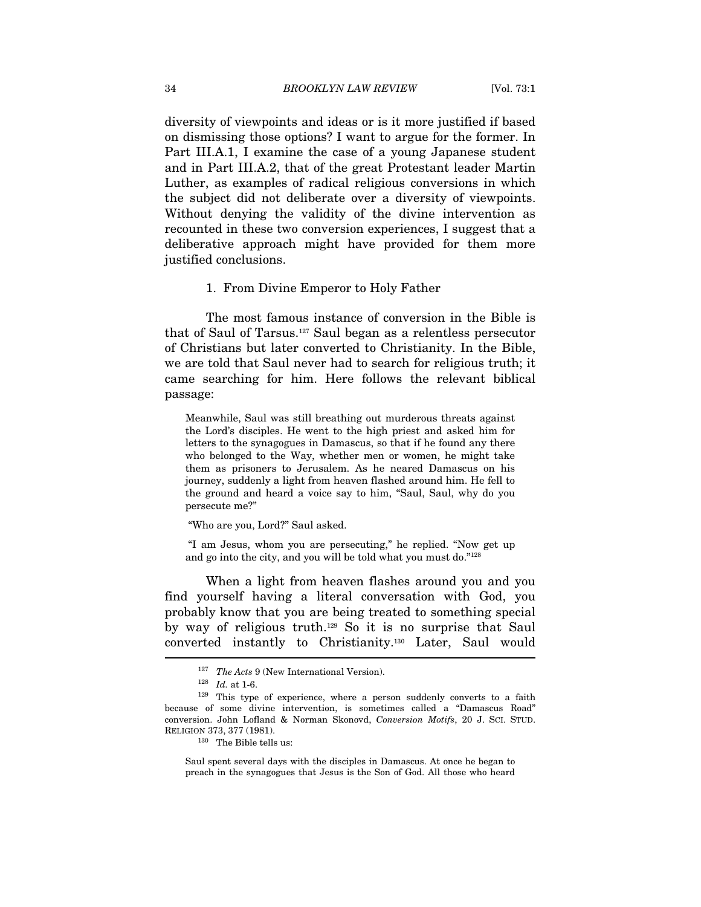diversity of viewpoints and ideas or is it more justified if based on dismissing those options? I want to argue for the former. In Part III.A.1, I examine the case of a young Japanese student and in Part III.A.2, that of the great Protestant leader Martin Luther, as examples of radical religious conversions in which the subject did not deliberate over a diversity of viewpoints. Without denying the validity of the divine intervention as recounted in these two conversion experiences, I suggest that a deliberative approach might have provided for them more justified conclusions.

#### 1. From Divine Emperor to Holy Father

The most famous instance of conversion in the Bible is that of Saul of Tarsus.127 Saul began as a relentless persecutor of Christians but later converted to Christianity. In the Bible, we are told that Saul never had to search for religious truth; it came searching for him. Here follows the relevant biblical passage:

Meanwhile, Saul was still breathing out murderous threats against the Lord's disciples. He went to the high priest and asked him for letters to the synagogues in Damascus, so that if he found any there who belonged to the Way, whether men or women, he might take them as prisoners to Jerusalem. As he neared Damascus on his journey, suddenly a light from heaven flashed around him. He fell to the ground and heard a voice say to him, "Saul, Saul, why do you persecute me?"

"Who are you, Lord?" Saul asked.

 "I am Jesus, whom you are persecuting," he replied. "Now get up and go into the city, and you will be told what you must do."128

When a light from heaven flashes around you and you find yourself having a literal conversation with God, you probably know that you are being treated to something special by way of religious truth.129 So it is no surprise that Saul converted instantly to Christianity.130 Later, Saul would

<sup>&</sup>lt;sup>127</sup> The Acts 9 (New International Version).<br><sup>128</sup> Id. at 1-6.<br><sup>129</sup> This type of experience, where a person suddenly converts to a faith because of some divine intervention, is sometimes called a "Damascus Road" conversion. John Lofland & Norman Skonovd, Conversion Motifs, 20 J. SCI. STUD. RELIGION 373, 377 (1981).

 $^{\rm 130}$   $\,$  The Bible tells us:

Saul spent several days with the disciples in Damascus. At once he began to preach in the synagogues that Jesus is the Son of God. All those who heard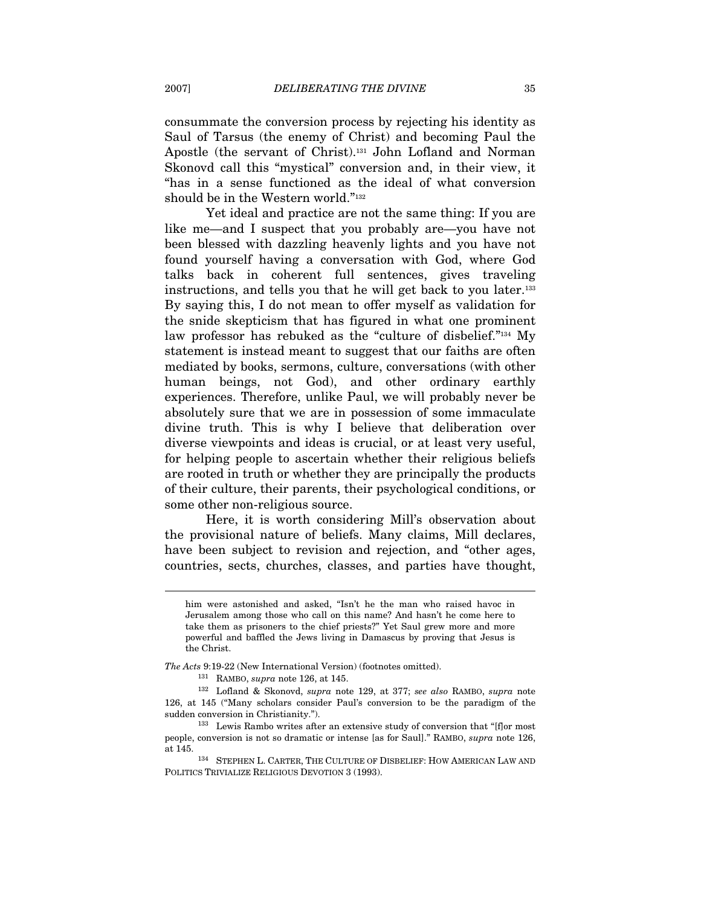consummate the conversion process by rejecting his identity as Saul of Tarsus (the enemy of Christ) and becoming Paul the Apostle (the servant of Christ).131 John Lofland and Norman Skonovd call this "mystical" conversion and, in their view, it "has in a sense functioned as the ideal of what conversion should be in the Western world."132

Yet ideal and practice are not the same thing: If you are like me—and I suspect that you probably are—you have not been blessed with dazzling heavenly lights and you have not found yourself having a conversation with God, where God talks back in coherent full sentences, gives traveling instructions, and tells you that he will get back to you later.133 By saying this, I do not mean to offer myself as validation for the snide skepticism that has figured in what one prominent law professor has rebuked as the "culture of disbelief."134 My statement is instead meant to suggest that our faiths are often mediated by books, sermons, culture, conversations (with other human beings, not God), and other ordinary earthly experiences. Therefore, unlike Paul, we will probably never be absolutely sure that we are in possession of some immaculate divine truth. This is why I believe that deliberation over diverse viewpoints and ideas is crucial, or at least very useful, for helping people to ascertain whether their religious beliefs are rooted in truth or whether they are principally the products of their culture, their parents, their psychological conditions, or some other non-religious source.

Here, it is worth considering Mill's observation about the provisional nature of beliefs. Many claims, Mill declares, have been subject to revision and rejection, and "other ages, countries, sects, churches, classes, and parties have thought,

him were astonished and asked, "Isn't he the man who raised havoc in Jerusalem among those who call on this name? And hasn't he come here to take them as prisoners to the chief priests?" Yet Saul grew more and more powerful and baffled the Jews living in Damascus by proving that Jesus is the Christ.

 $\begin{array}{ll} \textit{The Acts 9:19-22 (New International Version) (footnotes omitted).} \\\\ ^{131} & \textit{RAMBO, supra note 126, at 145.} \\\\ ^{132} & \textit{Lofland & Skonovd, supra note 129, at 377; see also RAMBO, supra note} \end{array}$ 126, at 145 ("Many scholars consider Paul's conversion to be the paradigm of the sudden conversion in Christianity."). 133 Lewis Rambo writes after an extensive study of conversion that "[f]or most

people, conversion is not so dramatic or intense [as for Saul]." RAMBO, supra note 126,

at 145. <br> 134 STEPHEN L. CARTER, THE CULTURE OF DISBELIEF: HOW AMERICAN LAW AND POLITICS TRIVIALIZE RELIGIOUS DEVOTION 3 (1993).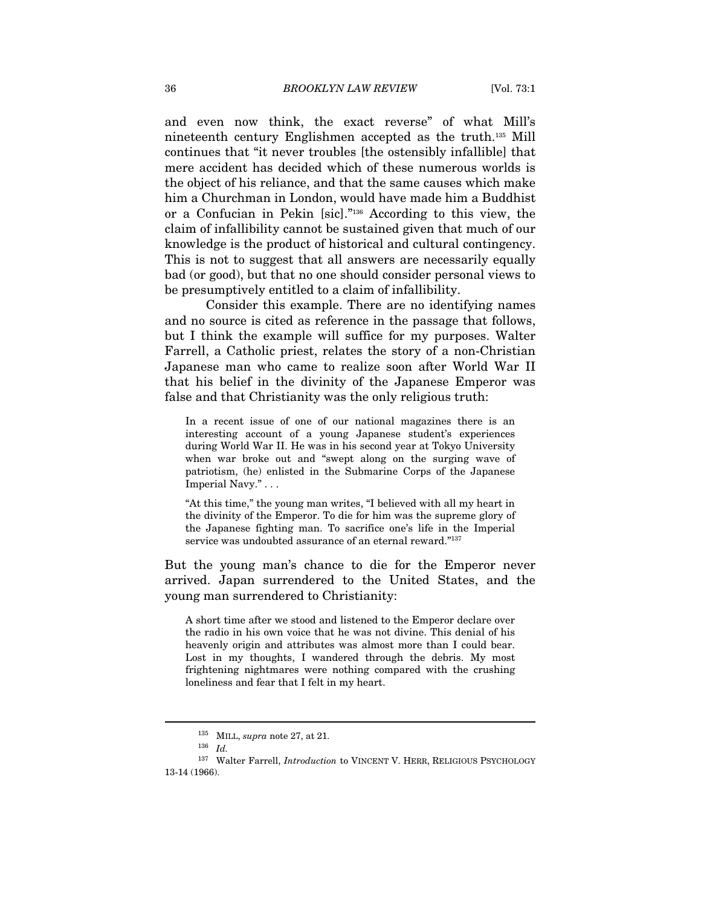and even now think, the exact reverse" of what Mill's nineteenth century Englishmen accepted as the truth.135 Mill continues that "it never troubles [the ostensibly infallible] that mere accident has decided which of these numerous worlds is the object of his reliance, and that the same causes which make him a Churchman in London, would have made him a Buddhist or a Confucian in Pekin [sic]."136 According to this view, the claim of infallibility cannot be sustained given that much of our knowledge is the product of historical and cultural contingency. This is not to suggest that all answers are necessarily equally bad (or good), but that no one should consider personal views to be presumptively entitled to a claim of infallibility.

Consider this example. There are no identifying names and no source is cited as reference in the passage that follows, but I think the example will suffice for my purposes. Walter Farrell, a Catholic priest, relates the story of a non-Christian Japanese man who came to realize soon after World War II that his belief in the divinity of the Japanese Emperor was false and that Christianity was the only religious truth:

In a recent issue of one of our national magazines there is an interesting account of a young Japanese student's experiences during World War II. He was in his second year at Tokyo University when war broke out and "swept along on the surging wave of patriotism, (he) enlisted in the Submarine Corps of the Japanese Imperial Navy." . . .

"At this time," the young man writes, "I believed with all my heart in the divinity of the Emperor. To die for him was the supreme glory of the Japanese fighting man. To sacrifice one's life in the Imperial service was undoubted assurance of an eternal reward."137

But the young man's chance to die for the Emperor never arrived. Japan surrendered to the United States, and the young man surrendered to Christianity:

A short time after we stood and listened to the Emperor declare over the radio in his own voice that he was not divine. This denial of his heavenly origin and attributes was almost more than I could bear. Lost in my thoughts, I wandered through the debris. My most frightening nightmares were nothing compared with the crushing loneliness and fear that I felt in my heart.

<sup>&</sup>lt;sup>135</sup> MILL, *supra* note 27, at 21.<br><sup>136</sup> *Id.* 

 $^{137}\;$  Walter Farrell, Introduction to VINCENT V. HERR, RELIGIOUS PSYCHOLOGY 13-14 (1966).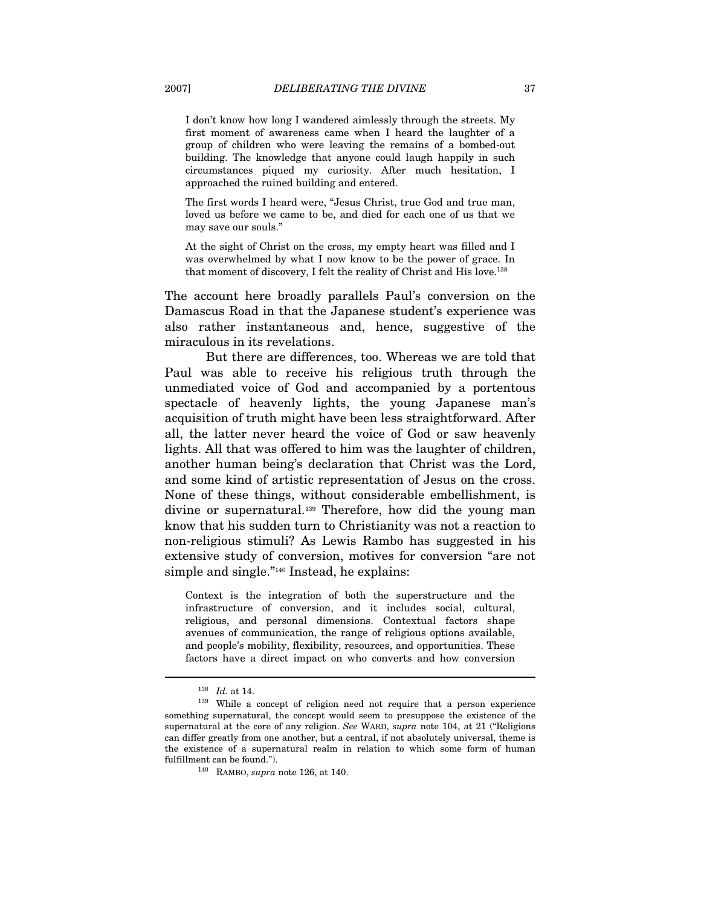I don't know how long I wandered aimlessly through the streets. My first moment of awareness came when I heard the laughter of a group of children who were leaving the remains of a bombed-out building. The knowledge that anyone could laugh happily in such circumstances piqued my curiosity. After much hesitation, I approached the ruined building and entered.

The first words I heard were, "Jesus Christ, true God and true man, loved us before we came to be, and died for each one of us that we may save our souls."

At the sight of Christ on the cross, my empty heart was filled and I was overwhelmed by what I now know to be the power of grace. In that moment of discovery, I felt the reality of Christ and His love.138

The account here broadly parallels Paul's conversion on the Damascus Road in that the Japanese student's experience was also rather instantaneous and, hence, suggestive of the miraculous in its revelations.

But there are differences, too. Whereas we are told that Paul was able to receive his religious truth through the unmediated voice of God and accompanied by a portentous spectacle of heavenly lights, the young Japanese man's acquisition of truth might have been less straightforward. After all, the latter never heard the voice of God or saw heavenly lights. All that was offered to him was the laughter of children, another human being's declaration that Christ was the Lord, and some kind of artistic representation of Jesus on the cross. None of these things, without considerable embellishment, is divine or supernatural.<sup>139</sup> Therefore, how did the young man know that his sudden turn to Christianity was not a reaction to non-religious stimuli? As Lewis Rambo has suggested in his extensive study of conversion, motives for conversion "are not simple and single."140 Instead, he explains:

Context is the integration of both the superstructure and the infrastructure of conversion, and it includes social, cultural, religious, and personal dimensions. Contextual factors shape avenues of communication, the range of religious options available, and people's mobility, flexibility, resources, and opportunities. These factors have a direct impact on who converts and how conversion

<sup>&</sup>lt;sup>138</sup> Id. at 14. **139** While a concept of religion need not require that a person experience something supernatural, the concept would seem to presuppose the existence of the supernatural at the core of any religion. See WARD, supra note 104, at 21 ("Religions can differ greatly from one another, but a central, if not absolutely universal, theme is the existence of a supernatural realm in relation to which some form of human fulfillment can be found.").<br> $^{140}$  RAMBO, supra note 126, at 140.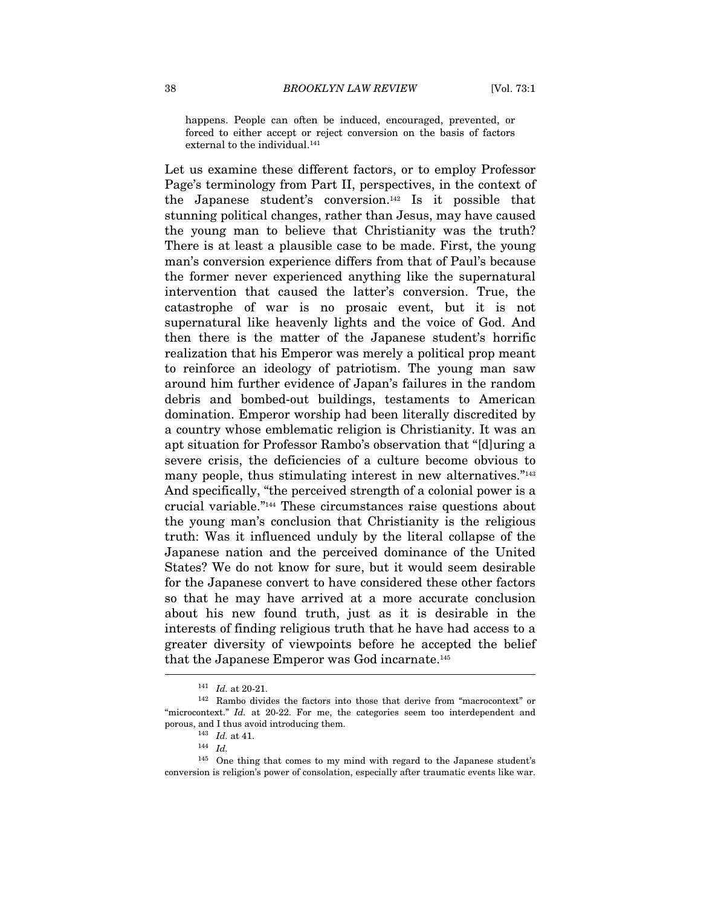happens. People can often be induced, encouraged, prevented, or forced to either accept or reject conversion on the basis of factors external to the individual.<sup>141</sup>

Let us examine these different factors, or to employ Professor Page's terminology from Part II, perspectives, in the context of the Japanese student's conversion.142 Is it possible that stunning political changes, rather than Jesus, may have caused the young man to believe that Christianity was the truth? There is at least a plausible case to be made. First, the young man's conversion experience differs from that of Paul's because the former never experienced anything like the supernatural intervention that caused the latter's conversion. True, the catastrophe of war is no prosaic event, but it is not supernatural like heavenly lights and the voice of God. And then there is the matter of the Japanese student's horrific realization that his Emperor was merely a political prop meant to reinforce an ideology of patriotism. The young man saw around him further evidence of Japan's failures in the random debris and bombed-out buildings, testaments to American domination. Emperor worship had been literally discredited by a country whose emblematic religion is Christianity. It was an apt situation for Professor Rambo's observation that "[d]uring a severe crisis, the deficiencies of a culture become obvious to many people, thus stimulating interest in new alternatives."<sup>143</sup> And specifically, "the perceived strength of a colonial power is a crucial variable."144 These circumstances raise questions about the young man's conclusion that Christianity is the religious truth: Was it influenced unduly by the literal collapse of the Japanese nation and the perceived dominance of the United States? We do not know for sure, but it would seem desirable for the Japanese convert to have considered these other factors so that he may have arrived at a more accurate conclusion about his new found truth, just as it is desirable in the interests of finding religious truth that he have had access to a greater diversity of viewpoints before he accepted the belief that the Japanese Emperor was God incarnate.145

 $141$  Id. at 20-21. 142 Rambo divides the factors into those that derive from "macrocontext" or "microcontext."  $Id$ . at 20-22. For me, the categories seem too interdependent and porous, and I thus avoid introducing them.

 $\begin{array}{l} \vspace{0.1cm} ^{143} \;\; Id. \;\; \text{at 41.} \\ \vspace{0.1cm} ^{144} \;\; Id. \end{array}$  One thing that comes to my mind with regard to the Japanese student's conversion is religion's power of consolation, especially after traumatic events like war.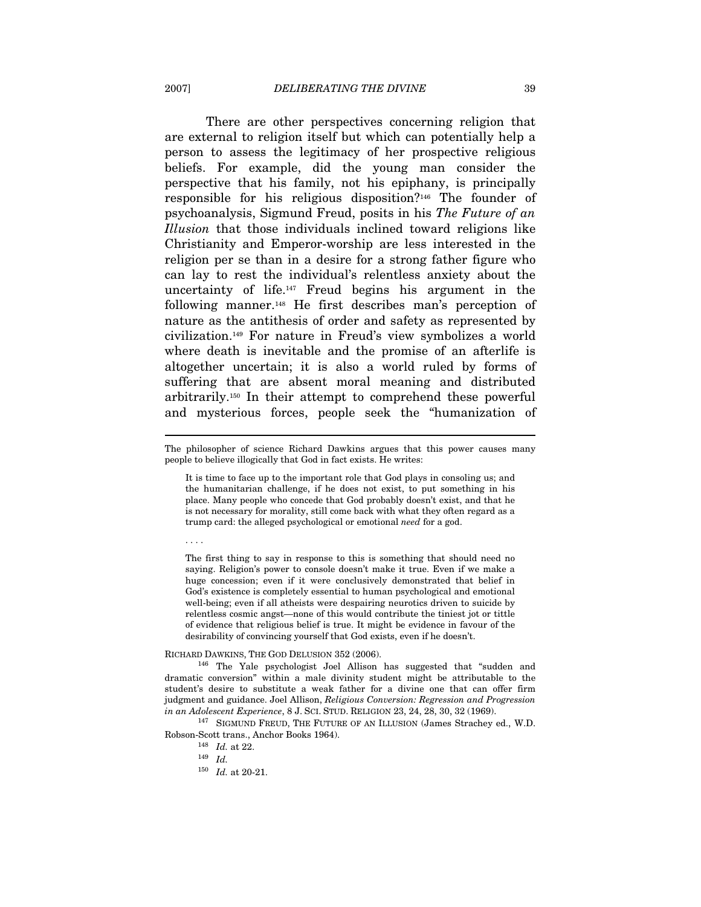There are other perspectives concerning religion that are external to religion itself but which can potentially help a person to assess the legitimacy of her prospective religious beliefs. For example, did the young man consider the perspective that his family, not his epiphany, is principally responsible for his religious disposition?146 The founder of psychoanalysis, Sigmund Freud, posits in his The Future of an Illusion that those individuals inclined toward religions like Christianity and Emperor-worship are less interested in the religion per se than in a desire for a strong father figure who can lay to rest the individual's relentless anxiety about the uncertainty of life.147 Freud begins his argument in the following manner.148 He first describes man's perception of nature as the antithesis of order and safety as represented by civilization.149 For nature in Freud's view symbolizes a world where death is inevitable and the promise of an afterlife is altogether uncertain; it is also a world ruled by forms of suffering that are absent moral meaning and distributed arbitrarily.150 In their attempt to comprehend these powerful and mysterious forces, people seek the "humanization of

It is time to face up to the important role that God plays in consoling us; and the humanitarian challenge, if he does not exist, to put something in his place. Many people who concede that God probably doesn't exist, and that he is not necessary for morality, still come back with what they often regard as a trump card: the alleged psychological or emotional need for a god.

. . . .

 $\overline{a}$ 

The first thing to say in response to this is something that should need no saying. Religion's power to console doesn't make it true. Even if we make a huge concession; even if it were conclusively demonstrated that belief in God's existence is completely essential to human psychological and emotional well-being; even if all atheists were despairing neurotics driven to suicide by relentless cosmic angst—none of this would contribute the tiniest jot or tittle of evidence that religious belief is true. It might be evidence in favour of the desirability of convincing yourself that God exists, even if he doesn't.

Robson-Scott trans., Anchor Books 1964).  $^{148}$   $\,$   $\! Id.$  at 22.  $^{149}$   $\,$   $\! Id.$ 

- 
- 
- $^{150}\;$   $Id.$  at 20-21.

The philosopher of science Richard Dawkins argues that this power causes many people to believe illogically that God in fact exists. He writes:

RICHARD DAWKINS, THE GOD DELUSION 352 (2006). 146 The Yale psychologist Joel Allison has suggested that "sudden and dramatic conversion" within a male divinity student might be attributable to the student's desire to substitute a weak father for a divine one that can offer firm judgment and guidance. Joel Allison, Religious Conversion: Regression and Progression in an Adolescent Experience, 8 J. SCI. STUD. RELIGION 23, 24, 28, 30, 32 (1969).<br><sup>147</sup> SIGMUND FREUD, THE FUTURE OF AN ILLUSION (James Strachey ed., W.D.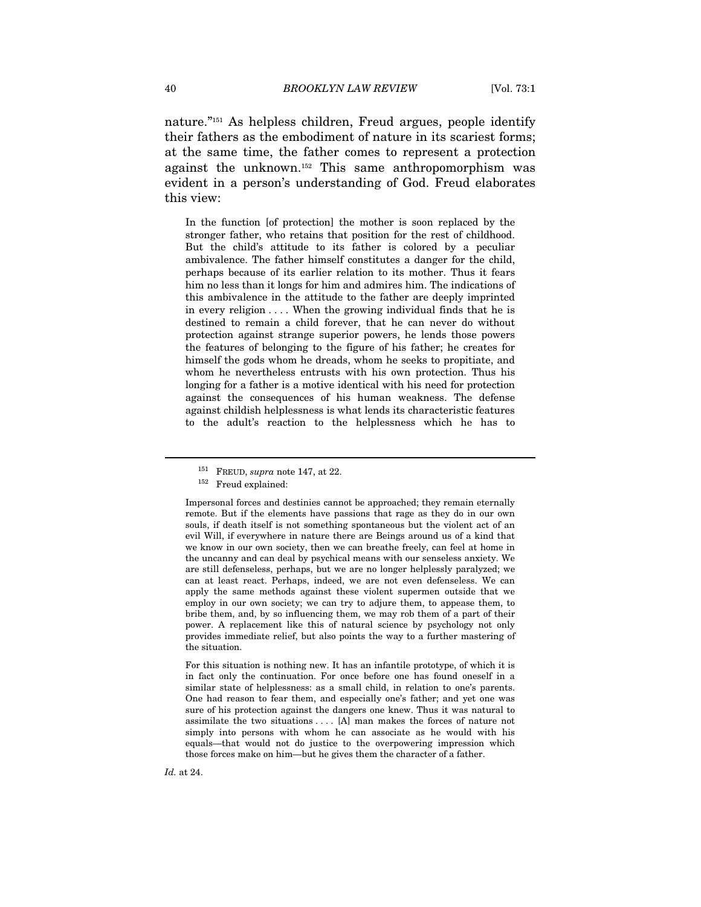nature."151 As helpless children, Freud argues, people identify their fathers as the embodiment of nature in its scariest forms; at the same time, the father comes to represent a protection against the unknown.152 This same anthropomorphism was evident in a person's understanding of God. Freud elaborates this view:

In the function [of protection] the mother is soon replaced by the stronger father, who retains that position for the rest of childhood. But the child's attitude to its father is colored by a peculiar ambivalence. The father himself constitutes a danger for the child, perhaps because of its earlier relation to its mother. Thus it fears him no less than it longs for him and admires him. The indications of this ambivalence in the attitude to the father are deeply imprinted in every religion . . . . When the growing individual finds that he is destined to remain a child forever, that he can never do without protection against strange superior powers, he lends those powers the features of belonging to the figure of his father; he creates for himself the gods whom he dreads, whom he seeks to propitiate, and whom he nevertheless entrusts with his own protection. Thus his longing for a father is a motive identical with his need for protection against the consequences of his human weakness. The defense against childish helplessness is what lends its characteristic features to the adult's reaction to the helplessness which he has to

For this situation is nothing new. It has an infantile prototype, of which it is in fact only the continuation. For once before one has found oneself in a similar state of helplessness: as a small child, in relation to one's parents. One had reason to fear them, and especially one's father; and yet one was sure of his protection against the dangers one knew. Thus it was natural to assimilate the two situations . . . . [A] man makes the forces of nature not simply into persons with whom he can associate as he would with his equals—that would not do justice to the overpowering impression which those forces make on him—but he gives them the character of a father.

<sup>&</sup>lt;sup>151</sup> FREUD, *supra* note 147, at 22.<br><sup>152</sup> Freud explained:

Impersonal forces and destinies cannot be approached; they remain eternally remote. But if the elements have passions that rage as they do in our own souls, if death itself is not something spontaneous but the violent act of an evil Will, if everywhere in nature there are Beings around us of a kind that we know in our own society, then we can breathe freely, can feel at home in the uncanny and can deal by psychical means with our senseless anxiety. We are still defenseless, perhaps, but we are no longer helplessly paralyzed; we can at least react. Perhaps, indeed, we are not even defenseless. We can apply the same methods against these violent supermen outside that we employ in our own society; we can try to adjure them, to appease them, to bribe them, and, by so influencing them, we may rob them of a part of their power. A replacement like this of natural science by psychology not only provides immediate relief, but also points the way to a further mastering of the situation.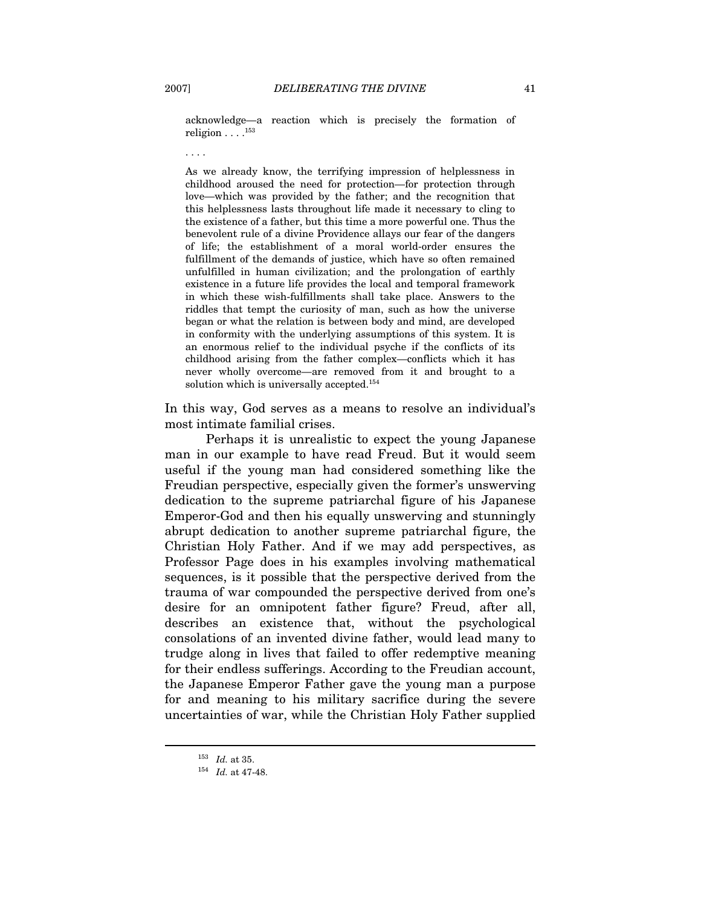acknowledge—a reaction which is precisely the formation of religion  $\dots$ .<sup>153</sup>

. . . .

As we already know, the terrifying impression of helplessness in childhood aroused the need for protection—for protection through love—which was provided by the father; and the recognition that this helplessness lasts throughout life made it necessary to cling to the existence of a father, but this time a more powerful one. Thus the benevolent rule of a divine Providence allays our fear of the dangers of life; the establishment of a moral world-order ensures the fulfillment of the demands of justice, which have so often remained unfulfilled in human civilization; and the prolongation of earthly existence in a future life provides the local and temporal framework in which these wish-fulfillments shall take place. Answers to the riddles that tempt the curiosity of man, such as how the universe began or what the relation is between body and mind, are developed in conformity with the underlying assumptions of this system. It is an enormous relief to the individual psyche if the conflicts of its childhood arising from the father complex—conflicts which it has never wholly overcome—are removed from it and brought to a solution which is universally accepted.154

In this way, God serves as a means to resolve an individual's most intimate familial crises.

Perhaps it is unrealistic to expect the young Japanese man in our example to have read Freud. But it would seem useful if the young man had considered something like the Freudian perspective, especially given the former's unswerving dedication to the supreme patriarchal figure of his Japanese Emperor-God and then his equally unswerving and stunningly abrupt dedication to another supreme patriarchal figure, the Christian Holy Father. And if we may add perspectives, as Professor Page does in his examples involving mathematical sequences, is it possible that the perspective derived from the trauma of war compounded the perspective derived from one's desire for an omnipotent father figure? Freud, after all, describes an existence that, without the psychological consolations of an invented divine father, would lead many to trudge along in lives that failed to offer redemptive meaning for their endless sufferings. According to the Freudian account, the Japanese Emperor Father gave the young man a purpose for and meaning to his military sacrifice during the severe uncertainties of war, while the Christian Holy Father supplied

 $\begin{array}{cc} 153 & Id. \text{ at } 35. \\ 154 & Id. \text{ at } 47\text{-}48. \end{array}$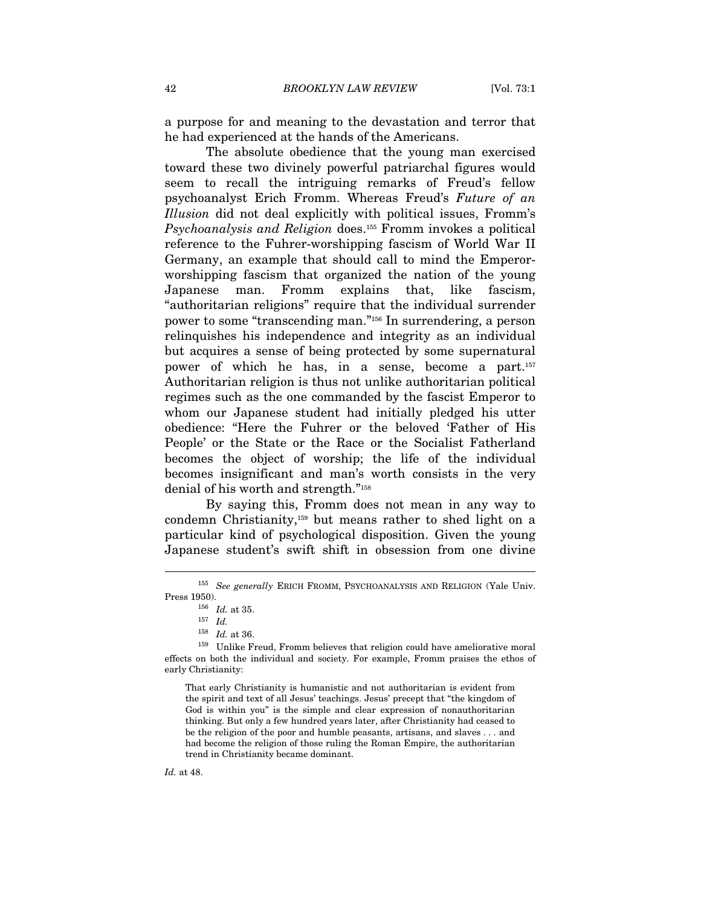a purpose for and meaning to the devastation and terror that he had experienced at the hands of the Americans.

The absolute obedience that the young man exercised toward these two divinely powerful patriarchal figures would seem to recall the intriguing remarks of Freud's fellow psychoanalyst Erich Fromm. Whereas Freud's Future of an Illusion did not deal explicitly with political issues, Fromm's Psychoanalysis and Religion does.155 Fromm invokes a political reference to the Fuhrer-worshipping fascism of World War II Germany, an example that should call to mind the Emperorworshipping fascism that organized the nation of the young Japanese man. Fromm explains that, like fascism, "authoritarian religions" require that the individual surrender power to some "transcending man."156 In surrendering, a person relinquishes his independence and integrity as an individual but acquires a sense of being protected by some supernatural power of which he has, in a sense, become a part.157 Authoritarian religion is thus not unlike authoritarian political regimes such as the one commanded by the fascist Emperor to whom our Japanese student had initially pledged his utter obedience: "Here the Fuhrer or the beloved 'Father of His People' or the State or the Race or the Socialist Fatherland becomes the object of worship; the life of the individual becomes insignificant and man's worth consists in the very denial of his worth and strength."158

By saying this, Fromm does not mean in any way to condemn Christianity,159 but means rather to shed light on a particular kind of psychological disposition. Given the young Japanese student's swift shift in obsession from one divine

That early Christianity is humanistic and not authoritarian is evident from the spirit and text of all Jesus' teachings. Jesus' precept that "the kingdom of God is within you" is the simple and clear expression of nonauthoritarian thinking. But only a few hundred years later, after Christianity had ceased to be the religion of the poor and humble peasants, artisans, and slaves . . . and had become the religion of those ruling the Roman Empire, the authoritarian trend in Christianity became dominant.

Id. at 48.

 $^{155}$   $\,$  See generally ERICH FROMM, PSYCHOANALYSIS AND RELIGION (Yale Univ. Press 1950).

 $\begin{array}{ll} \n ^{156} \quad Id. \text{ at } 35. \\ \n ^{157} \quad Id. \\ \n ^{158} \quad Id. \text{ at } 36. \n \end{array}$ 

<sup>&</sup>lt;sup>159</sup> Unlike Freud, Fromm believes that religion could have ameliorative moral effects on both the individual and society. For example, Fromm praises the ethos of early Christianity: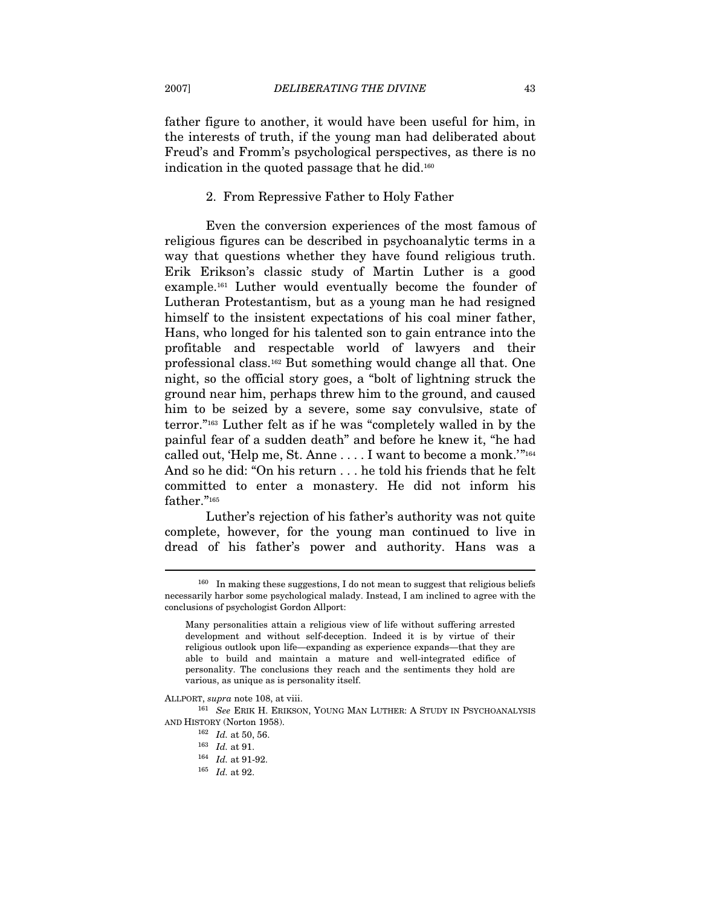father figure to another, it would have been useful for him, in the interests of truth, if the young man had deliberated about Freud's and Fromm's psychological perspectives, as there is no indication in the quoted passage that he did.160

#### 2. From Repressive Father to Holy Father

Even the conversion experiences of the most famous of religious figures can be described in psychoanalytic terms in a way that questions whether they have found religious truth. Erik Erikson's classic study of Martin Luther is a good example.161 Luther would eventually become the founder of Lutheran Protestantism, but as a young man he had resigned himself to the insistent expectations of his coal miner father, Hans, who longed for his talented son to gain entrance into the profitable and respectable world of lawyers and their professional class.162 But something would change all that. One night, so the official story goes, a "bolt of lightning struck the ground near him, perhaps threw him to the ground, and caused him to be seized by a severe, some say convulsive, state of terror."163 Luther felt as if he was "completely walled in by the painful fear of a sudden death" and before he knew it, "he had called out, 'Help me, St. Anne . . . . I want to become a monk.'"164 And so he did: "On his return . . . he told his friends that he felt committed to enter a monastery. He did not inform his father."<sup>165</sup>

Luther's rejection of his father's authority was not quite complete, however, for the young man continued to live in dread of his father's power and authority. Hans was a

 $160$  In making these suggestions, I do not mean to suggest that religious beliefs necessarily harbor some psychological malady. Instead, I am inclined to agree with the conclusions of psychologist Gordon Allport:

Many personalities attain a religious view of life without suffering arrested development and without self-deception. Indeed it is by virtue of their religious outlook upon life—expanding as experience expands—that they are able to build and maintain a mature and well-integrated edifice of personality. The conclusions they reach and the sentiments they hold are various, as unique as is personality itself.

ALLPORT, *supra* note 108, at viii.<br><sup>161</sup> See ERIK H. ERIKSON, YOUNG MAN LUTHER: A STUDY IN PSYCHOANALYSIS AND HISTORY (Norton 1958).<br> $^{162}$  Id. at 50, 56.

<sup>&</sup>lt;sup>163</sup> *Id.* at 91.<br><sup>164</sup> *Id.* at 91-92.<br><sup>165</sup> *Id.* at 92.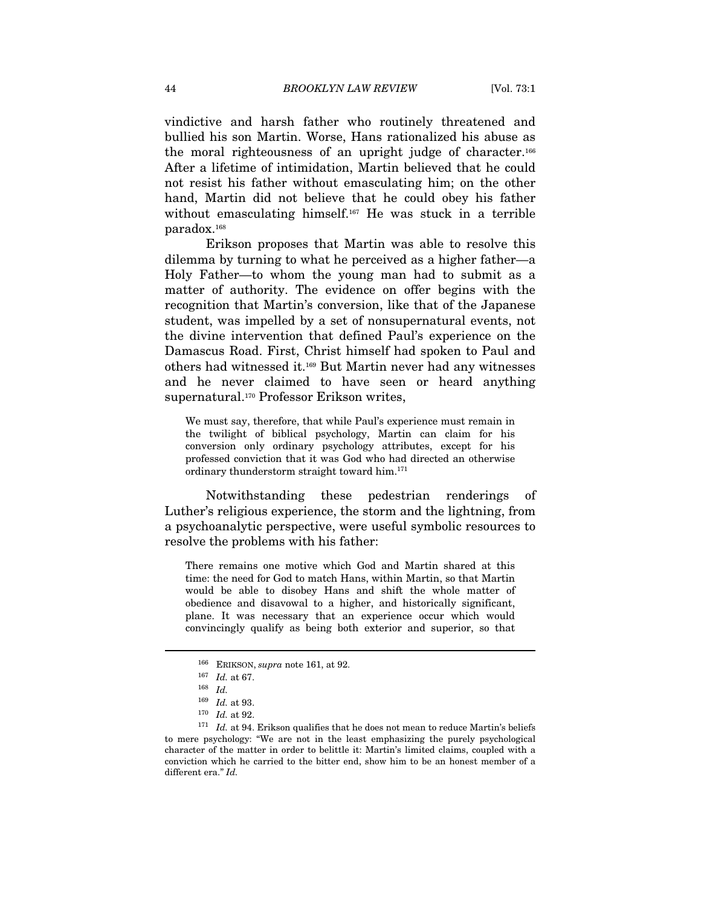vindictive and harsh father who routinely threatened and bullied his son Martin. Worse, Hans rationalized his abuse as the moral righteousness of an upright judge of character.166 After a lifetime of intimidation, Martin believed that he could not resist his father without emasculating him; on the other hand, Martin did not believe that he could obey his father without emasculating himself.<sup>167</sup> He was stuck in a terrible paradox.168

Erikson proposes that Martin was able to resolve this dilemma by turning to what he perceived as a higher father—a Holy Father—to whom the young man had to submit as a matter of authority. The evidence on offer begins with the recognition that Martin's conversion, like that of the Japanese student, was impelled by a set of nonsupernatural events, not the divine intervention that defined Paul's experience on the Damascus Road. First, Christ himself had spoken to Paul and others had witnessed it.169 But Martin never had any witnesses and he never claimed to have seen or heard anything supernatural.170 Professor Erikson writes,

We must say, therefore, that while Paul's experience must remain in the twilight of biblical psychology, Martin can claim for his conversion only ordinary psychology attributes, except for his professed conviction that it was God who had directed an otherwise ordinary thunderstorm straight toward him.171

Notwithstanding these pedestrian renderings of Luther's religious experience, the storm and the lightning, from a psychoanalytic perspective, were useful symbolic resources to resolve the problems with his father:

There remains one motive which God and Martin shared at this time: the need for God to match Hans, within Martin, so that Martin would be able to disobey Hans and shift the whole matter of obedience and disavowal to a higher, and historically significant, plane. It was necessary that an experience occur which would convincingly qualify as being both exterior and superior, so that

<sup>&</sup>lt;sup>166</sup> ERIKSON, *supra* note 161, at 92.<br><sup>167</sup> *Id.* at 67.<br><sup>168</sup> *Id.*  $169$  *Id.* at 93.

 $170\;$  Id. at 92. 171 Id. at 94. Erikson qualifies that he does not mean to reduce Martin's beliefs to mere psychology: "We are not in the least emphasizing the purely psychological character of the matter in order to belittle it: Martin's limited claims, coupled with a conviction which he carried to the bitter end, show him to be an honest member of a different era." Id.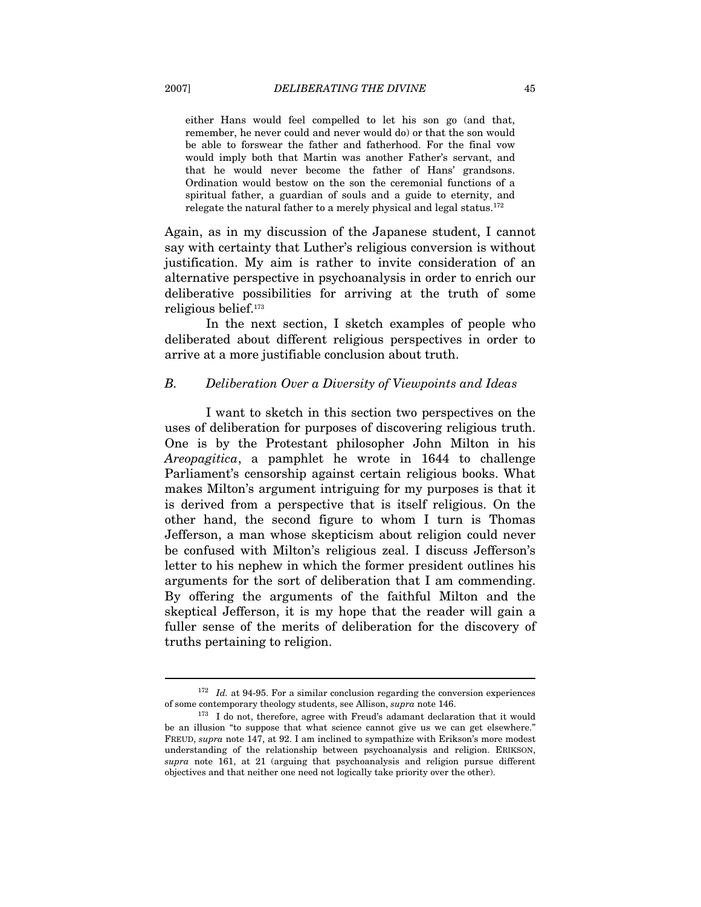either Hans would feel compelled to let his son go (and that, remember, he never could and never would do) or that the son would be able to forswear the father and fatherhood. For the final vow would imply both that Martin was another Father's servant, and that he would never become the father of Hans' grandsons. Ordination would bestow on the son the ceremonial functions of a spiritual father, a guardian of souls and a guide to eternity, and relegate the natural father to a merely physical and legal status.172

Again, as in my discussion of the Japanese student, I cannot say with certainty that Luther's religious conversion is without justification. My aim is rather to invite consideration of an alternative perspective in psychoanalysis in order to enrich our deliberative possibilities for arriving at the truth of some religious belief.173

In the next section, I sketch examples of people who deliberated about different religious perspectives in order to arrive at a more justifiable conclusion about truth.

## B. Deliberation Over a Diversity of Viewpoints and Ideas

I want to sketch in this section two perspectives on the uses of deliberation for purposes of discovering religious truth. One is by the Protestant philosopher John Milton in his Areopagitica, a pamphlet he wrote in 1644 to challenge Parliament's censorship against certain religious books. What makes Milton's argument intriguing for my purposes is that it is derived from a perspective that is itself religious. On the other hand, the second figure to whom I turn is Thomas Jefferson, a man whose skepticism about religion could never be confused with Milton's religious zeal. I discuss Jefferson's letter to his nephew in which the former president outlines his arguments for the sort of deliberation that I am commending. By offering the arguments of the faithful Milton and the skeptical Jefferson, it is my hope that the reader will gain a fuller sense of the merits of deliberation for the discovery of truths pertaining to religion.

 $172$  *Id.* at 94-95. For a similar conclusion regarding the conversion experiences of some contemporary theology students, see Allison, *supra* note 146.<br><sup>173</sup> I do not, therefore, agree with Freud's adamant declaration that it would

be an illusion "to suppose that what science cannot give us we can get elsewhere." FREUD, supra note 147, at 92. I am inclined to sympathize with Erikson's more modest understanding of the relationship between psychoanalysis and religion. ERIKSON, supra note 161, at 21 (arguing that psychoanalysis and religion pursue different objectives and that neither one need not logically take priority over the other).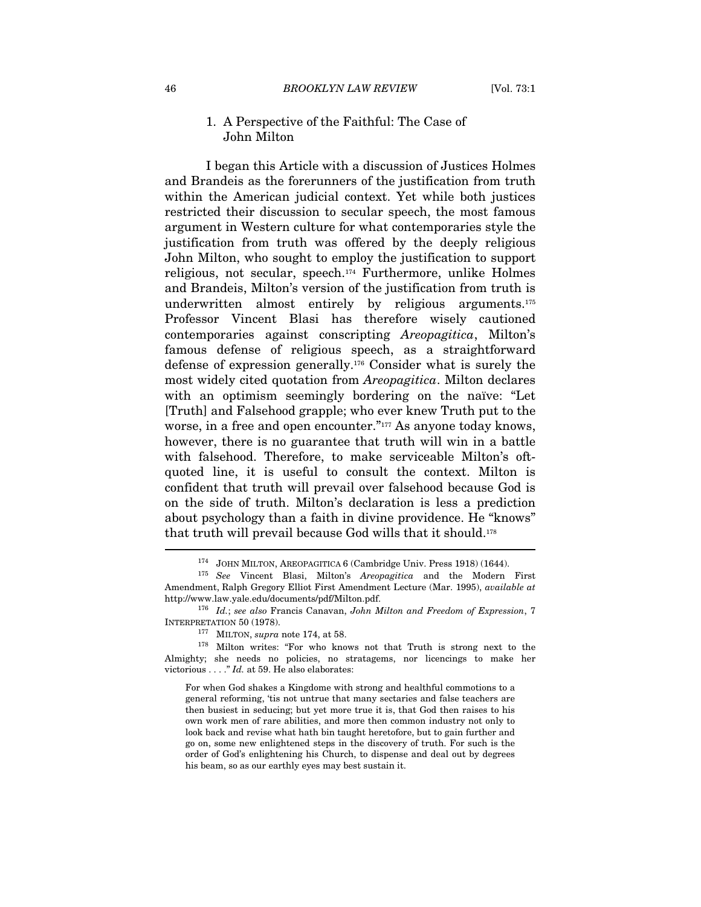# 1. A Perspective of the Faithful: The Case of John Milton

I began this Article with a discussion of Justices Holmes and Brandeis as the forerunners of the justification from truth within the American judicial context. Yet while both justices restricted their discussion to secular speech, the most famous argument in Western culture for what contemporaries style the justification from truth was offered by the deeply religious John Milton, who sought to employ the justification to support religious, not secular, speech.174 Furthermore, unlike Holmes and Brandeis, Milton's version of the justification from truth is underwritten almost entirely by religious arguments.<sup>175</sup> Professor Vincent Blasi has therefore wisely cautioned contemporaries against conscripting Areopagitica, Milton's famous defense of religious speech, as a straightforward defense of expression generally.176 Consider what is surely the most widely cited quotation from Areopagitica. Milton declares with an optimism seemingly bordering on the naïve: "Let [Truth] and Falsehood grapple; who ever knew Truth put to the worse, in a free and open encounter."177 As anyone today knows, however, there is no guarantee that truth will win in a battle with falsehood. Therefore, to make serviceable Milton's oftquoted line, it is useful to consult the context. Milton is confident that truth will prevail over falsehood because God is on the side of truth. Milton's declaration is less a prediction about psychology than a faith in divine providence. He "knows" that truth will prevail because God wills that it should.178

<sup>&</sup>lt;sup>174</sup> JOHN MILTON, AREOPAGITICA 6 (Cambridge Univ. Press 1918) (1644).<br><sup>175</sup> See Vincent Blasi, Milton's Areopagitica and the Modern First Amendment, Ralph Gregory Elliot First Amendment Lecture (Mar. 1995), available at http://www.law.yale.edu/documents/pdf/Milton.pdf.<br><sup>176</sup> Id.; see also Francis Canavan, John Milton and Freedom of Expression, 7

INTERPRETATION 50 (1978).<br><sup>177</sup> MILTON, *supra* note 174, at 58.<br><sup>178</sup> Milton writes: "For who knows not that Truth is strong next to the

Almighty; she needs no policies, no stratagems, nor licencings to make her victorious . . . ." Id. at 59. He also elaborates:

For when God shakes a Kingdome with strong and healthful commotions to a general reforming, 'tis not untrue that many sectaries and false teachers are then busiest in seducing; but yet more true it is, that God then raises to his own work men of rare abilities, and more then common industry not only to look back and revise what hath bin taught heretofore, but to gain further and go on, some new enlightened steps in the discovery of truth. For such is the order of God's enlightening his Church, to dispense and deal out by degrees his beam, so as our earthly eyes may best sustain it.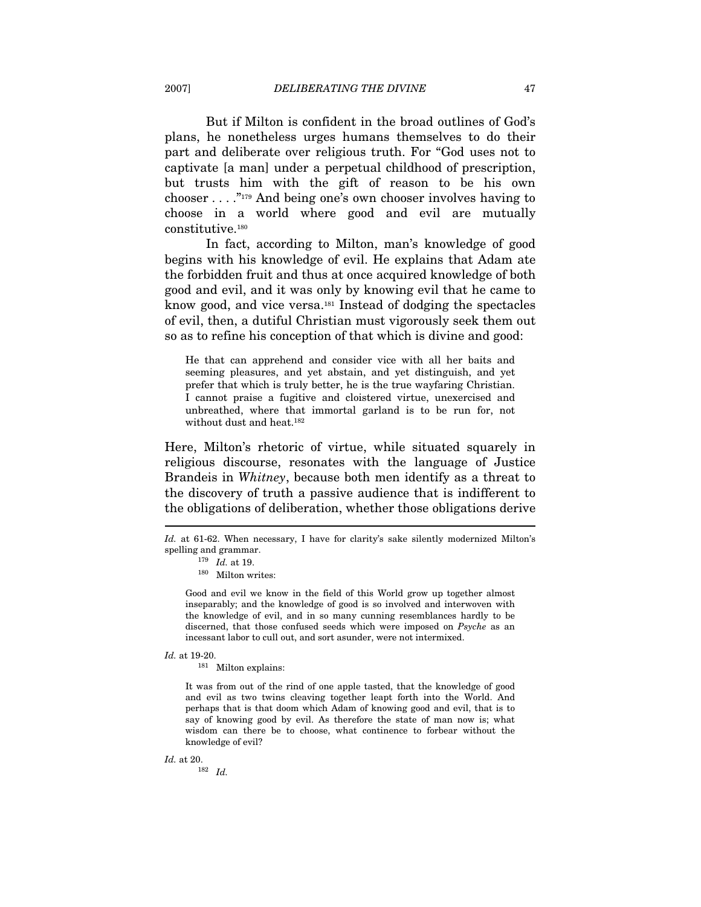But if Milton is confident in the broad outlines of God's plans, he nonetheless urges humans themselves to do their part and deliberate over religious truth. For "God uses not to captivate [a man] under a perpetual childhood of prescription, but trusts him with the gift of reason to be his own chooser . . . ."179 And being one's own chooser involves having to choose in a world where good and evil are mutually constitutive.180

In fact, according to Milton, man's knowledge of good begins with his knowledge of evil. He explains that Adam ate the forbidden fruit and thus at once acquired knowledge of both good and evil, and it was only by knowing evil that he came to know good, and vice versa.<sup>181</sup> Instead of dodging the spectacles of evil, then, a dutiful Christian must vigorously seek them out so as to refine his conception of that which is divine and good:

He that can apprehend and consider vice with all her baits and seeming pleasures, and yet abstain, and yet distinguish, and yet prefer that which is truly better, he is the true wayfaring Christian. I cannot praise a fugitive and cloistered virtue, unexercised and unbreathed, where that immortal garland is to be run for, not without dust and heat.  $^{182}$ 

Here, Milton's rhetoric of virtue, while situated squarely in religious discourse, resonates with the language of Justice Brandeis in Whitney, because both men identify as a threat to the discovery of truth a passive audience that is indifferent to the obligations of deliberation, whether those obligations derive  $\overline{a}$ 

180 Milton writes:

Good and evil we know in the field of this World grow up together almost inseparably; and the knowledge of good is so involved and interwoven with the knowledge of evil, and in so many cunning resemblances hardly to be discerned, that those confused seeds which were imposed on Psyche as an incessant labor to cull out, and sort asunder, were not intermixed.

*Id.* at 19-20.  $181$  Milton explains:

It was from out of the rind of one apple tasted, that the knowledge of good and evil as two twins cleaving together leapt forth into the World. And perhaps that is that doom which Adam of knowing good and evil, that is to say of knowing good by evil. As therefore the state of man now is; what wisdom can there be to choose, what continence to forbear without the knowledge of evil?

 $Id.$  at 20.  $182\quad Id.$ 

Id. at 61-62. When necessary, I have for clarity's sake silently modernized Milton's spelling and grammar.<br> $\frac{179}{Id}$ . at 19.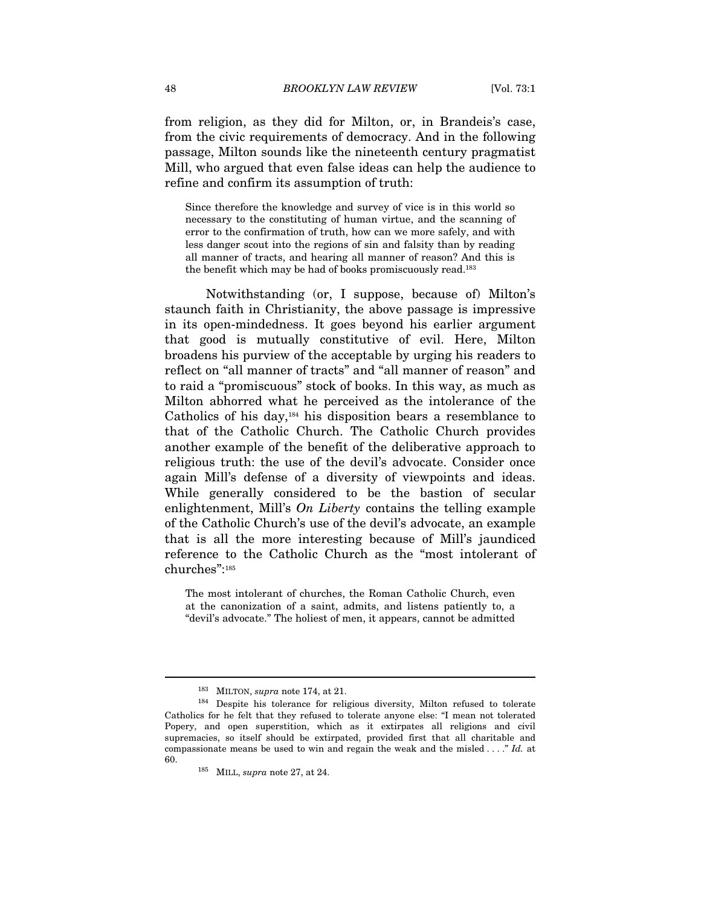from religion, as they did for Milton, or, in Brandeis's case, from the civic requirements of democracy. And in the following passage, Milton sounds like the nineteenth century pragmatist Mill, who argued that even false ideas can help the audience to refine and confirm its assumption of truth:

Since therefore the knowledge and survey of vice is in this world so necessary to the constituting of human virtue, and the scanning of error to the confirmation of truth, how can we more safely, and with less danger scout into the regions of sin and falsity than by reading all manner of tracts, and hearing all manner of reason? And this is the benefit which may be had of books promiscuously read.183

Notwithstanding (or, I suppose, because of) Milton's staunch faith in Christianity, the above passage is impressive in its open-mindedness. It goes beyond his earlier argument that good is mutually constitutive of evil. Here, Milton broadens his purview of the acceptable by urging his readers to reflect on "all manner of tracts" and "all manner of reason" and to raid a "promiscuous" stock of books. In this way, as much as Milton abhorred what he perceived as the intolerance of the Catholics of his day, $184$  his disposition bears a resemblance to that of the Catholic Church. The Catholic Church provides another example of the benefit of the deliberative approach to religious truth: the use of the devil's advocate. Consider once again Mill's defense of a diversity of viewpoints and ideas. While generally considered to be the bastion of secular enlightenment, Mill's On Liberty contains the telling example of the Catholic Church's use of the devil's advocate, an example that is all the more interesting because of Mill's jaundiced reference to the Catholic Church as the "most intolerant of churches":185

The most intolerant of churches, the Roman Catholic Church, even at the canonization of a saint, admits, and listens patiently to, a "devil's advocate." The holiest of men, it appears, cannot be admitted

<sup>&</sup>lt;sup>183</sup> MILTON, *supra* note 174, at 21.<br><sup>184</sup> Despite his tolerance for religious diversity, Milton refused to tolerate Catholics for he felt that they refused to tolerate anyone else: "I mean not tolerated Popery, and open superstition, which as it extirpates all religions and civil supremacies, so itself should be extirpated, provided first that all charitable and compassionate means be used to win and regain the weak and the misled . . . ." Id. at 60.  $185$  MILL, *supra* note 27, at 24.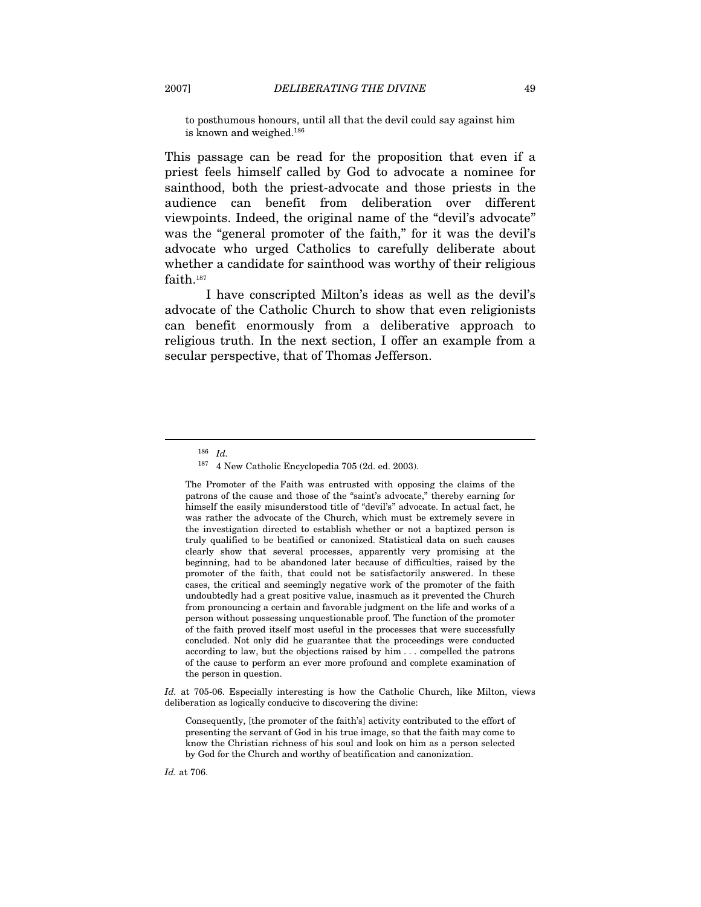to posthumous honours, until all that the devil could say against him is known and weighed.186

This passage can be read for the proposition that even if a priest feels himself called by God to advocate a nominee for sainthood, both the priest-advocate and those priests in the audience can benefit from deliberation over different viewpoints. Indeed, the original name of the "devil's advocate" was the "general promoter of the faith," for it was the devil's advocate who urged Catholics to carefully deliberate about whether a candidate for sainthood was worthy of their religious faith.187

I have conscripted Milton's ideas as well as the devil's advocate of the Catholic Church to show that even religionists can benefit enormously from a deliberative approach to religious truth. In the next section, I offer an example from a secular perspective, that of Thomas Jefferson.

 $\overline{a}$ 

Id. at 705-06. Especially interesting is how the Catholic Church, like Milton, views deliberation as logically conducive to discovering the divine:

Consequently, [the promoter of the faith's] activity contributed to the effort of presenting the servant of God in his true image, so that the faith may come to know the Christian richness of his soul and look on him as a person selected by God for the Church and worthy of beatification and canonization.

Id. at 706.

<sup>186</sup> Id.

<sup>187 4</sup> New Catholic Encyclopedia 705 (2d. ed. 2003).

The Promoter of the Faith was entrusted with opposing the claims of the patrons of the cause and those of the "saint's advocate," thereby earning for himself the easily misunderstood title of "devil's" advocate. In actual fact, he was rather the advocate of the Church, which must be extremely severe in the investigation directed to establish whether or not a baptized person is truly qualified to be beatified or canonized. Statistical data on such causes clearly show that several processes, apparently very promising at the beginning, had to be abandoned later because of difficulties, raised by the promoter of the faith, that could not be satisfactorily answered. In these cases, the critical and seemingly negative work of the promoter of the faith undoubtedly had a great positive value, inasmuch as it prevented the Church from pronouncing a certain and favorable judgment on the life and works of a person without possessing unquestionable proof. The function of the promoter of the faith proved itself most useful in the processes that were successfully concluded. Not only did he guarantee that the proceedings were conducted according to law, but the objections raised by him . . . compelled the patrons of the cause to perform an ever more profound and complete examination of the person in question.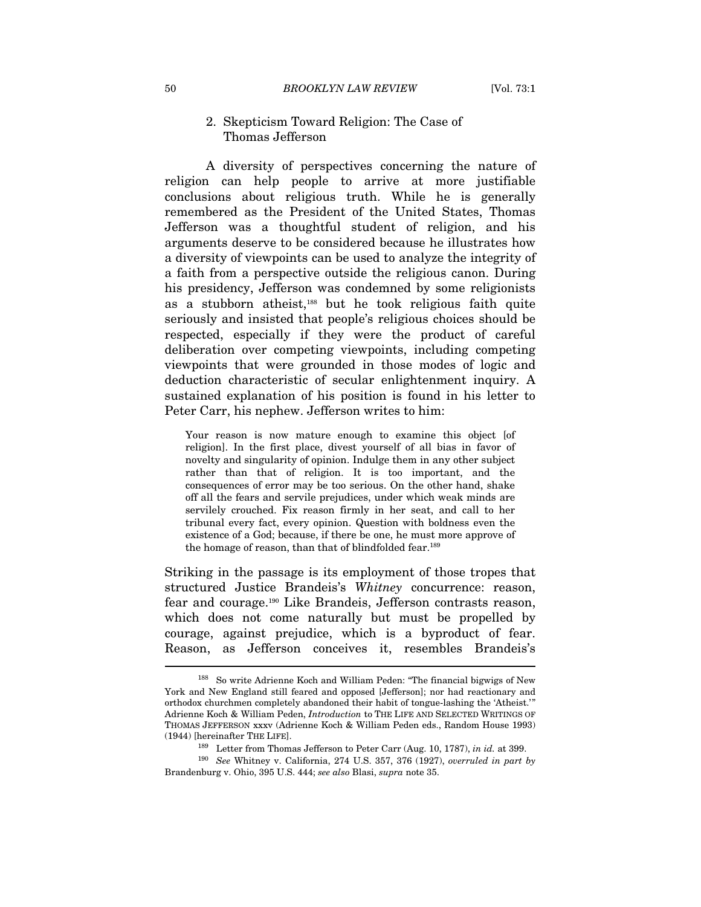#### 2. Skepticism Toward Religion: The Case of Thomas Jefferson

A diversity of perspectives concerning the nature of religion can help people to arrive at more justifiable conclusions about religious truth. While he is generally remembered as the President of the United States, Thomas Jefferson was a thoughtful student of religion, and his arguments deserve to be considered because he illustrates how a diversity of viewpoints can be used to analyze the integrity of a faith from a perspective outside the religious canon. During his presidency, Jefferson was condemned by some religionists as a stubborn atheist,188 but he took religious faith quite seriously and insisted that people's religious choices should be respected, especially if they were the product of careful deliberation over competing viewpoints, including competing viewpoints that were grounded in those modes of logic and deduction characteristic of secular enlightenment inquiry. A sustained explanation of his position is found in his letter to Peter Carr, his nephew. Jefferson writes to him:

Your reason is now mature enough to examine this object [of religion]. In the first place, divest yourself of all bias in favor of novelty and singularity of opinion. Indulge them in any other subject rather than that of religion. It is too important, and the consequences of error may be too serious. On the other hand, shake off all the fears and servile prejudices, under which weak minds are servilely crouched. Fix reason firmly in her seat, and call to her tribunal every fact, every opinion. Question with boldness even the existence of a God; because, if there be one, he must more approve of the homage of reason, than that of blindfolded fear.<sup>189</sup>

Striking in the passage is its employment of those tropes that structured Justice Brandeis's Whitney concurrence: reason, fear and courage.190 Like Brandeis, Jefferson contrasts reason, which does not come naturally but must be propelled by courage, against prejudice, which is a byproduct of fear. Reason, as Jefferson conceives it, resembles Brandeis's

<sup>188</sup> So write Adrienne Koch and William Peden: "The financial bigwigs of New York and New England still feared and opposed [Jefferson]; nor had reactionary and orthodox churchmen completely abandoned their habit of tongue-lashing the 'Atheist.'" Adrienne Koch & William Peden, Introduction to THE LIFE AND SELECTED WRITINGS OF THOMAS JEFFERSON xxxv (Adrienne Koch & William Peden eds., Random House 1993)

<sup>(1944) [</sup>hereinafter THE LIFE].<br><sup>189</sup> Letter from Thomas Jefferson to Peter Carr (Aug. 10, 1787), *in id.* at 399.<br><sup>190</sup> See Whitney v. California, 274 U.S. 357, 376 (1927), overruled in part by Brandenburg v. Ohio, 395 U.S. 444; see also Blasi, supra note 35.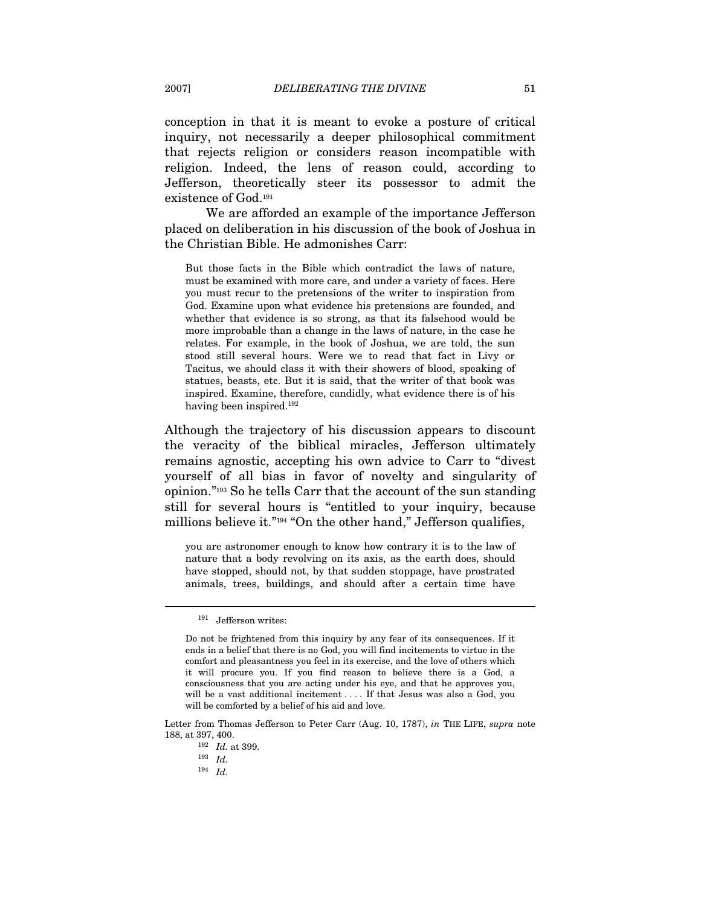conception in that it is meant to evoke a posture of critical inquiry, not necessarily a deeper philosophical commitment that rejects religion or considers reason incompatible with religion. Indeed, the lens of reason could, according to Jefferson, theoretically steer its possessor to admit the existence of God.191

We are afforded an example of the importance Jefferson placed on deliberation in his discussion of the book of Joshua in the Christian Bible. He admonishes Carr:

But those facts in the Bible which contradict the laws of nature, must be examined with more care, and under a variety of faces. Here you must recur to the pretensions of the writer to inspiration from God. Examine upon what evidence his pretensions are founded, and whether that evidence is so strong, as that its falsehood would be more improbable than a change in the laws of nature, in the case he relates. For example, in the book of Joshua, we are told, the sun stood still several hours. Were we to read that fact in Livy or Tacitus, we should class it with their showers of blood, speaking of statues, beasts, etc. But it is said, that the writer of that book was inspired. Examine, therefore, candidly, what evidence there is of his having been inspired.<sup>192</sup>

Although the trajectory of his discussion appears to discount the veracity of the biblical miracles, Jefferson ultimately remains agnostic, accepting his own advice to Carr to "divest yourself of all bias in favor of novelty and singularity of opinion."193 So he tells Carr that the account of the sun standing still for several hours is "entitled to your inquiry, because millions believe it."<sup>194</sup> "On the other hand," Jefferson qualifies,

you are astronomer enough to know how contrary it is to the law of nature that a body revolving on its axis, as the earth does, should have stopped, should not, by that sudden stoppage, have prostrated animals, trees, buildings, and should after a certain time have

Letter from Thomas Jefferson to Peter Carr (Aug. 10, 1787), in THE LIFE, supra note 188, at 397, 400.<br>  $\frac{192}{193}$  *Id.*<br>  $\frac{193}{194}$  *Id.* 

<sup>191</sup> Jefferson writes:

Do not be frightened from this inquiry by any fear of its consequences. If it ends in a belief that there is no God, you will find incitements to virtue in the comfort and pleasantness you feel in its exercise, and the love of others which it will procure you. If you find reason to believe there is a God, a consciousness that you are acting under his eye, and that he approves you, will be a vast additional incitement .... If that Jesus was also a God, you will be comforted by a belief of his aid and love.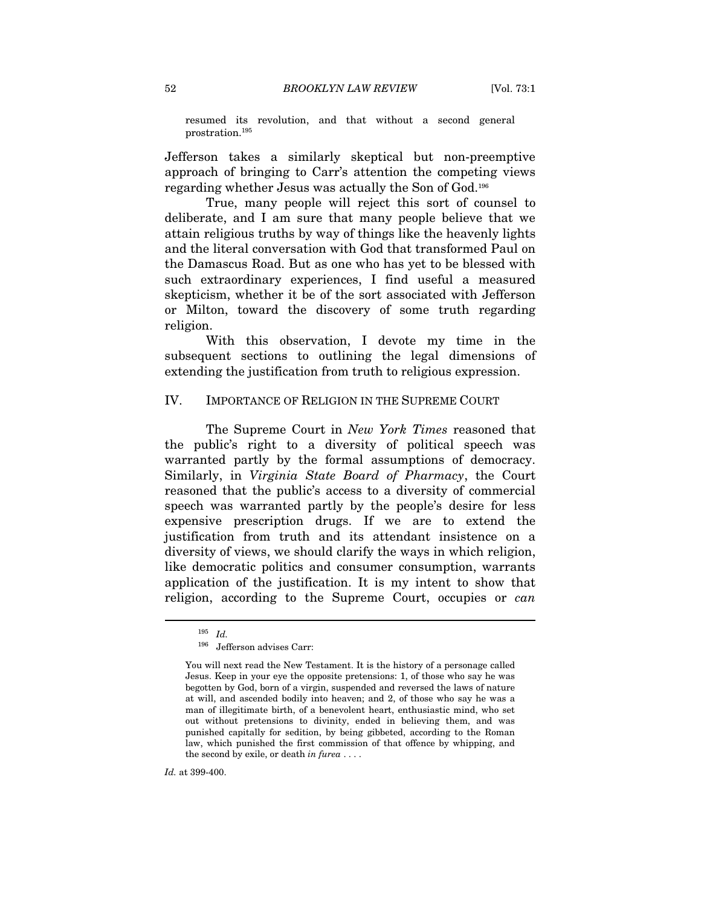resumed its revolution, and that without a second general prostration.195

Jefferson takes a similarly skeptical but non-preemptive approach of bringing to Carr's attention the competing views regarding whether Jesus was actually the Son of God.196

True, many people will reject this sort of counsel to deliberate, and I am sure that many people believe that we attain religious truths by way of things like the heavenly lights and the literal conversation with God that transformed Paul on the Damascus Road. But as one who has yet to be blessed with such extraordinary experiences, I find useful a measured skepticism, whether it be of the sort associated with Jefferson or Milton, toward the discovery of some truth regarding religion.

With this observation, I devote my time in the subsequent sections to outlining the legal dimensions of extending the justification from truth to religious expression.

### IV. IMPORTANCE OF RELIGION IN THE SUPREME COURT

The Supreme Court in New York Times reasoned that the public's right to a diversity of political speech was warranted partly by the formal assumptions of democracy. Similarly, in Virginia State Board of Pharmacy, the Court reasoned that the public's access to a diversity of commercial speech was warranted partly by the people's desire for less expensive prescription drugs. If we are to extend the justification from truth and its attendant insistence on a diversity of views, we should clarify the ways in which religion, like democratic politics and consumer consumption, warrants application of the justification. It is my intent to show that religion, according to the Supreme Court, occupies or can

 $\overline{a}$ 

Id. at 399-400.

<sup>&</sup>lt;sup>195</sup> Id. Jefferson advises Carr:

You will next read the New Testament. It is the history of a personage called Jesus. Keep in your eye the opposite pretensions: 1, of those who say he was begotten by God, born of a virgin, suspended and reversed the laws of nature at will, and ascended bodily into heaven; and 2, of those who say he was a man of illegitimate birth, of a benevolent heart, enthusiastic mind, who set out without pretensions to divinity, ended in believing them, and was punished capitally for sedition, by being gibbeted, according to the Roman law, which punished the first commission of that offence by whipping, and the second by exile, or death in furea....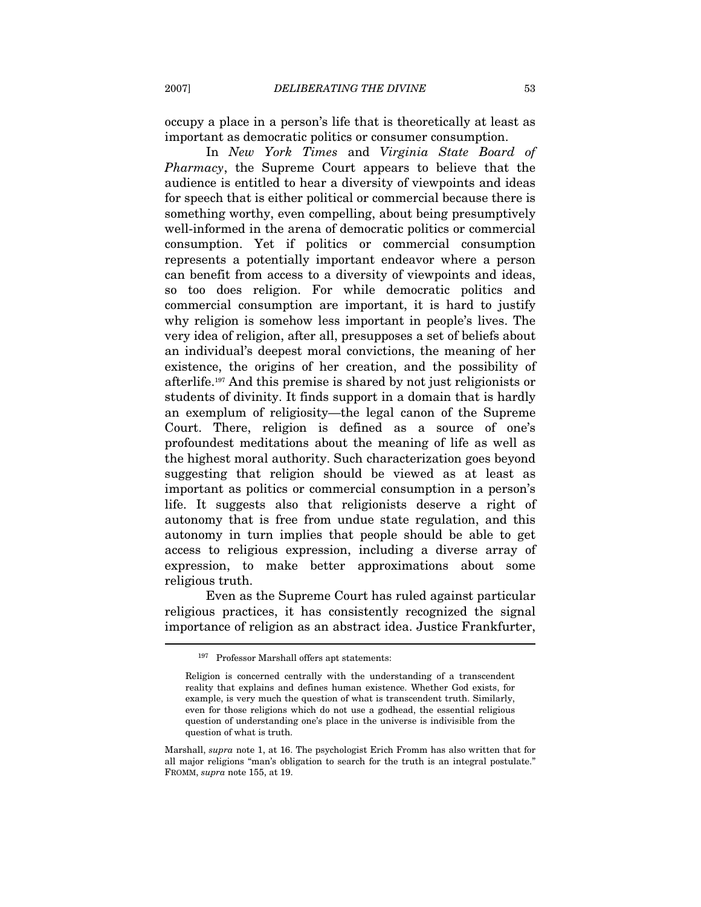occupy a place in a person's life that is theoretically at least as important as democratic politics or consumer consumption.

In New York Times and Virginia State Board of Pharmacy, the Supreme Court appears to believe that the audience is entitled to hear a diversity of viewpoints and ideas for speech that is either political or commercial because there is something worthy, even compelling, about being presumptively well-informed in the arena of democratic politics or commercial consumption. Yet if politics or commercial consumption represents a potentially important endeavor where a person can benefit from access to a diversity of viewpoints and ideas, so too does religion. For while democratic politics and commercial consumption are important, it is hard to justify why religion is somehow less important in people's lives. The very idea of religion, after all, presupposes a set of beliefs about an individual's deepest moral convictions, the meaning of her existence, the origins of her creation, and the possibility of afterlife.197 And this premise is shared by not just religionists or students of divinity. It finds support in a domain that is hardly an exemplum of religiosity—the legal canon of the Supreme Court. There, religion is defined as a source of one's profoundest meditations about the meaning of life as well as the highest moral authority. Such characterization goes beyond suggesting that religion should be viewed as at least as important as politics or commercial consumption in a person's life. It suggests also that religionists deserve a right of autonomy that is free from undue state regulation, and this autonomy in turn implies that people should be able to get access to religious expression, including a diverse array of expression, to make better approximations about some religious truth.

Even as the Supreme Court has ruled against particular religious practices, it has consistently recognized the signal importance of religion as an abstract idea. Justice Frankfurter,

 $^{197}$  Professor Marshall offers apt statements:

Religion is concerned centrally with the understanding of a transcendent reality that explains and defines human existence. Whether God exists, for example, is very much the question of what is transcendent truth. Similarly, even for those religions which do not use a godhead, the essential religious question of understanding one's place in the universe is indivisible from the question of what is truth.

Marshall, supra note 1, at 16. The psychologist Erich Fromm has also written that for all major religions "man's obligation to search for the truth is an integral postulate." FROMM, supra note 155, at 19.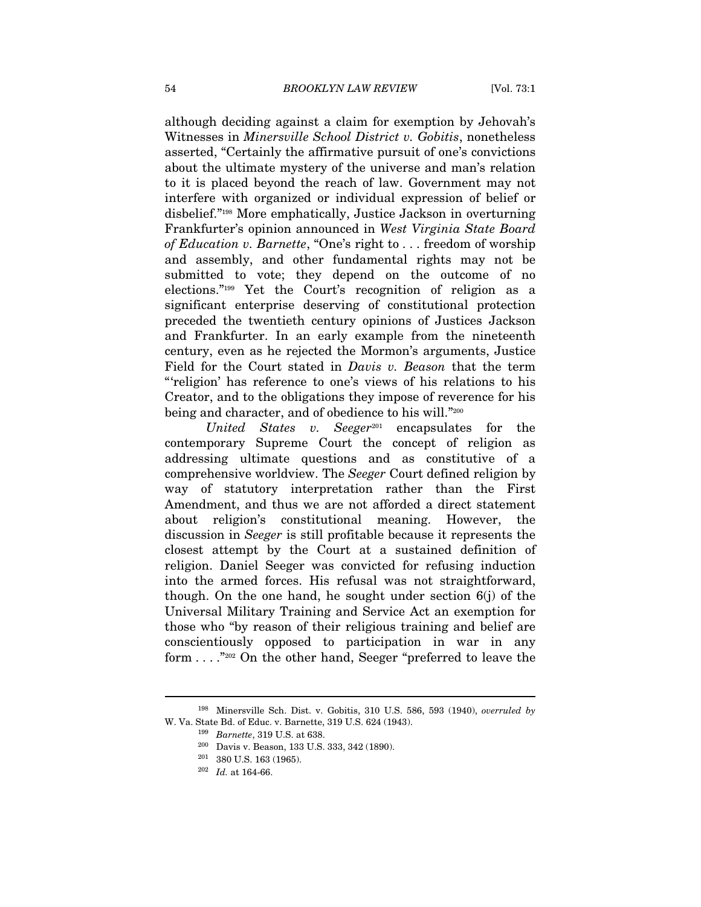although deciding against a claim for exemption by Jehovah's Witnesses in Minersville School District v. Gobitis, nonetheless asserted, "Certainly the affirmative pursuit of one's convictions about the ultimate mystery of the universe and man's relation to it is placed beyond the reach of law. Government may not interfere with organized or individual expression of belief or disbelief."198 More emphatically, Justice Jackson in overturning Frankfurter's opinion announced in West Virginia State Board of Education v. Barnette, "One's right to . . . freedom of worship and assembly, and other fundamental rights may not be submitted to vote; they depend on the outcome of no elections."199 Yet the Court's recognition of religion as a significant enterprise deserving of constitutional protection preceded the twentieth century opinions of Justices Jackson and Frankfurter. In an early example from the nineteenth century, even as he rejected the Mormon's arguments, Justice Field for the Court stated in Davis v. Beason that the term "'religion' has reference to one's views of his relations to his Creator, and to the obligations they impose of reverence for his being and character, and of obedience to his will."200

United States v. Seeger<sup>201</sup> encapsulates for the contemporary Supreme Court the concept of religion as addressing ultimate questions and as constitutive of a comprehensive worldview. The Seeger Court defined religion by way of statutory interpretation rather than the First Amendment, and thus we are not afforded a direct statement about religion's constitutional meaning. However, the discussion in Seeger is still profitable because it represents the closest attempt by the Court at a sustained definition of religion. Daniel Seeger was convicted for refusing induction into the armed forces. His refusal was not straightforward, though. On the one hand, he sought under section  $6(i)$  of the Universal Military Training and Service Act an exemption for those who "by reason of their religious training and belief are conscientiously opposed to participation in war in any form . . . ."202 On the other hand, Seeger "preferred to leave the

<sup>198</sup> Minersville Sch. Dist. v. Gobitis, 310 U.S. 586, 593 (1940), overruled by W. Va. State Bd. of Educ. v. Barnette, 319 U.S. 624 (1943). 199 Barnette, 319 U.S. at 638.

<sup>&</sup>lt;sup>200</sup> Davis v. Beason, 133 U.S. 333, 342 (1890).<br><sup>201</sup> 380 U.S. 163 (1965).<br><sup>202</sup> Id. at 164-66.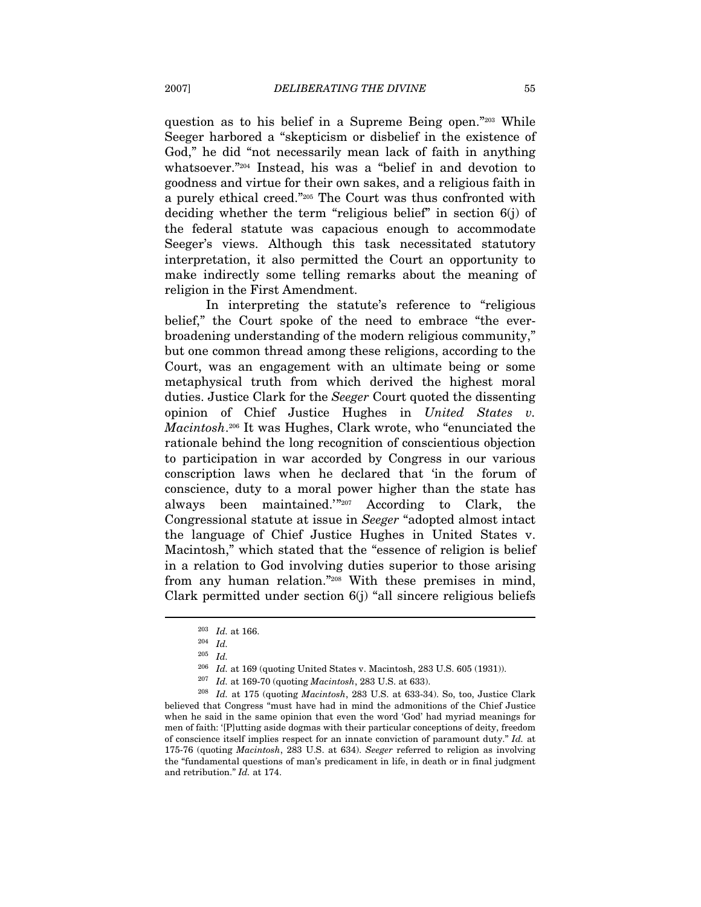question as to his belief in a Supreme Being open."203 While Seeger harbored a "skepticism or disbelief in the existence of God," he did "not necessarily mean lack of faith in anything whatsoever."<sup>204</sup> Instead, his was a "belief in and devotion to goodness and virtue for their own sakes, and a religious faith in a purely ethical creed."205 The Court was thus confronted with deciding whether the term "religious belief" in section 6(j) of the federal statute was capacious enough to accommodate Seeger's views. Although this task necessitated statutory interpretation, it also permitted the Court an opportunity to make indirectly some telling remarks about the meaning of religion in the First Amendment.

In interpreting the statute's reference to "religious belief," the Court spoke of the need to embrace "the everbroadening understanding of the modern religious community," but one common thread among these religions, according to the Court, was an engagement with an ultimate being or some metaphysical truth from which derived the highest moral duties. Justice Clark for the Seeger Court quoted the dissenting opinion of Chief Justice Hughes in United States v. Macintosh.206 It was Hughes, Clark wrote, who "enunciated the rationale behind the long recognition of conscientious objection to participation in war accorded by Congress in our various conscription laws when he declared that 'in the forum of conscience, duty to a moral power higher than the state has always been maintained.'"207 According to Clark, the Congressional statute at issue in Seeger "adopted almost intact the language of Chief Justice Hughes in United States v. Macintosh," which stated that the "essence of religion is belief in a relation to God involving duties superior to those arising from any human relation."208 With these premises in mind, Clark permitted under section 6(j) "all sincere religious beliefs

<sup>&</sup>lt;sup>203</sup> *Id.* at 166.<br><sup>204</sup> *Id.*<br><sup>205</sup> *Id.* 

<sup>&</sup>lt;sup>206</sup> Id. at 169 (quoting United States v. Macintosh, 283 U.S. 605 (1931)).<br><sup>207</sup> Id. at 169-70 (quoting *Macintosh*, 283 U.S. at 633.<br><sup>208</sup> Id. at 175 (quoting *Macintosh*, 283 U.S. at 633-34). So, too, Justice Clark believed that Congress "must have had in mind the admonitions of the Chief Justice when he said in the same opinion that even the word 'God' had myriad meanings for men of faith: '[P]utting aside dogmas with their particular conceptions of deity, freedom of conscience itself implies respect for an innate conviction of paramount duty." Id. at 175-76 (quoting Macintosh, 283 U.S. at 634). Seeger referred to religion as involving the "fundamental questions of man's predicament in life, in death or in final judgment and retribution."  $Id.$  at 174.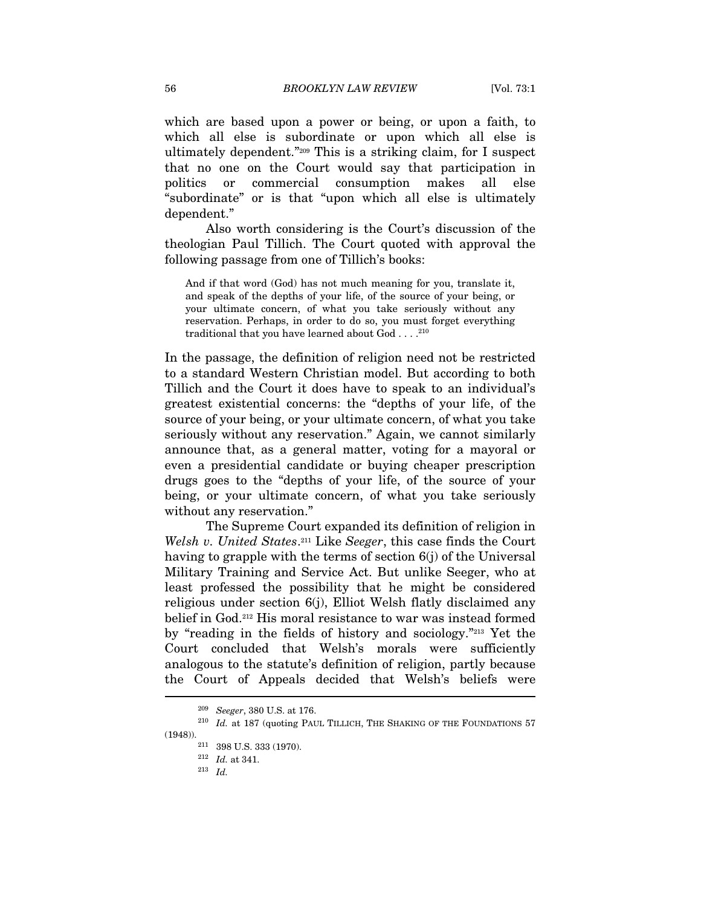which are based upon a power or being, or upon a faith, to which all else is subordinate or upon which all else is ultimately dependent."209 This is a striking claim, for I suspect that no one on the Court would say that participation in politics or commercial consumption makes all else "subordinate" or is that "upon which all else is ultimately dependent."

Also worth considering is the Court's discussion of the theologian Paul Tillich. The Court quoted with approval the following passage from one of Tillich's books:

And if that word (God) has not much meaning for you, translate it, and speak of the depths of your life, of the source of your being, or your ultimate concern, of what you take seriously without any reservation. Perhaps, in order to do so, you must forget everything traditional that you have learned about God . . . .210

In the passage, the definition of religion need not be restricted to a standard Western Christian model. But according to both Tillich and the Court it does have to speak to an individual's greatest existential concerns: the "depths of your life, of the source of your being, or your ultimate concern, of what you take seriously without any reservation." Again, we cannot similarly announce that, as a general matter, voting for a mayoral or even a presidential candidate or buying cheaper prescription drugs goes to the "depths of your life, of the source of your being, or your ultimate concern, of what you take seriously without any reservation."

The Supreme Court expanded its definition of religion in Welsh v. United States.<sup>211</sup> Like Seeger, this case finds the Court having to grapple with the terms of section 6(j) of the Universal Military Training and Service Act. But unlike Seeger, who at least professed the possibility that he might be considered religious under section 6(j), Elliot Welsh flatly disclaimed any belief in God.212 His moral resistance to war was instead formed by "reading in the fields of history and sociology."213 Yet the Court concluded that Welsh's morals were sufficiently analogous to the statute's definition of religion, partly because the Court of Appeals decided that Welsh's beliefs were  $\overline{a}$ 

 $^{209}$   $\,$   $\,$  Seeger, 380 U.S. at 176.  $^{210}$   $\,$   $\,$  Id. at 187 (quoting PAUL TILLICH, THE SHAKING OF THE FOUNDATIONS 57 (1948)).

<sup>&</sup>lt;sup>211</sup> 398 U.S. 333 (1970).<br><sup>212</sup> Id. at 341.<br><sup>213</sup> Id.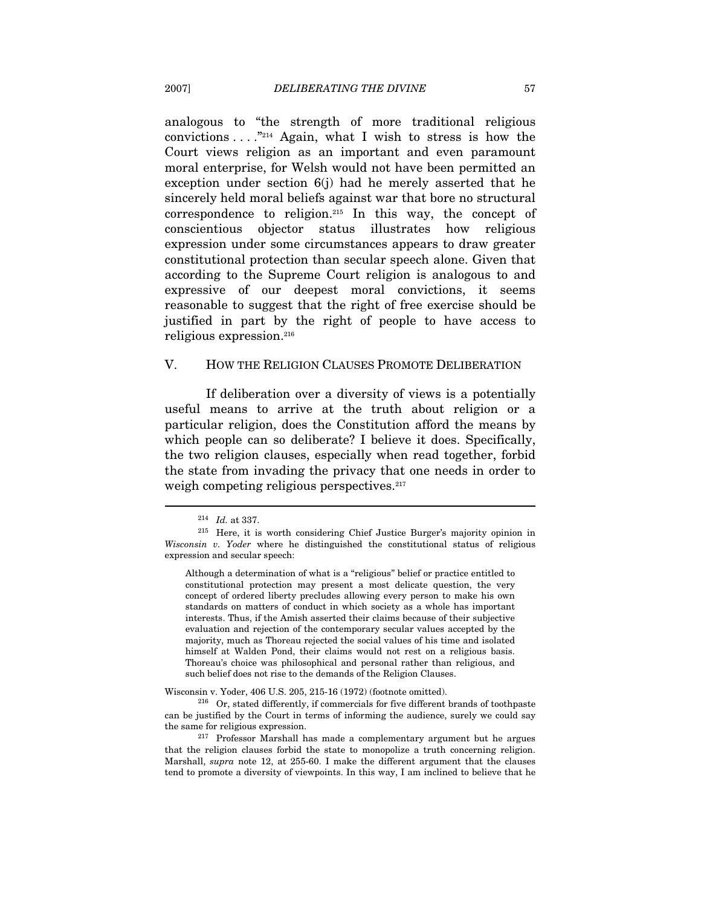analogous to "the strength of more traditional religious convictions  $\dots$ ."<sup>214</sup> Again, what I wish to stress is how the Court views religion as an important and even paramount moral enterprise, for Welsh would not have been permitted an exception under section 6(j) had he merely asserted that he sincerely held moral beliefs against war that bore no structural correspondence to religion.215 In this way, the concept of conscientious objector status illustrates how religious expression under some circumstances appears to draw greater constitutional protection than secular speech alone. Given that according to the Supreme Court religion is analogous to and expressive of our deepest moral convictions, it seems reasonable to suggest that the right of free exercise should be justified in part by the right of people to have access to religious expression.216

### V. HOW THE RELIGION CLAUSES PROMOTE DELIBERATION

If deliberation over a diversity of views is a potentially useful means to arrive at the truth about religion or a particular religion, does the Constitution afford the means by which people can so deliberate? I believe it does. Specifically, the two religion clauses, especially when read together, forbid the state from invading the privacy that one needs in order to weigh competing religious perspectives.<sup>217</sup>

 $\overline{a}$ 

Wisconsin v. Yoder, 406 U.S. 205, 215-16 (1972) (footnote omitted).<br><sup>216</sup> Or, stated differently, if commercials for five different brands of toothpaste can be justified by the Court in terms of informing the audience, surely we could say the same for religious expression.<br><sup>217</sup> Professor Marshall has made a complementary argument but he argues

that the religion clauses forbid the state to monopolize a truth concerning religion. Marshall, supra note 12, at 255-60. I make the different argument that the clauses tend to promote a diversity of viewpoints. In this way, I am inclined to believe that he

<sup>214</sup> Id. at 337.

<sup>215</sup> Here, it is worth considering Chief Justice Burger's majority opinion in Wisconsin v. Yoder where he distinguished the constitutional status of religious expression and secular speech:

Although a determination of what is a "religious" belief or practice entitled to constitutional protection may present a most delicate question, the very concept of ordered liberty precludes allowing every person to make his own standards on matters of conduct in which society as a whole has important interests. Thus, if the Amish asserted their claims because of their subjective evaluation and rejection of the contemporary secular values accepted by the majority, much as Thoreau rejected the social values of his time and isolated himself at Walden Pond, their claims would not rest on a religious basis. Thoreau's choice was philosophical and personal rather than religious, and such belief does not rise to the demands of the Religion Clauses.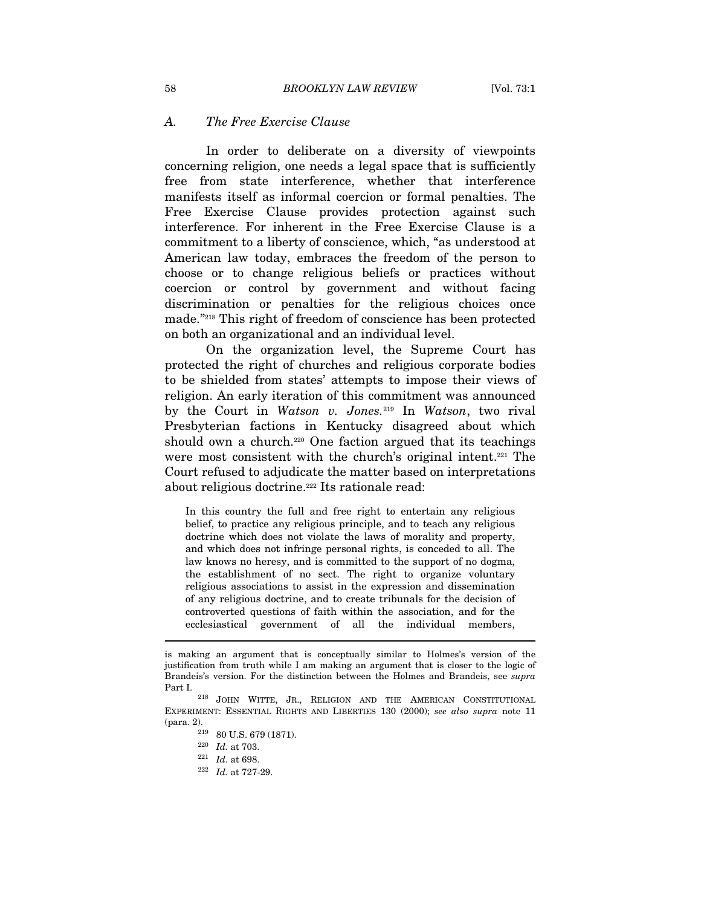#### A. The Free Exercise Clause

In order to deliberate on a diversity of viewpoints concerning religion, one needs a legal space that is sufficiently free from state interference, whether that interference manifests itself as informal coercion or formal penalties. The Free Exercise Clause provides protection against such interference. For inherent in the Free Exercise Clause is a commitment to a liberty of conscience, which, "as understood at American law today, embraces the freedom of the person to choose or to change religious beliefs or practices without coercion or control by government and without facing discrimination or penalties for the religious choices once made."218 This right of freedom of conscience has been protected on both an organizational and an individual level.

On the organization level, the Supreme Court has protected the right of churches and religious corporate bodies to be shielded from states' attempts to impose their views of religion. An early iteration of this commitment was announced by the Court in Watson v. Jones.<sup>219</sup> In Watson, two rival Presbyterian factions in Kentucky disagreed about which should own a church.<sup>220</sup> One faction argued that its teachings were most consistent with the church's original intent.<sup>221</sup> The Court refused to adjudicate the matter based on interpretations about religious doctrine.<sup>222</sup> Its rationale read:

In this country the full and free right to entertain any religious belief, to practice any religious principle, and to teach any religious doctrine which does not violate the laws of morality and property, and which does not infringe personal rights, is conceded to all. The law knows no heresy, and is committed to the support of no dogma, the establishment of no sect. The right to organize voluntary religious associations to assist in the expression and dissemination of any religious doctrine, and to create tribunals for the decision of controverted questions of faith within the association, and for the ecclesiastical government of all the individual members,

is making an argument that is conceptually similar to Holmes's version of the justification from truth while I am making an argument that is closer to the logic of Brandeis's version. For the distinction between the Holmes and Brandeis, see supra

Part I. <sup>218</sup> JOHN WITTE, JR., RELIGION AND THE AMERICAN CONSTITUTIONAL EXPERIMENT: ESSENTIAL RIGHTS AND LIBERTIES 130 (2000); see also supra note 11 % (para. 2). <br>  $\begin{array}{r} 219 \\ 219 \\ 220 \end{array}$  80 U.S. 679 (1871). <br>  $\begin{array}{r} 220 \\ 24.5 \end{array}$  <br>  $Id.$  at 703.

<sup>&</sup>lt;sup>221</sup> *Id.* at 698.<br><sup>222</sup> *Id.* at 727-29.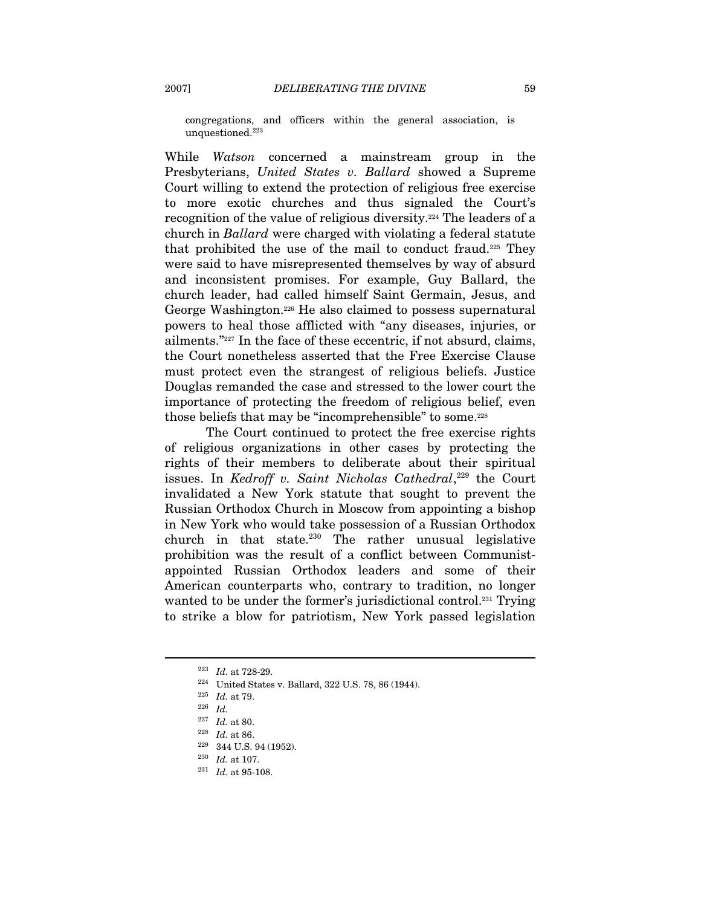congregations, and officers within the general association, is unquestioned.223

While *Watson* concerned a mainstream group in the Presbyterians, United States v. Ballard showed a Supreme Court willing to extend the protection of religious free exercise to more exotic churches and thus signaled the Court's recognition of the value of religious diversity.224 The leaders of a church in Ballard were charged with violating a federal statute that prohibited the use of the mail to conduct fraud.225 They were said to have misrepresented themselves by way of absurd and inconsistent promises. For example, Guy Ballard, the church leader, had called himself Saint Germain, Jesus, and George Washington.226 He also claimed to possess supernatural powers to heal those afflicted with "any diseases, injuries, or ailments."227 In the face of these eccentric, if not absurd, claims, the Court nonetheless asserted that the Free Exercise Clause must protect even the strangest of religious beliefs. Justice Douglas remanded the case and stressed to the lower court the importance of protecting the freedom of religious belief, even those beliefs that may be "incomprehensible" to some.228

The Court continued to protect the free exercise rights of religious organizations in other cases by protecting the rights of their members to deliberate about their spiritual issues. In Kedroff v. Saint Nicholas Cathedral,<sup>229</sup> the Court invalidated a New York statute that sought to prevent the Russian Orthodox Church in Moscow from appointing a bishop in New York who would take possession of a Russian Orthodox church in that state. $230$  The rather unusual legislative prohibition was the result of a conflict between Communistappointed Russian Orthodox leaders and some of their American counterparts who, contrary to tradition, no longer wanted to be under the former's jurisdictional control.<sup>231</sup> Trying to strike a blow for patriotism, New York passed legislation

 $\overline{a}$ 

<sup>228</sup> Id. at 86.

<sup>&</sup>lt;sup>223</sup> *Id.* at 728-29.<br><sup>224</sup> United States v. Ballard, 322 U.S. 78, 86 (1944).<br><sup>225</sup> *Id.* at 79.<br><sup>226</sup> *Id.* 

 $227$  *Id.* at 80.

<sup>&</sup>lt;sup>229</sup> 344 U.S. 94 (1952).<br><sup>230</sup> Id. at 107.<br><sup>231</sup> Id. at 95-108.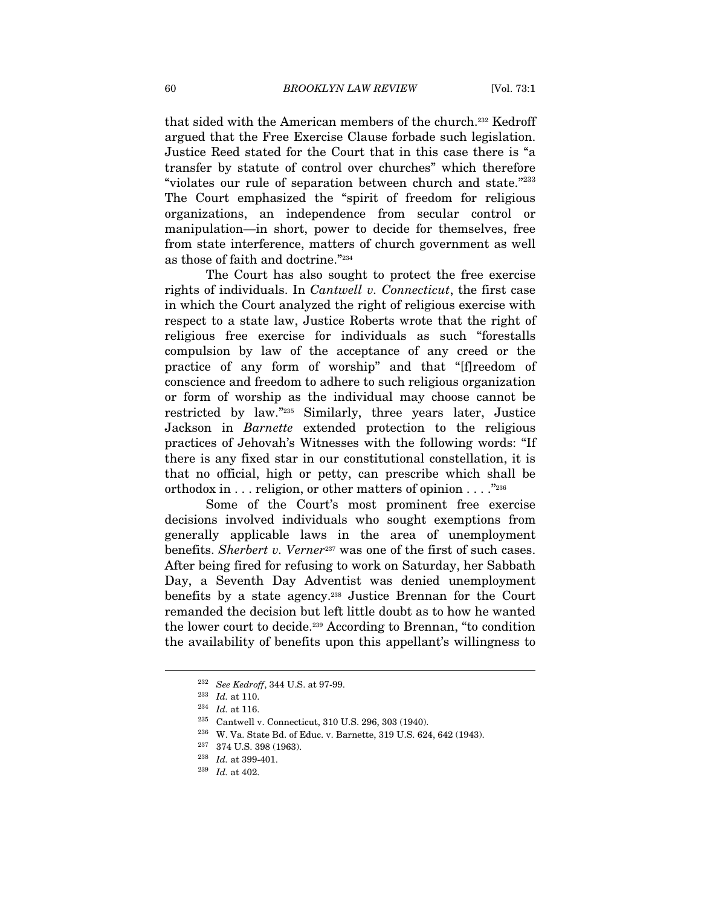that sided with the American members of the church.232 Kedroff argued that the Free Exercise Clause forbade such legislation. Justice Reed stated for the Court that in this case there is "a transfer by statute of control over churches" which therefore "violates our rule of separation between church and state."233 The Court emphasized the "spirit of freedom for religious organizations, an independence from secular control or manipulation—in short, power to decide for themselves, free from state interference, matters of church government as well as those of faith and doctrine."234

The Court has also sought to protect the free exercise rights of individuals. In Cantwell v. Connecticut, the first case in which the Court analyzed the right of religious exercise with respect to a state law, Justice Roberts wrote that the right of religious free exercise for individuals as such "forestalls compulsion by law of the acceptance of any creed or the practice of any form of worship" and that "[f]reedom of conscience and freedom to adhere to such religious organization or form of worship as the individual may choose cannot be restricted by law."235 Similarly, three years later, Justice Jackson in Barnette extended protection to the religious practices of Jehovah's Witnesses with the following words: "If there is any fixed star in our constitutional constellation, it is that no official, high or petty, can prescribe which shall be orthodox in . . . religion, or other matters of opinion . . . ."236

Some of the Court's most prominent free exercise decisions involved individuals who sought exemptions from generally applicable laws in the area of unemployment benefits. Sherbert v. Verner<sup>237</sup> was one of the first of such cases. After being fired for refusing to work on Saturday, her Sabbath Day, a Seventh Day Adventist was denied unemployment benefits by a state agency.238 Justice Brennan for the Court remanded the decision but left little doubt as to how he wanted the lower court to decide.239 According to Brennan, "to condition the availability of benefits upon this appellant's willingness to

<sup>&</sup>lt;sup>232</sup> See Kedroff, 344 U.S. at 97-99.<br><sup>233</sup> Id. at 110.<br><sup>234</sup> Id. at 116.<br><sup>235</sup> Cantwell v. Connecticut, 310 U.S. 296, 303 (1940).<br><sup>236</sup> W. Va. State Bd. of Educ. v. Barnette, 319 U.S. 624, 642 (1943).

 $\begin{array}{r} 237 & 374 \text{ U.S. } 398 \text{ (1963).} \\ 238 & Id. \text{ at } 399\text{-}401. \end{array}$ <br>  $\begin{array}{r} 239 & Id. \text{ at } 402. \end{array}$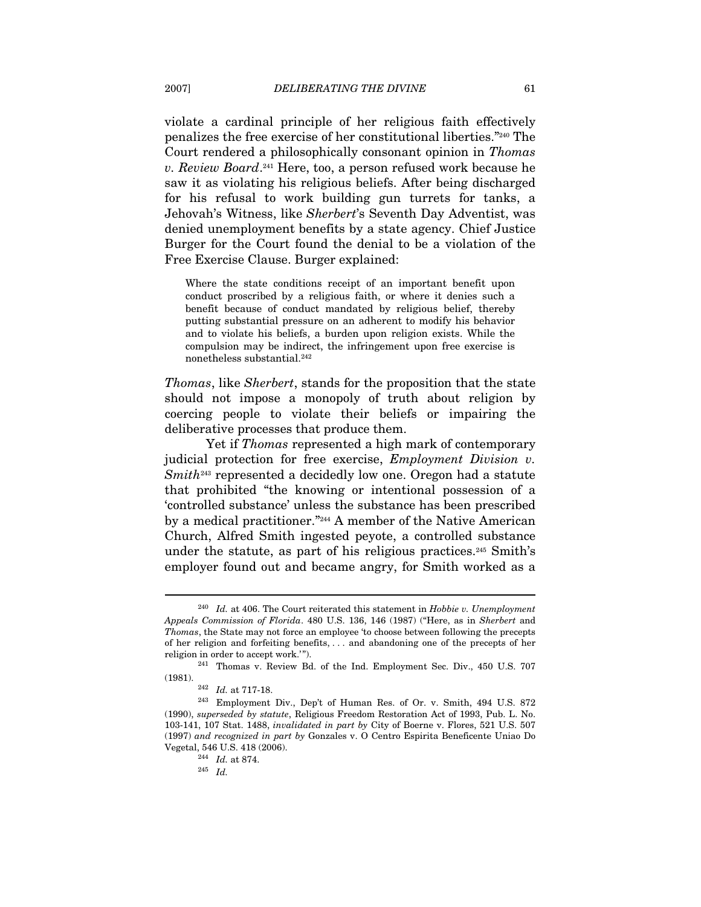violate a cardinal principle of her religious faith effectively penalizes the free exercise of her constitutional liberties."240 The Court rendered a philosophically consonant opinion in Thomas v. Review Board.241 Here, too, a person refused work because he saw it as violating his religious beliefs. After being discharged for his refusal to work building gun turrets for tanks, a Jehovah's Witness, like Sherbert's Seventh Day Adventist, was denied unemployment benefits by a state agency. Chief Justice Burger for the Court found the denial to be a violation of the Free Exercise Clause. Burger explained:

Where the state conditions receipt of an important benefit upon conduct proscribed by a religious faith, or where it denies such a benefit because of conduct mandated by religious belief, thereby putting substantial pressure on an adherent to modify his behavior and to violate his beliefs, a burden upon religion exists. While the compulsion may be indirect, the infringement upon free exercise is nonetheless substantial.242

Thomas, like Sherbert, stands for the proposition that the state should not impose a monopoly of truth about religion by coercing people to violate their beliefs or impairing the deliberative processes that produce them.

Yet if Thomas represented a high mark of contemporary judicial protection for free exercise, Employment Division v.  $Smith<sup>243</sup>$  represented a decidedly low one. Oregon had a statute that prohibited "the knowing or intentional possession of a 'controlled substance' unless the substance has been prescribed by a medical practitioner."244 A member of the Native American Church, Alfred Smith ingested peyote, a controlled substance under the statute, as part of his religious practices.<sup>245</sup> Smith's employer found out and became angry, for Smith worked as a

 $^{240}$  Id. at 406. The Court reiterated this statement in Hobbie v. Unemployment Appeals Commission of Florida. 480 U.S. 136, 146 (1987) ("Here, as in Sherbert and Thomas, the State may not force an employee 'to choose between following the precepts of her religion and forfeiting benefits, . . . and abandoning one of the precepts of her religion in order to accept work.'"). 241 Thomas v. Review Bd. of the Ind. Employment Sec. Div., 450 U.S. 707

<sup>(1981).&</sup>lt;br><sup>242</sup> *Id.* at 717-18.<br><sup>243</sup> Employment Div., Dep't of Human Res. of Or. v. Smith, 494 U.S. 872

<sup>(1990),</sup> superseded by statute, Religious Freedom Restoration Act of 1993, Pub. L. No. 103-141, 107 Stat. 1488, invalidated in part by City of Boerne v. Flores, 521 U.S. 507 (1997) and recognized in part by Gonzales v. O Centro Espirita Beneficente Uniao Do Vegetal, 546 U.S. 418 (2006).<br>  $^{244}$  Id. at 874.<br>  $^{245}$  Id.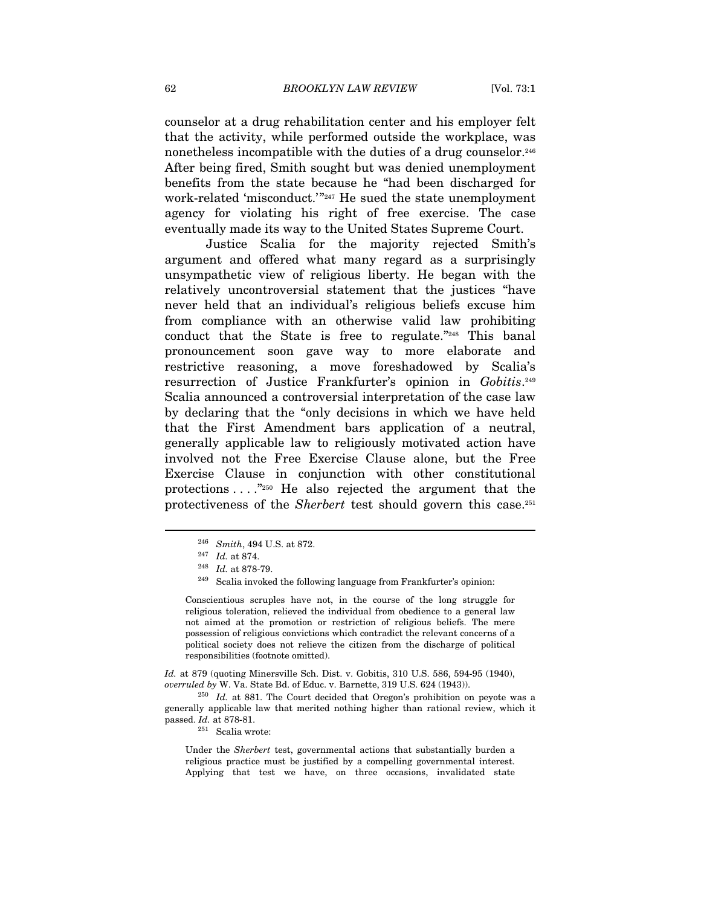counselor at a drug rehabilitation center and his employer felt that the activity, while performed outside the workplace, was nonetheless incompatible with the duties of a drug counselor.<sup>246</sup> After being fired, Smith sought but was denied unemployment benefits from the state because he "had been discharged for work-related 'misconduct.'"247 He sued the state unemployment agency for violating his right of free exercise. The case eventually made its way to the United States Supreme Court.

Justice Scalia for the majority rejected Smith's argument and offered what many regard as a surprisingly unsympathetic view of religious liberty. He began with the relatively uncontroversial statement that the justices "have never held that an individual's religious beliefs excuse him from compliance with an otherwise valid law prohibiting conduct that the State is free to regulate."248 This banal pronouncement soon gave way to more elaborate and restrictive reasoning, a move foreshadowed by Scalia's resurrection of Justice Frankfurter's opinion in Gobitis.249 Scalia announced a controversial interpretation of the case law by declaring that the "only decisions in which we have held that the First Amendment bars application of a neutral, generally applicable law to religiously motivated action have involved not the Free Exercise Clause alone, but the Free Exercise Clause in conjunction with other constitutional protections . . . ."250 He also rejected the argument that the protectiveness of the Sherbert test should govern this case.251

 $\overline{a}$ 

Conscientious scruples have not, in the course of the long struggle for religious toleration, relieved the individual from obedience to a general law not aimed at the promotion or restriction of religious beliefs. The mere possession of religious convictions which contradict the relevant concerns of a political society does not relieve the citizen from the discharge of political responsibilities (footnote omitted).

Id. at 879 (quoting Minersville Sch. Dist. v. Gobitis, 310 U.S. 586, 594-95 (1940), overruled by W. Va. State Bd. of Educ. v. Barnette, 319 U.S. 624 (1943)).<br><sup>250</sup> Id. at 881. The Court decided that Oregon's prohibition on peyote was a

generally applicable law that merited nothing higher than rational review, which it passed.  $Id.$  at 878-81.<br><sup>251</sup> Scalia wrote:

Under the Sherbert test, governmental actions that substantially burden a religious practice must be justified by a compelling governmental interest. Applying that test we have, on three occasions, invalidated state

<sup>&</sup>lt;sup>246</sup> *Smith*, 494 U.S. at 872.<br><sup>247</sup> *Id.* at 874.<br><sup>248</sup> *Id.* at 878-79.

 $249$  Scalia invoked the following language from Frankfurter's opinion: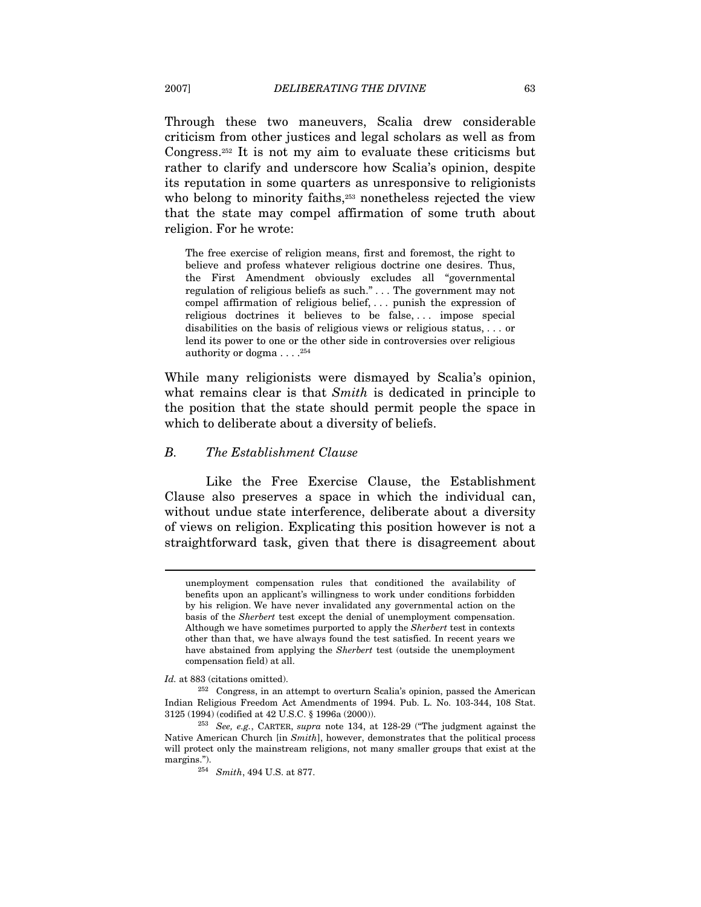Through these two maneuvers, Scalia drew considerable criticism from other justices and legal scholars as well as from Congress.252 It is not my aim to evaluate these criticisms but rather to clarify and underscore how Scalia's opinion, despite its reputation in some quarters as unresponsive to religionists who belong to minority faiths,<sup>253</sup> nonetheless rejected the view that the state may compel affirmation of some truth about religion. For he wrote:

The free exercise of religion means, first and foremost, the right to believe and profess whatever religious doctrine one desires. Thus, the First Amendment obviously excludes all "governmental regulation of religious beliefs as such." . . . The government may not compel affirmation of religious belief, . . . punish the expression of religious doctrines it believes to be false, ... impose special disabilities on the basis of religious views or religious status, . . . or lend its power to one or the other side in controversies over religious authority or dogma . . . .254

While many religionists were dismayed by Scalia's opinion, what remains clear is that *Smith* is dedicated in principle to the position that the state should permit people the space in which to deliberate about a diversity of beliefs.

# B. The Establishment Clause

Like the Free Exercise Clause, the Establishment Clause also preserves a space in which the individual can, without undue state interference, deliberate about a diversity of views on religion. Explicating this position however is not a straightforward task, given that there is disagreement about

unemployment compensation rules that conditioned the availability of benefits upon an applicant's willingness to work under conditions forbidden by his religion. We have never invalidated any governmental action on the basis of the Sherbert test except the denial of unemployment compensation. Although we have sometimes purported to apply the Sherbert test in contexts other than that, we have always found the test satisfied. In recent years we have abstained from applying the Sherbert test (outside the unemployment compensation field) at all.

*Id.* at 883 (citations omitted). 252 Congress, in an attempt to overturn Scalia's opinion, passed the American Indian Religious Freedom Act Amendments of 1994. Pub. L. No. 103-344, 108 Stat. 3125 (1994) (codified at 42 U.S.C. § 1996a (2000)). 253 See, e.g., CARTER, supra note 134, at 128-29 ("The judgment against the

Native American Church [in Smith], however, demonstrates that the political process will protect only the mainstream religions, not many smaller groups that exist at the

 $254$  Smith, 494 U.S. at 877.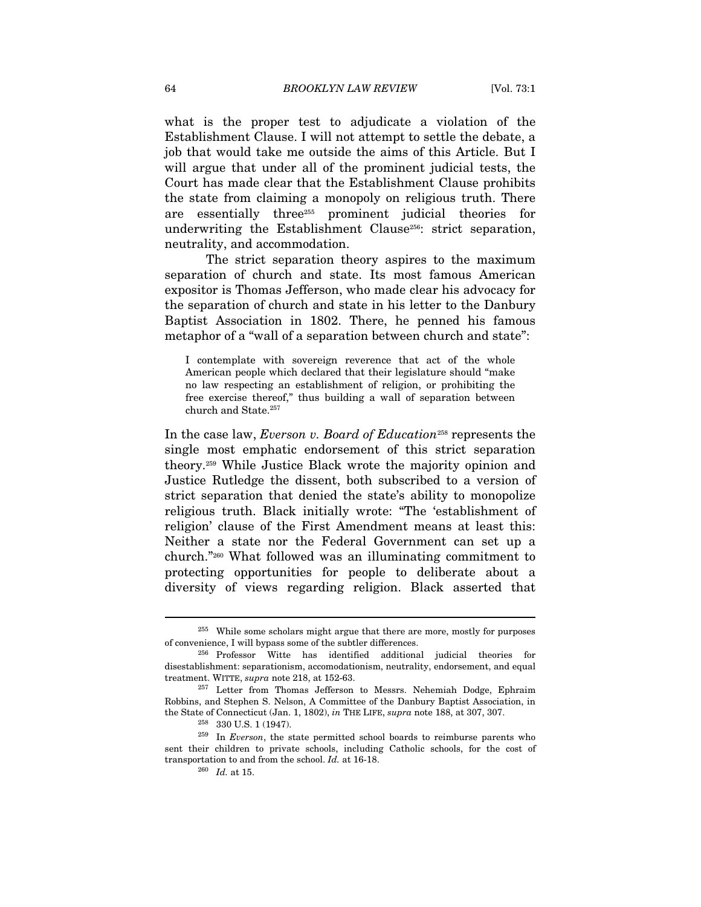what is the proper test to adjudicate a violation of the Establishment Clause. I will not attempt to settle the debate, a job that would take me outside the aims of this Article. But I will argue that under all of the prominent judicial tests, the Court has made clear that the Establishment Clause prohibits the state from claiming a monopoly on religious truth. There are essentially three255 prominent judicial theories for underwriting the Establishment Clause<sup>256</sup>: strict separation, neutrality, and accommodation.

The strict separation theory aspires to the maximum separation of church and state. Its most famous American expositor is Thomas Jefferson, who made clear his advocacy for the separation of church and state in his letter to the Danbury Baptist Association in 1802. There, he penned his famous metaphor of a "wall of a separation between church and state":

I contemplate with sovereign reverence that act of the whole American people which declared that their legislature should "make no law respecting an establishment of religion, or prohibiting the free exercise thereof," thus building a wall of separation between church and State.<sup>257</sup>

In the case law, Everson v. Board of Education<sup>258</sup> represents the single most emphatic endorsement of this strict separation theory.259 While Justice Black wrote the majority opinion and Justice Rutledge the dissent, both subscribed to a version of strict separation that denied the state's ability to monopolize religious truth. Black initially wrote: "The 'establishment of religion' clause of the First Amendment means at least this: Neither a state nor the Federal Government can set up a church."260 What followed was an illuminating commitment to protecting opportunities for people to deliberate about a diversity of views regarding religion. Black asserted that

<sup>255</sup> While some scholars might argue that there are more, mostly for purposes % of convenience, I will bypass some of the subtler differences.<br> $$^{256}$$  Professor  $\,$  Witte  $\,$  has  $\,$  identified  $\,$  additional  $\,$  judicial  $\,$  theories  $\,$  for

disestablishment: separationism, accomodationism, neutrality, endorsement, and equal treatment. WITTE, *supra* note 218, at 152-63.<br><sup>257</sup> Letter from Thomas Jefferson to Messrs. Nehemiah Dodge, Ephraim

Robbins, and Stephen S. Nelson, A Committee of the Danbury Baptist Association, in

the State of Connecticut (Jan. 1, 1802), *in* THE LIFE, *supra* note 188, at 307, 307.<br><sup>258</sup> 330 U.S. 1 (1947).<br><sup>259</sup> In *Everson*, the state permitted school boards to reimburse parents who sent their children to private schools, including Catholic schools, for the cost of transportation to and from the school. Id. at 16-18.  $^{260}$   $\,$   $Id.$  at 15.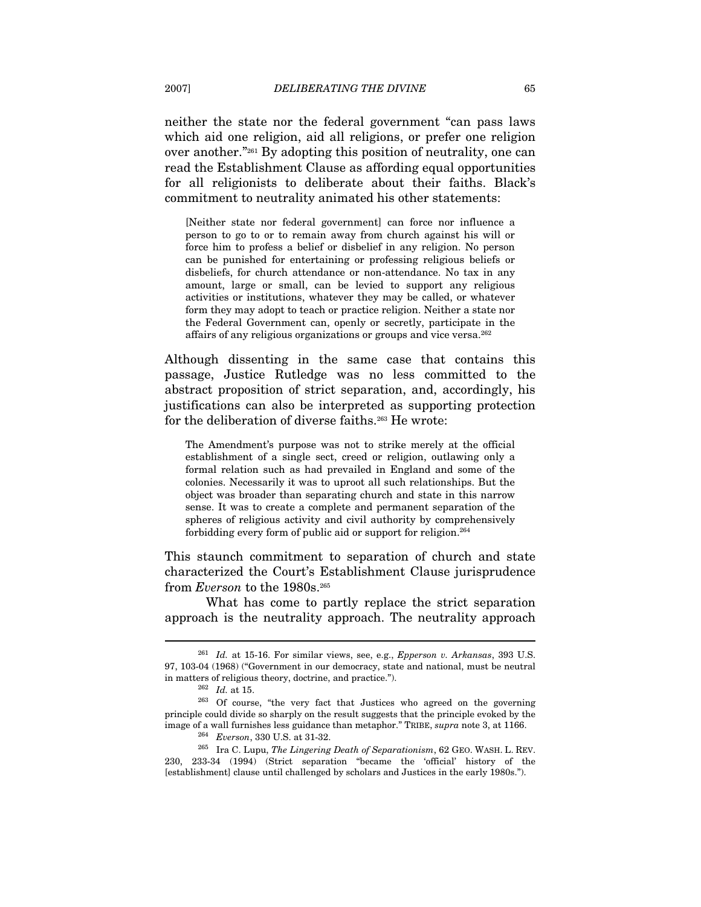neither the state nor the federal government "can pass laws which aid one religion, aid all religions, or prefer one religion over another."261 By adopting this position of neutrality, one can read the Establishment Clause as affording equal opportunities for all religionists to deliberate about their faiths. Black's commitment to neutrality animated his other statements:

[Neither state nor federal government] can force nor influence a person to go to or to remain away from church against his will or force him to profess a belief or disbelief in any religion. No person can be punished for entertaining or professing religious beliefs or disbeliefs, for church attendance or non-attendance. No tax in any amount, large or small, can be levied to support any religious activities or institutions, whatever they may be called, or whatever form they may adopt to teach or practice religion. Neither a state nor the Federal Government can, openly or secretly, participate in the affairs of any religious organizations or groups and vice versa.262

Although dissenting in the same case that contains this passage, Justice Rutledge was no less committed to the abstract proposition of strict separation, and, accordingly, his justifications can also be interpreted as supporting protection for the deliberation of diverse faiths.263 He wrote:

The Amendment's purpose was not to strike merely at the official establishment of a single sect, creed or religion, outlawing only a formal relation such as had prevailed in England and some of the colonies. Necessarily it was to uproot all such relationships. But the object was broader than separating church and state in this narrow sense. It was to create a complete and permanent separation of the spheres of religious activity and civil authority by comprehensively forbidding every form of public aid or support for religion.264

This staunch commitment to separation of church and state characterized the Court's Establishment Clause jurisprudence from Everson to the 1980s.265

What has come to partly replace the strict separation approach is the neutrality approach. The neutrality approach

 $261$  *Id.* at 15-16. For similar views, see, e.g., *Epperson v. Arkansas*, 393 U.S. 97, 103-04 (1968) ("Government in our democracy, state and national, must be neutral in matters of religious theory, doctrine, and practice."). <br><sup>262</sup> Id. at 15. <br><sup>263</sup> Of course, "the very fact that Justices who agreed on the governing

principle could divide so sharply on the result suggests that the principle evoked by the image of a wall furnishes less guidance than metaphor." TRIBE, *supra* note 3, at 1166.<br><sup>264</sup> Everson, 330 U.S. at 31-32.<br><sup>265</sup> Ira C. Lupu, *The Lingering Death of Separationism*, 62 GEO. WASH. L. REV.

<sup>230, 233-34 (1994) (</sup>Strict separation "became the 'official' history of the [establishment] clause until challenged by scholars and Justices in the early 1980s.").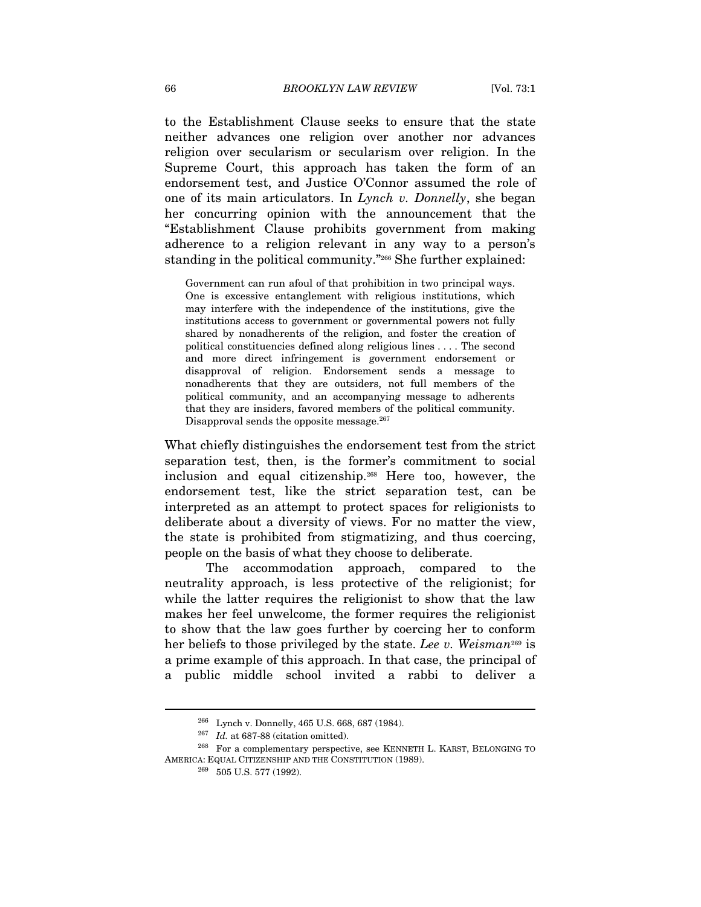to the Establishment Clause seeks to ensure that the state neither advances one religion over another nor advances religion over secularism or secularism over religion. In the Supreme Court, this approach has taken the form of an endorsement test, and Justice O'Connor assumed the role of one of its main articulators. In Lynch v. Donnelly, she began her concurring opinion with the announcement that the "Establishment Clause prohibits government from making adherence to a religion relevant in any way to a person's standing in the political community."<sup>266</sup> She further explained:

Government can run afoul of that prohibition in two principal ways. One is excessive entanglement with religious institutions, which may interfere with the independence of the institutions, give the institutions access to government or governmental powers not fully shared by nonadherents of the religion, and foster the creation of political constituencies defined along religious lines . . . . The second and more direct infringement is government endorsement or disapproval of religion. Endorsement sends a message to nonadherents that they are outsiders, not full members of the political community, and an accompanying message to adherents that they are insiders, favored members of the political community. Disapproval sends the opposite message.<sup>267</sup>

What chiefly distinguishes the endorsement test from the strict separation test, then, is the former's commitment to social inclusion and equal citizenship.268 Here too, however, the endorsement test, like the strict separation test, can be interpreted as an attempt to protect spaces for religionists to deliberate about a diversity of views. For no matter the view, the state is prohibited from stigmatizing, and thus coercing, people on the basis of what they choose to deliberate.

The accommodation approach, compared to the neutrality approach, is less protective of the religionist; for while the latter requires the religionist to show that the law makes her feel unwelcome, the former requires the religionist to show that the law goes further by coercing her to conform her beliefs to those privileged by the state. Lee v. Weisman<sup>269</sup> is a prime example of this approach. In that case, the principal of a public middle school invited a rabbi to deliver a

<sup>&</sup>lt;sup>266</sup> Lynch v. Donnelly, 465 U.S. 668, 687 (1984).<br><sup>267</sup> Id. at 687-88 (citation omitted).<br><sup>268</sup> For a complementary perspective, see KENNETH L. KARST, BELONGING TO AMERICA: EQUAL CITIZENSHIP AND THE CONSTITUTION (1989).<br><sup>269</sup> 505 U.S. 577 (1992).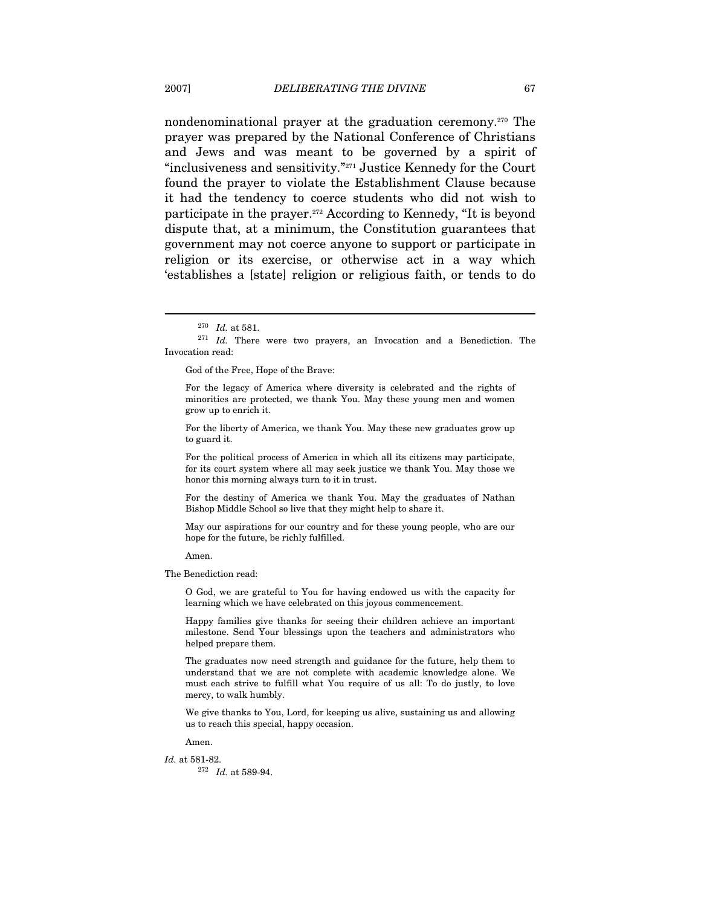nondenominational prayer at the graduation ceremony.270 The prayer was prepared by the National Conference of Christians and Jews and was meant to be governed by a spirit of "inclusiveness and sensitivity."271 Justice Kennedy for the Court found the prayer to violate the Establishment Clause because it had the tendency to coerce students who did not wish to participate in the prayer.272 According to Kennedy, "It is beyond dispute that, at a minimum, the Constitution guarantees that government may not coerce anyone to support or participate in religion or its exercise, or otherwise act in a way which 'establishes a [state] religion or religious faith, or tends to do

God of the Free, Hope of the Brave:

For the legacy of America where diversity is celebrated and the rights of minorities are protected, we thank You. May these young men and women grow up to enrich it.

For the liberty of America, we thank You. May these new graduates grow up to guard it.

For the political process of America in which all its citizens may participate, for its court system where all may seek justice we thank You. May those we honor this morning always turn to it in trust.

For the destiny of America we thank You. May the graduates of Nathan Bishop Middle School so live that they might help to share it.

May our aspirations for our country and for these young people, who are our hope for the future, be richly fulfilled.

Amen.

The Benediction read:

O God, we are grateful to You for having endowed us with the capacity for learning which we have celebrated on this joyous commencement.

Happy families give thanks for seeing their children achieve an important milestone. Send Your blessings upon the teachers and administrators who helped prepare them.

The graduates now need strength and guidance for the future, help them to understand that we are not complete with academic knowledge alone. We must each strive to fulfill what You require of us all: To do justly, to love mercy, to walk humbly.

We give thanks to You, Lord, for keeping us alive, sustaining us and allowing us to reach this special, happy occasion.

Amen.

*Id.* at 581-82.<br> $\frac{272}{1}$  *Id.* at 589-94.

 $^{270}\,$   $Id.$  at 581.  $^{271}\,$   $Id.$  There were two prayers, an Invocation and a Benediction. The Invocation read: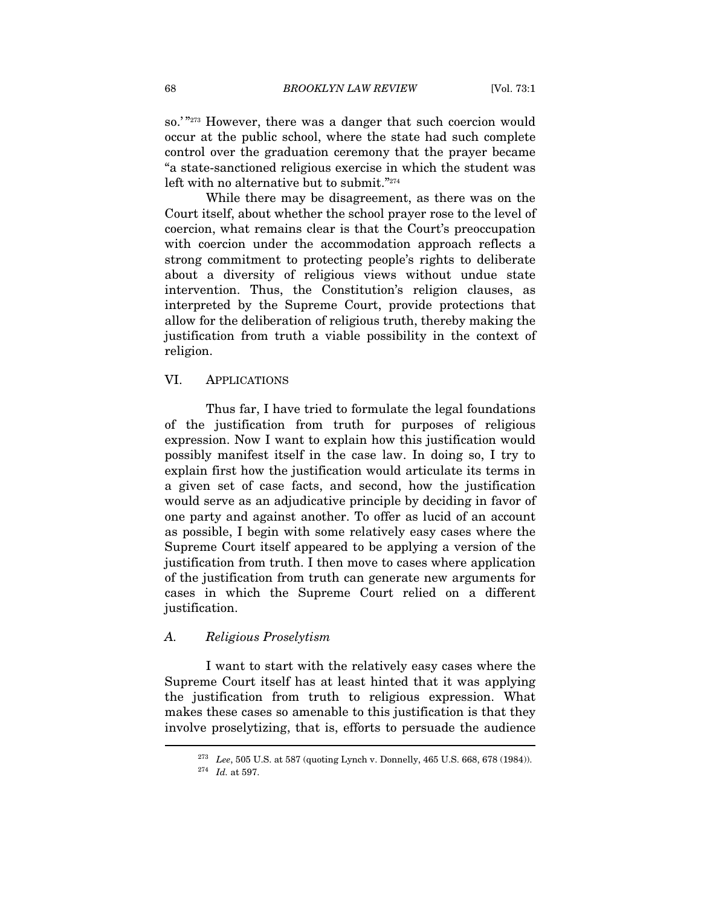so.'"<sup>273</sup> However, there was a danger that such coercion would occur at the public school, where the state had such complete control over the graduation ceremony that the prayer became "a state-sanctioned religious exercise in which the student was left with no alternative but to submit."274

While there may be disagreement, as there was on the Court itself, about whether the school prayer rose to the level of coercion, what remains clear is that the Court's preoccupation with coercion under the accommodation approach reflects a strong commitment to protecting people's rights to deliberate about a diversity of religious views without undue state intervention. Thus, the Constitution's religion clauses, as interpreted by the Supreme Court, provide protections that allow for the deliberation of religious truth, thereby making the justification from truth a viable possibility in the context of religion.

# VI. APPLICATIONS

Thus far, I have tried to formulate the legal foundations of the justification from truth for purposes of religious expression. Now I want to explain how this justification would possibly manifest itself in the case law. In doing so, I try to explain first how the justification would articulate its terms in a given set of case facts, and second, how the justification would serve as an adjudicative principle by deciding in favor of one party and against another. To offer as lucid of an account as possible, I begin with some relatively easy cases where the Supreme Court itself appeared to be applying a version of the justification from truth. I then move to cases where application of the justification from truth can generate new arguments for cases in which the Supreme Court relied on a different justification.

### A. Religious Proselytism

I want to start with the relatively easy cases where the Supreme Court itself has at least hinted that it was applying the justification from truth to religious expression. What makes these cases so amenable to this justification is that they involve proselytizing, that is, efforts to persuade the audience  $\overline{a}$ 

<sup>&</sup>lt;sup>273</sup> Lee, 505 U.S. at 587 (quoting Lynch v. Donnelly, 465 U.S. 668, 678 (1984)).<br><sup>274</sup> Id. at 597.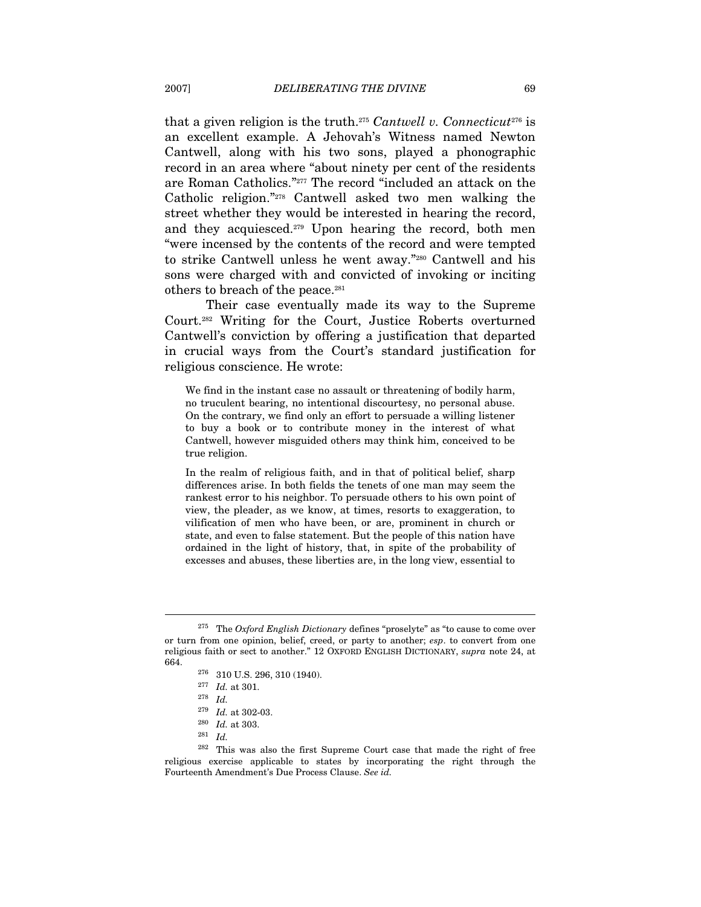that a given religion is the truth.<sup>275</sup> Cantwell v. Connecticut<sup>276</sup> is an excellent example. A Jehovah's Witness named Newton Cantwell, along with his two sons, played a phonographic record in an area where "about ninety per cent of the residents are Roman Catholics."277 The record "included an attack on the Catholic religion."278 Cantwell asked two men walking the street whether they would be interested in hearing the record, and they acquiesced.<sup>279</sup> Upon hearing the record, both men "were incensed by the contents of the record and were tempted to strike Cantwell unless he went away."280 Cantwell and his sons were charged with and convicted of invoking or inciting others to breach of the peace.<sup>281</sup>

Their case eventually made its way to the Supreme Court.282 Writing for the Court, Justice Roberts overturned Cantwell's conviction by offering a justification that departed in crucial ways from the Court's standard justification for religious conscience. He wrote:

We find in the instant case no assault or threatening of bodily harm, no truculent bearing, no intentional discourtesy, no personal abuse. On the contrary, we find only an effort to persuade a willing listener to buy a book or to contribute money in the interest of what Cantwell, however misguided others may think him, conceived to be true religion.

In the realm of religious faith, and in that of political belief, sharp differences arise. In both fields the tenets of one man may seem the rankest error to his neighbor. To persuade others to his own point of view, the pleader, as we know, at times, resorts to exaggeration, to vilification of men who have been, or are, prominent in church or state, and even to false statement. But the people of this nation have ordained in the light of history, that, in spite of the probability of excesses and abuses, these liberties are, in the long view, essential to

<sup>&</sup>lt;sup>275</sup> The Oxford English Dictionary defines "proselyte" as "to cause to come over or turn from one opinion, belief, creed, or party to another; esp. to convert from one religious faith or sect to another." 12 OXFORD ENGLISH DICTIONARY, supra note 24, at 664.<br>
<sup>276</sup> 310 U.S. 296, 310 (1940).<br>
<sup>277</sup> Id. at 301.<br>
<sup>279</sup> Id. at 302-03.<br>
<sup>280</sup> Id. at 302.

<sup>&</sup>lt;sup>280</sup> Id. at 303.<br><sup>281</sup> Id. <sup>282</sup> This was also the first Supreme Court case that made the right of free religious exercise applicable to states by incorporating the right through the Fourteenth Amendment's Due Process Clause. See id.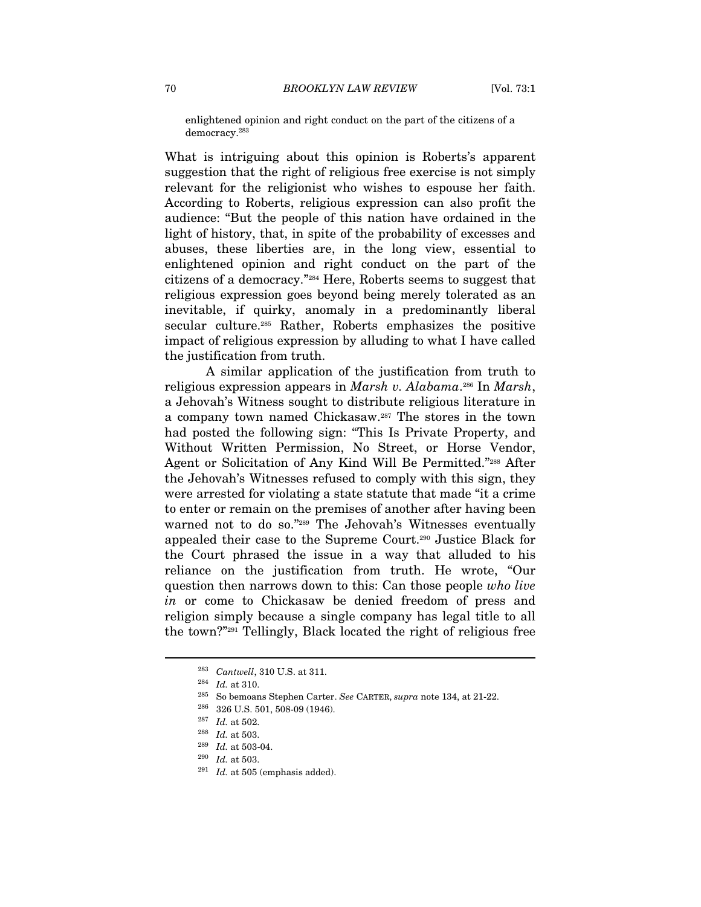enlightened opinion and right conduct on the part of the citizens of a democracy.283

What is intriguing about this opinion is Roberts's apparent suggestion that the right of religious free exercise is not simply relevant for the religionist who wishes to espouse her faith. According to Roberts, religious expression can also profit the audience: "But the people of this nation have ordained in the light of history, that, in spite of the probability of excesses and abuses, these liberties are, in the long view, essential to enlightened opinion and right conduct on the part of the citizens of a democracy."284 Here, Roberts seems to suggest that religious expression goes beyond being merely tolerated as an inevitable, if quirky, anomaly in a predominantly liberal secular culture.285 Rather, Roberts emphasizes the positive impact of religious expression by alluding to what I have called the justification from truth.

A similar application of the justification from truth to religious expression appears in *Marsh v. Alabama*.<sup>286</sup> In *Marsh*, a Jehovah's Witness sought to distribute religious literature in a company town named Chickasaw.287 The stores in the town had posted the following sign: "This Is Private Property, and Without Written Permission, No Street, or Horse Vendor, Agent or Solicitation of Any Kind Will Be Permitted."288 After the Jehovah's Witnesses refused to comply with this sign, they were arrested for violating a state statute that made "it a crime to enter or remain on the premises of another after having been warned not to do so."289 The Jehovah's Witnesses eventually appealed their case to the Supreme Court.290 Justice Black for the Court phrased the issue in a way that alluded to his reliance on the justification from truth. He wrote, "Our question then narrows down to this: Can those people who live in or come to Chickasaw be denied freedom of press and religion simply because a single company has legal title to all the town?"291 Tellingly, Black located the right of religious free

<sup>&</sup>lt;sup>283</sup> Cantwell, 310 U.S. at 311.<br><sup>284</sup> Id. at 310.<br><sup>285</sup> So bemoans Stephen Carter. See CARTER, supra note 134, at 21-22.<br><sup>286</sup> 326 U.S. 501, 508-09 (1946).<br><sup>287</sup> Id. at 502.<br><sup>288</sup> Id. at 503.

<sup>&</sup>lt;sup>289</sup> *Id.* at 503-04.<br><sup>290</sup> *Id.* at 503.<br><sup>291</sup> *Id.* at 505 (emphasis added).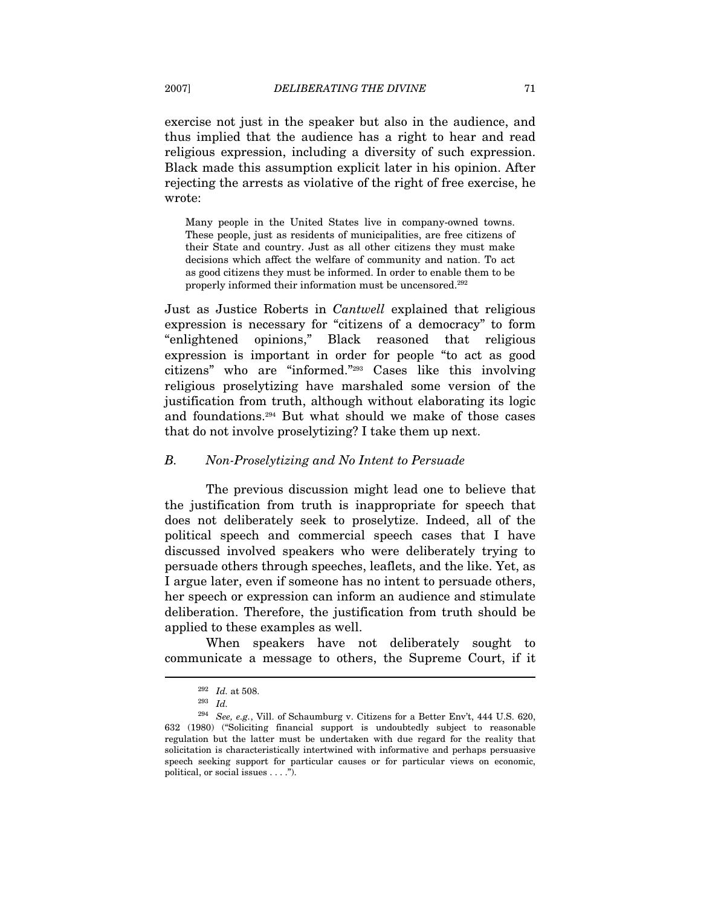exercise not just in the speaker but also in the audience, and thus implied that the audience has a right to hear and read religious expression, including a diversity of such expression. Black made this assumption explicit later in his opinion. After rejecting the arrests as violative of the right of free exercise, he wrote:

Many people in the United States live in company-owned towns. These people, just as residents of municipalities, are free citizens of their State and country. Just as all other citizens they must make decisions which affect the welfare of community and nation. To act as good citizens they must be informed. In order to enable them to be properly informed their information must be uncensored.292

Just as Justice Roberts in Cantwell explained that religious expression is necessary for "citizens of a democracy" to form "enlightened opinions," Black reasoned that religious expression is important in order for people "to act as good citizens" who are "informed."293 Cases like this involving religious proselytizing have marshaled some version of the justification from truth, although without elaborating its logic and foundations.294 But what should we make of those cases that do not involve proselytizing? I take them up next.

# B. Non-Proselytizing and No Intent to Persuade

The previous discussion might lead one to believe that the justification from truth is inappropriate for speech that does not deliberately seek to proselytize. Indeed, all of the political speech and commercial speech cases that I have discussed involved speakers who were deliberately trying to persuade others through speeches, leaflets, and the like. Yet, as I argue later, even if someone has no intent to persuade others, her speech or expression can inform an audience and stimulate deliberation. Therefore, the justification from truth should be applied to these examples as well.

When speakers have not deliberately sought to communicate a message to others, the Supreme Court, if it

<sup>&</sup>lt;sup>292</sup> *Id.* at 508.<br><sup>293</sup> *Id.* 

 $294$  See, e.g., Vill. of Schaumburg v. Citizens for a Better Env't, 444 U.S. 620, 632 (1980) ("Soliciting financial support is undoubtedly subject to reasonable regulation but the latter must be undertaken with due regard for the reality that solicitation is characteristically intertwined with informative and perhaps persuasive speech seeking support for particular causes or for particular views on economic, political, or social issues . . . .").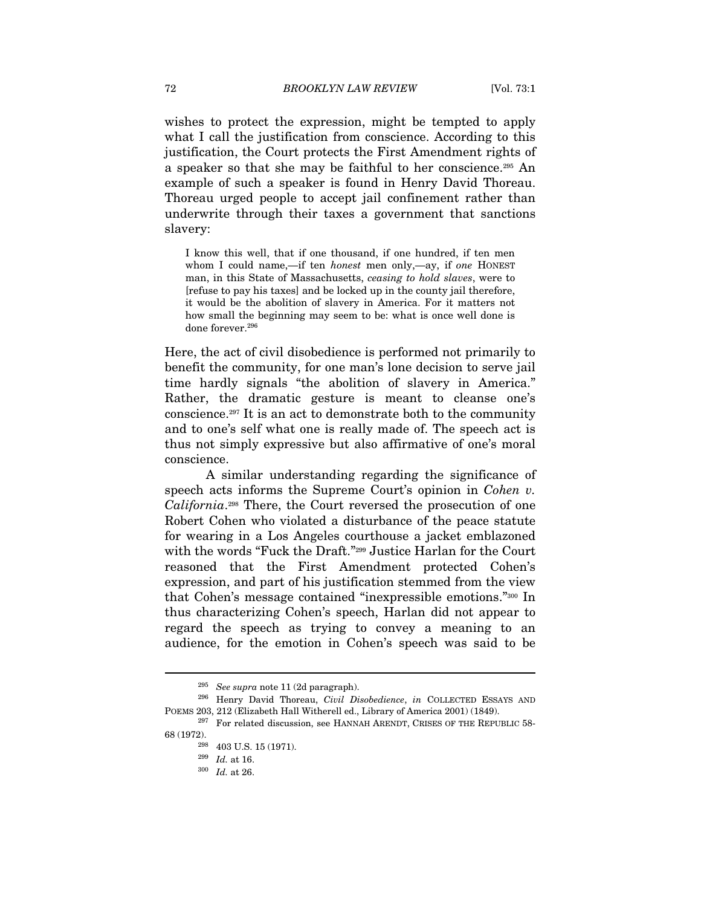wishes to protect the expression, might be tempted to apply what I call the justification from conscience. According to this justification, the Court protects the First Amendment rights of a speaker so that she may be faithful to her conscience.295 An example of such a speaker is found in Henry David Thoreau. Thoreau urged people to accept jail confinement rather than underwrite through their taxes a government that sanctions slavery:

I know this well, that if one thousand, if one hundred, if ten men whom I could name,—if ten *honest* men only,—ay, if one HONEST man, in this State of Massachusetts, ceasing to hold slaves, were to [refuse to pay his taxes] and be locked up in the county jail therefore, it would be the abolition of slavery in America. For it matters not how small the beginning may seem to be: what is once well done is done forever.<sup>296</sup>

Here, the act of civil disobedience is performed not primarily to benefit the community, for one man's lone decision to serve jail time hardly signals "the abolition of slavery in America." Rather, the dramatic gesture is meant to cleanse one's conscience.297 It is an act to demonstrate both to the community and to one's self what one is really made of. The speech act is thus not simply expressive but also affirmative of one's moral conscience.

A similar understanding regarding the significance of speech acts informs the Supreme Court's opinion in Cohen v. California.298 There, the Court reversed the prosecution of one Robert Cohen who violated a disturbance of the peace statute for wearing in a Los Angeles courthouse a jacket emblazoned with the words "Fuck the Draft."299 Justice Harlan for the Court reasoned that the First Amendment protected Cohen's expression, and part of his justification stemmed from the view that Cohen's message contained "inexpressible emotions."300 In thus characterizing Cohen's speech, Harlan did not appear to regard the speech as trying to convey a meaning to an audience, for the emotion in Cohen's speech was said to be

<sup>&</sup>lt;sup>295</sup> See supra note 11 (2d paragraph).<br><sup>296</sup> Henry David Thoreau, *Civil Disobedience*, *in* COLLECTED ESSAYS AND POEMS 203, 212 (Elizabeth Hall Witherell ed., Library of America 2001) (1849).

<sup>&</sup>lt;sup>297</sup> For related discussion, see HANNAH ARENDT, CRISES OF THE REPUBLIC 58-68 (1972). <sup>298</sup> 403 U.S. 15 (1971). <sup>299</sup> *Id.* at 16. <sup>300</sup> *Id.* at 26.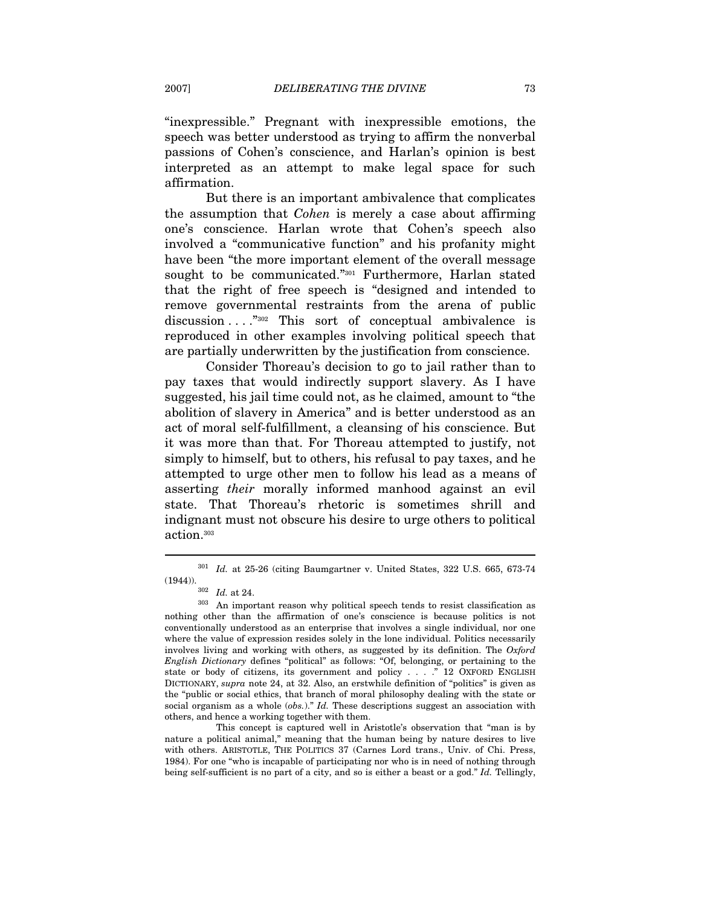"inexpressible." Pregnant with inexpressible emotions, the speech was better understood as trying to affirm the nonverbal passions of Cohen's conscience, and Harlan's opinion is best interpreted as an attempt to make legal space for such affirmation.

But there is an important ambivalence that complicates the assumption that Cohen is merely a case about affirming one's conscience. Harlan wrote that Cohen's speech also involved a "communicative function" and his profanity might have been "the more important element of the overall message sought to be communicated."301 Furthermore, Harlan stated that the right of free speech is "designed and intended to remove governmental restraints from the arena of public discussion . . . ."302 This sort of conceptual ambivalence is reproduced in other examples involving political speech that are partially underwritten by the justification from conscience.

Consider Thoreau's decision to go to jail rather than to pay taxes that would indirectly support slavery. As I have suggested, his jail time could not, as he claimed, amount to "the abolition of slavery in America" and is better understood as an act of moral self-fulfillment, a cleansing of his conscience. But it was more than that. For Thoreau attempted to justify, not simply to himself, but to others, his refusal to pay taxes, and he attempted to urge other men to follow his lead as a means of asserting their morally informed manhood against an evil state. That Thoreau's rhetoric is sometimes shrill and indignant must not obscure his desire to urge others to political action.303

 $\overline{a}$ 

 This concept is captured well in Aristotle's observation that "man is by nature a political animal," meaning that the human being by nature desires to live with others. ARISTOTLE, THE POLITICS 37 (Carnes Lord trans., Univ. of Chi. Press, 1984). For one "who is incapable of participating nor who is in need of nothing through being self-sufficient is no part of a city, and so is either a beast or a god." Id. Tellingly,

 $301$  *Id.* at 25-26 (citing Baumgartner v. United States, 322 U.S. 665, 673-74

<sup>(1944)).&</sup>lt;br><sup>302</sup> *Id.* at 24.  $\frac{302 \text{ H}}{100 \text{ H}}$  at 24. nothing other than the affirmation of one's conscience is because politics is not conventionally understood as an enterprise that involves a single individual, nor one where the value of expression resides solely in the lone individual. Politics necessarily involves living and working with others, as suggested by its definition. The  $Oxford$ English Dictionary defines "political" as follows: "Of, belonging, or pertaining to the state or body of citizens, its government and policy . . . ." 12 OXFORD ENGLISH DICTIONARY, supra note 24, at 32. Also, an erstwhile definition of "politics" is given as the "public or social ethics, that branch of moral philosophy dealing with the state or social organism as a whole (*obs.*)." *Id.* These descriptions suggest an association with others, and hence a working together with them.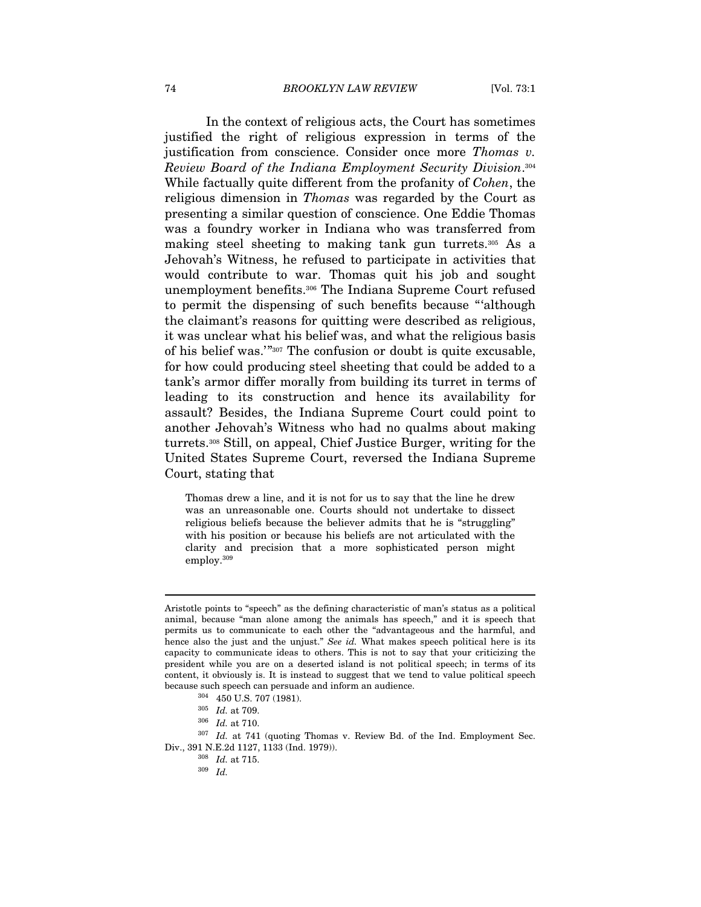In the context of religious acts, the Court has sometimes justified the right of religious expression in terms of the justification from conscience. Consider once more Thomas v. Review Board of the Indiana Employment Security Division. 304 While factually quite different from the profanity of Cohen, the religious dimension in Thomas was regarded by the Court as presenting a similar question of conscience. One Eddie Thomas was a foundry worker in Indiana who was transferred from making steel sheeting to making tank gun turrets.305 As a Jehovah's Witness, he refused to participate in activities that would contribute to war. Thomas quit his job and sought unemployment benefits.306 The Indiana Supreme Court refused to permit the dispensing of such benefits because "'although the claimant's reasons for quitting were described as religious, it was unclear what his belief was, and what the religious basis of his belief was.'"307 The confusion or doubt is quite excusable, for how could producing steel sheeting that could be added to a tank's armor differ morally from building its turret in terms of leading to its construction and hence its availability for assault? Besides, the Indiana Supreme Court could point to another Jehovah's Witness who had no qualms about making turrets.308 Still, on appeal, Chief Justice Burger, writing for the United States Supreme Court, reversed the Indiana Supreme Court, stating that

Thomas drew a line, and it is not for us to say that the line he drew was an unreasonable one. Courts should not undertake to dissect religious beliefs because the believer admits that he is "struggling" with his position or because his beliefs are not articulated with the clarity and precision that a more sophisticated person might employ.309

Aristotle points to "speech" as the defining characteristic of man's status as a political animal, because "man alone among the animals has speech," and it is speech that permits us to communicate to each other the "advantageous and the harmful, and hence also the just and the unjust." See id. What makes speech political here is its capacity to communicate ideas to others. This is not to say that your criticizing the president while you are on a deserted island is not political speech; in terms of its content, it obviously is. It is instead to suggest that we tend to value political speech

because such speech can persuade and inform an audience.<br><sup>304</sup> 450 U.S. 707 (1981).<br><sup>305</sup> Id. at 709.<br><sup>306</sup> Id. at 710.<br><sup>307</sup> Id. at 741 (quoting Thomas v. Review Bd. of the Ind. Employment Sec. Div., 391 N.E.2d 1127, 1133 (Ind. 1979)).  $\frac{308}{16l}$ . at 715.  $\frac{309}{1d}$ .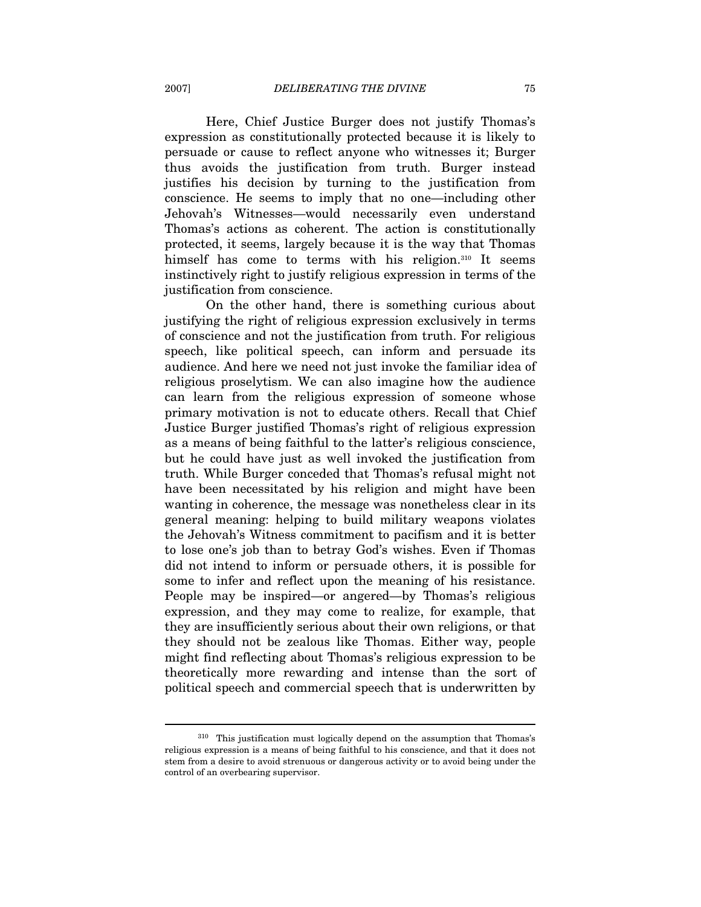Here, Chief Justice Burger does not justify Thomas's expression as constitutionally protected because it is likely to persuade or cause to reflect anyone who witnesses it; Burger thus avoids the justification from truth. Burger instead justifies his decision by turning to the justification from conscience. He seems to imply that no one—including other Jehovah's Witnesses—would necessarily even understand Thomas's actions as coherent. The action is constitutionally protected, it seems, largely because it is the way that Thomas himself has come to terms with his religion.<sup>310</sup> It seems instinctively right to justify religious expression in terms of the justification from conscience.

On the other hand, there is something curious about justifying the right of religious expression exclusively in terms of conscience and not the justification from truth. For religious speech, like political speech, can inform and persuade its audience. And here we need not just invoke the familiar idea of religious proselytism. We can also imagine how the audience can learn from the religious expression of someone whose primary motivation is not to educate others. Recall that Chief Justice Burger justified Thomas's right of religious expression as a means of being faithful to the latter's religious conscience, but he could have just as well invoked the justification from truth. While Burger conceded that Thomas's refusal might not have been necessitated by his religion and might have been wanting in coherence, the message was nonetheless clear in its general meaning: helping to build military weapons violates the Jehovah's Witness commitment to pacifism and it is better to lose one's job than to betray God's wishes. Even if Thomas did not intend to inform or persuade others, it is possible for some to infer and reflect upon the meaning of his resistance. People may be inspired—or angered—by Thomas's religious expression, and they may come to realize, for example, that they are insufficiently serious about their own religions, or that they should not be zealous like Thomas. Either way, people might find reflecting about Thomas's religious expression to be theoretically more rewarding and intense than the sort of political speech and commercial speech that is underwritten by

<sup>310</sup> This justification must logically depend on the assumption that Thomas's religious expression is a means of being faithful to his conscience, and that it does not stem from a desire to avoid strenuous or dangerous activity or to avoid being under the control of an overbearing supervisor.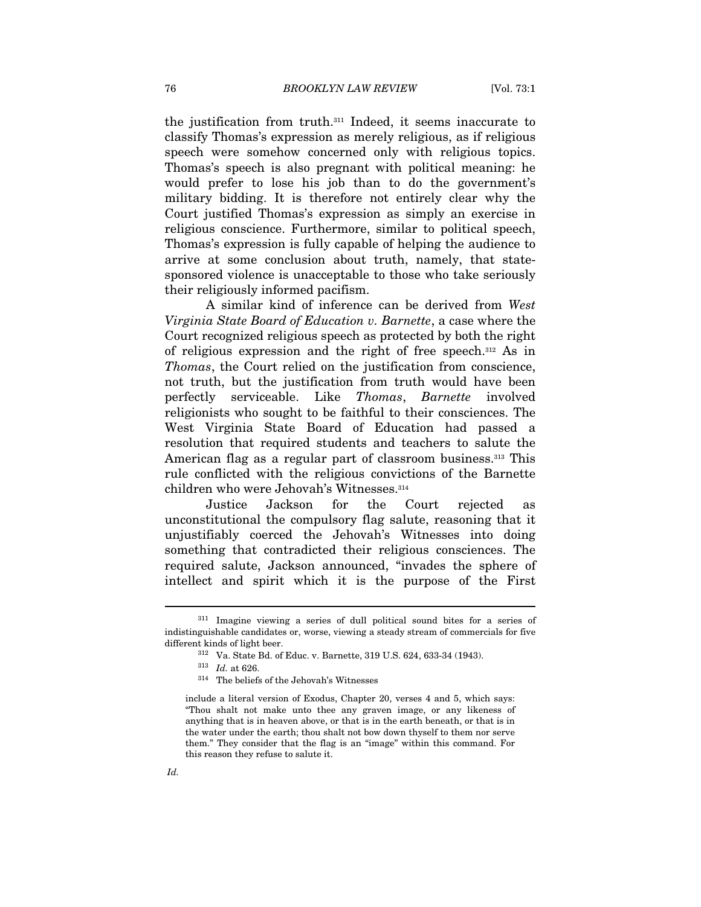the justification from truth.311 Indeed, it seems inaccurate to classify Thomas's expression as merely religious, as if religious speech were somehow concerned only with religious topics. Thomas's speech is also pregnant with political meaning: he would prefer to lose his job than to do the government's military bidding. It is therefore not entirely clear why the Court justified Thomas's expression as simply an exercise in religious conscience. Furthermore, similar to political speech, Thomas's expression is fully capable of helping the audience to arrive at some conclusion about truth, namely, that statesponsored violence is unacceptable to those who take seriously their religiously informed pacifism.

A similar kind of inference can be derived from West Virginia State Board of Education v. Barnette, a case where the Court recognized religious speech as protected by both the right of religious expression and the right of free speech.312 As in Thomas, the Court relied on the justification from conscience, not truth, but the justification from truth would have been perfectly serviceable. Like Thomas, Barnette involved religionists who sought to be faithful to their consciences. The West Virginia State Board of Education had passed a resolution that required students and teachers to salute the American flag as a regular part of classroom business.<sup>313</sup> This rule conflicted with the religious convictions of the Barnette children who were Jehovah's Witnesses.314

Justice Jackson for the Court rejected unconstitutional the compulsory flag salute, reasoning that it unjustifiably coerced the Jehovah's Witnesses into doing something that contradicted their religious consciences. The required salute, Jackson announced, "invades the sphere of intellect and spirit which it is the purpose of the First

<sup>311</sup> Imagine viewing a series of dull political sound bites for a series of indistinguishable candidates or, worse, viewing a steady stream of commercials for five different kinds of light beer.<br><sup>312</sup> Va. State Bd. of Educ. v. Barnette, 319 U.S. 624, 633-34 (1943).<br><sup>313</sup> Id. at 626.<br><sup>314</sup> The beliefs of the Jehovah's Witnesses

include a literal version of Exodus, Chapter 20, verses 4 and 5, which says: "Thou shalt not make unto thee any graven image, or any likeness of anything that is in heaven above, or that is in the earth beneath, or that is in the water under the earth; thou shalt not bow down thyself to them nor serve them." They consider that the flag is an "image" within this command. For this reason they refuse to salute it.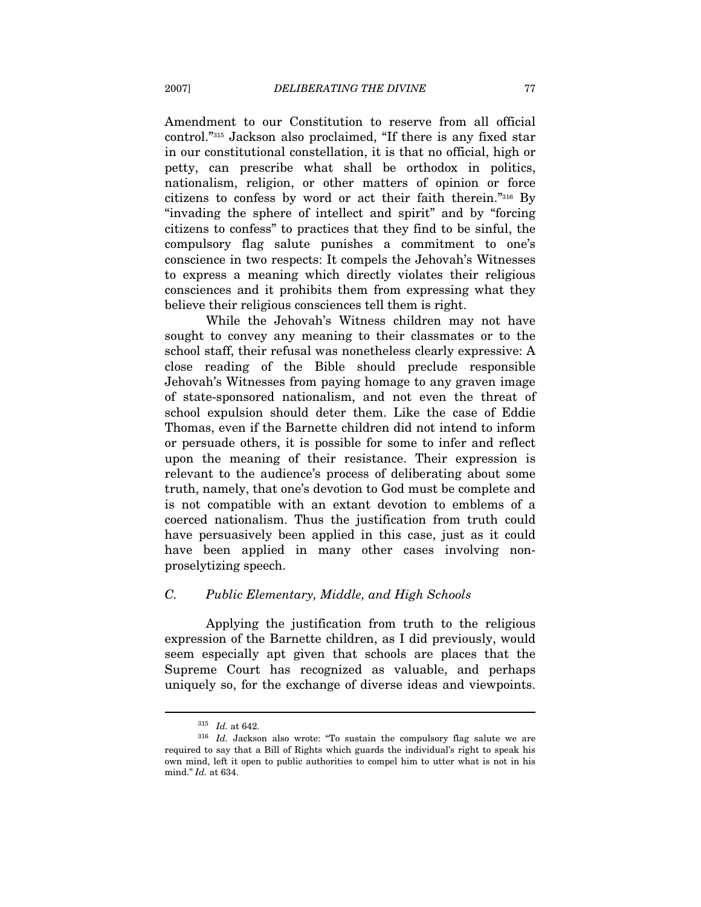Amendment to our Constitution to reserve from all official control."315 Jackson also proclaimed, "If there is any fixed star in our constitutional constellation, it is that no official, high or petty, can prescribe what shall be orthodox in politics, nationalism, religion, or other matters of opinion or force citizens to confess by word or act their faith therein."316 By "invading the sphere of intellect and spirit" and by "forcing citizens to confess" to practices that they find to be sinful, the compulsory flag salute punishes a commitment to one's conscience in two respects: It compels the Jehovah's Witnesses to express a meaning which directly violates their religious consciences and it prohibits them from expressing what they believe their religious consciences tell them is right.

While the Jehovah's Witness children may not have sought to convey any meaning to their classmates or to the school staff, their refusal was nonetheless clearly expressive: A close reading of the Bible should preclude responsible Jehovah's Witnesses from paying homage to any graven image of state-sponsored nationalism, and not even the threat of school expulsion should deter them. Like the case of Eddie Thomas, even if the Barnette children did not intend to inform or persuade others, it is possible for some to infer and reflect upon the meaning of their resistance. Their expression is relevant to the audience's process of deliberating about some truth, namely, that one's devotion to God must be complete and is not compatible with an extant devotion to emblems of a coerced nationalism. Thus the justification from truth could have persuasively been applied in this case, just as it could have been applied in many other cases involving nonproselytizing speech.

## C. Public Elementary, Middle, and High Schools

Applying the justification from truth to the religious expression of the Barnette children, as I did previously, would seem especially apt given that schools are places that the Supreme Court has recognized as valuable, and perhaps uniquely so, for the exchange of diverse ideas and viewpoints.

 $^{315}\,$   $Id.$  at 642.  $^{316}\,$   $Id.$  Jackson also wrote: "To sustain the compulsory flag salute we are required to say that a Bill of Rights which guards the individual's right to speak his own mind, left it open to public authorities to compel him to utter what is not in his mind." Id. at 634.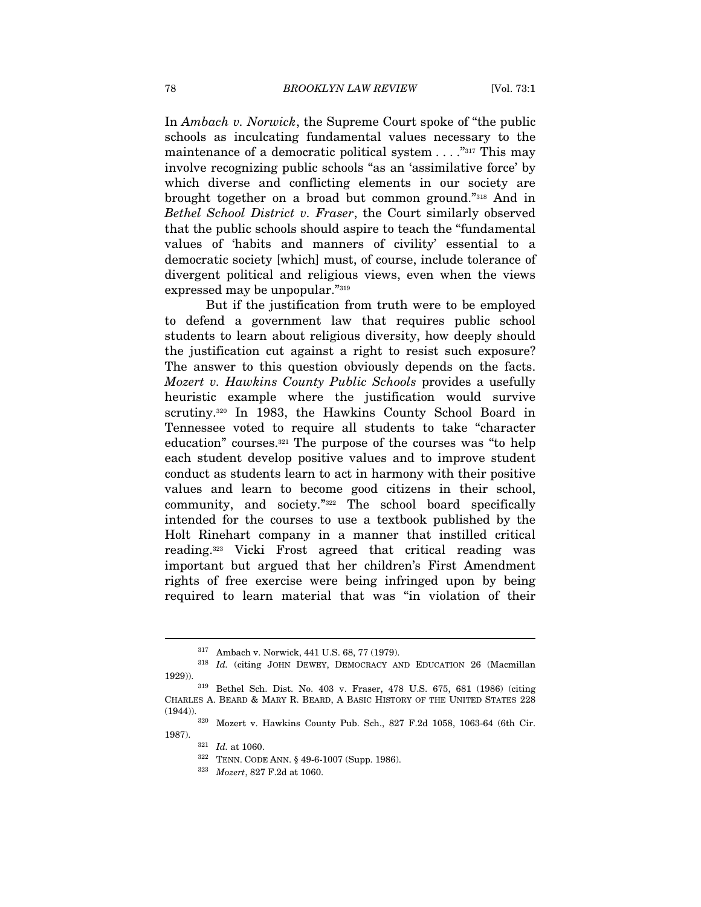In Ambach v. Norwick, the Supreme Court spoke of "the public schools as inculcating fundamental values necessary to the maintenance of a democratic political system . . . ."317 This may involve recognizing public schools "as an 'assimilative force' by which diverse and conflicting elements in our society are brought together on a broad but common ground."318 And in Bethel School District v. Fraser, the Court similarly observed that the public schools should aspire to teach the "fundamental values of 'habits and manners of civility' essential to a democratic society [which] must, of course, include tolerance of divergent political and religious views, even when the views expressed may be unpopular."319

But if the justification from truth were to be employed to defend a government law that requires public school students to learn about religious diversity, how deeply should the justification cut against a right to resist such exposure? The answer to this question obviously depends on the facts. Mozert v. Hawkins County Public Schools provides a usefully heuristic example where the justification would survive scrutiny.<sup>320</sup> In 1983, the Hawkins County School Board in Tennessee voted to require all students to take "character education" courses.321 The purpose of the courses was "to help each student develop positive values and to improve student conduct as students learn to act in harmony with their positive values and learn to become good citizens in their school, community, and society."322 The school board specifically intended for the courses to use a textbook published by the Holt Rinehart company in a manner that instilled critical reading.323 Vicki Frost agreed that critical reading was important but argued that her children's First Amendment rights of free exercise were being infringed upon by being required to learn material that was "in violation of their

<sup>&</sup>lt;sup>317</sup> Ambach v. Norwick, 441 U.S. 68, 77 (1979).<br><sup>318</sup> Id. (citing JOHN DEWEY, DEMOCRACY AND EDUCATION 26 (Macmillan 1929)). 319 Bethel Sch. Dist. No. 403 v. Fraser, 478 U.S. 675, 681 (1986) (citing

CHARLES A. BEARD & MARY R. BEARD, A BASIC HISTORY OF THE UNITED STATES  $228\,\,\rm (1944)).$ 

 $^{\rm 320}$  Mozert v. Hawkins County Pub. Sch., 827 F.2d 1058, 1063-64 (6th Cir. 1987).

<sup>&</sup>lt;sup>321</sup> Id. at 1060.<br><sup>322</sup> TENN. CODE ANN. § 49-6-1007 (Supp. 1986).<br><sup>323</sup> Mozert, 827 F.2d at 1060.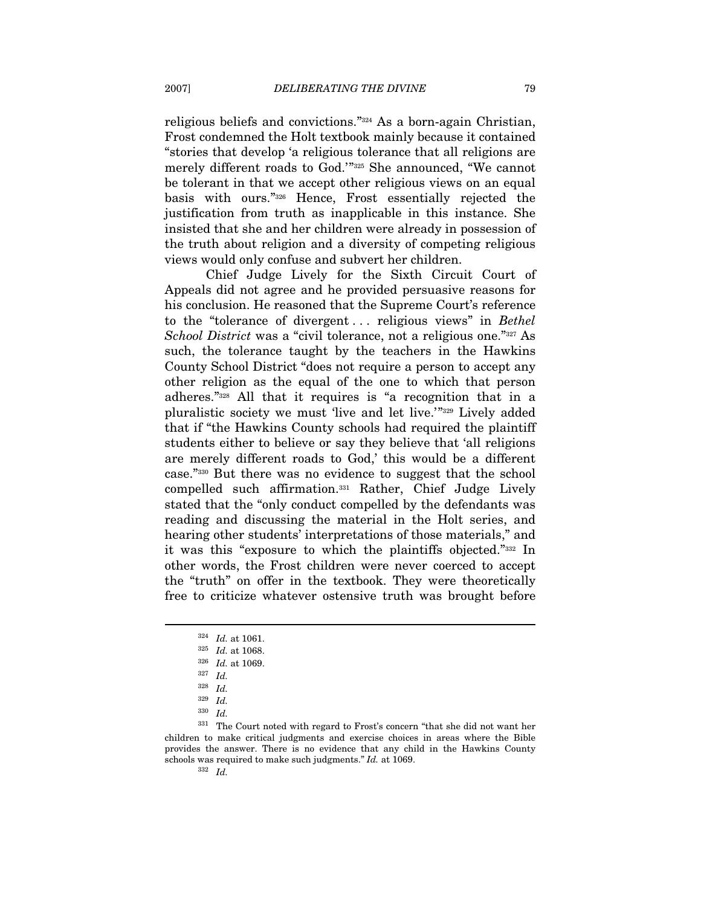religious beliefs and convictions."324 As a born-again Christian, Frost condemned the Holt textbook mainly because it contained "stories that develop 'a religious tolerance that all religions are merely different roads to God.'"325 She announced, "We cannot be tolerant in that we accept other religious views on an equal basis with ours."326 Hence, Frost essentially rejected the justification from truth as inapplicable in this instance. She insisted that she and her children were already in possession of the truth about religion and a diversity of competing religious views would only confuse and subvert her children.

Chief Judge Lively for the Sixth Circuit Court of Appeals did not agree and he provided persuasive reasons for his conclusion. He reasoned that the Supreme Court's reference to the "tolerance of divergent . . . religious views" in Bethel School District was a "civil tolerance, not a religious one."<sup>327</sup> As such, the tolerance taught by the teachers in the Hawkins County School District "does not require a person to accept any other religion as the equal of the one to which that person adheres."328 All that it requires is "a recognition that in a pluralistic society we must 'live and let live.'"329 Lively added that if "the Hawkins County schools had required the plaintiff students either to believe or say they believe that 'all religions are merely different roads to God,' this would be a different case."330 But there was no evidence to suggest that the school compelled such affirmation.331 Rather, Chief Judge Lively stated that the "only conduct compelled by the defendants was reading and discussing the material in the Holt series, and hearing other students' interpretations of those materials," and it was this "exposure to which the plaintiffs objected."332 In other words, the Frost children were never coerced to accept the "truth" on offer in the textbook. They were theoretically free to criticize whatever ostensive truth was brought before

 $\frac{324}{325}$  *Id.* at 1061.<br> $\frac{325}{1}$  *Id.* at 1068.

 $\frac{326}{327}$  *Id.* at 1069.<br> $\frac{327}{328}$  *Id.* 

 $\frac{328}{329}$  *Id.* Id.

<sup>330</sup> Id.

<sup>331</sup> The Court noted with regard to Frost's concern "that she did not want her children to make critical judgments and exercise choices in areas where the Bible provides the answer. There is no evidence that any child in the Hawkins County schools was required to make such judgments." Id. at 1069.<br> $\frac{332}{Id}$ .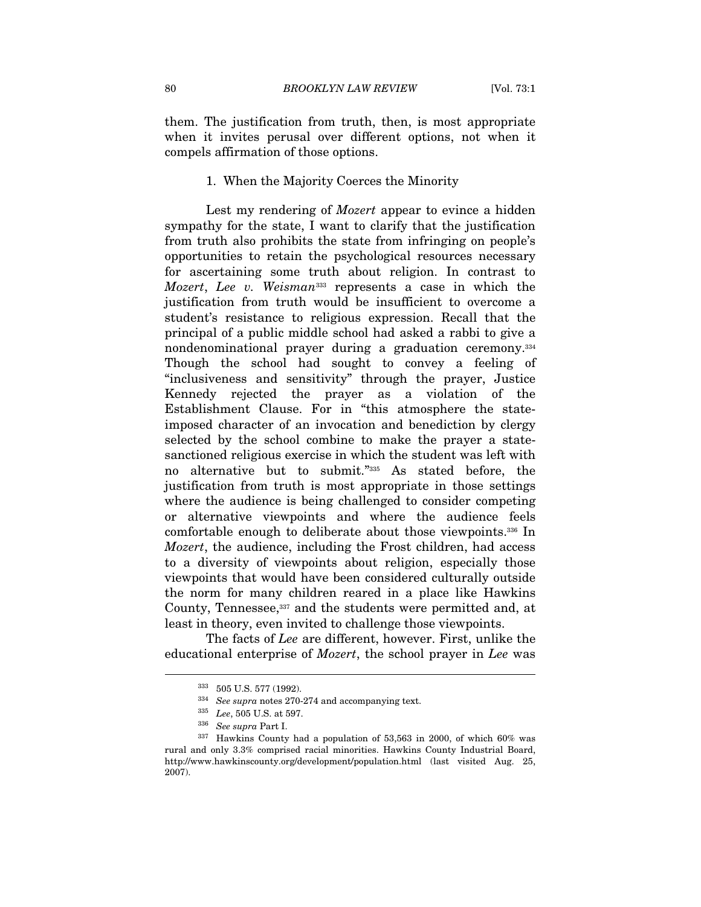them. The justification from truth, then, is most appropriate when it invites perusal over different options, not when it compels affirmation of those options.

### 1. When the Majority Coerces the Minority

Lest my rendering of *Mozert* appear to evince a hidden sympathy for the state, I want to clarify that the justification from truth also prohibits the state from infringing on people's opportunities to retain the psychological resources necessary for ascertaining some truth about religion. In contrast to *Mozert, Lee v.* Weisman<sup>333</sup> represents a case in which the justification from truth would be insufficient to overcome a student's resistance to religious expression. Recall that the principal of a public middle school had asked a rabbi to give a nondenominational prayer during a graduation ceremony.334 Though the school had sought to convey a feeling of "inclusiveness and sensitivity" through the prayer, Justice Kennedy rejected the prayer as a violation of the Establishment Clause. For in "this atmosphere the stateimposed character of an invocation and benediction by clergy selected by the school combine to make the prayer a statesanctioned religious exercise in which the student was left with no alternative but to submit."335 As stated before, the justification from truth is most appropriate in those settings where the audience is being challenged to consider competing or alternative viewpoints and where the audience feels comfortable enough to deliberate about those viewpoints.336 In Mozert, the audience, including the Frost children, had access to a diversity of viewpoints about religion, especially those viewpoints that would have been considered culturally outside the norm for many children reared in a place like Hawkins County, Tennessee,<sup>337</sup> and the students were permitted and, at least in theory, even invited to challenge those viewpoints.

The facts of Lee are different, however. First, unlike the educational enterprise of Mozert, the school prayer in Lee was

<sup>&</sup>lt;sup>333</sup> 505 U.S. 577 (1992).<br><sup>334</sup> See supra notes 270-274 and accompanying text.<br><sup>335</sup> Lee, 505 U.S. at 597.<br><sup>336</sup> See supra Part I.<br><sup>337</sup> Hawkins County had a population of 53,563 in 2000, of which 60% was rural and only 3.3% comprised racial minorities. Hawkins County Industrial Board, http://www.hawkinscounty.org/development/population.html (last visited Aug. 25, 2007).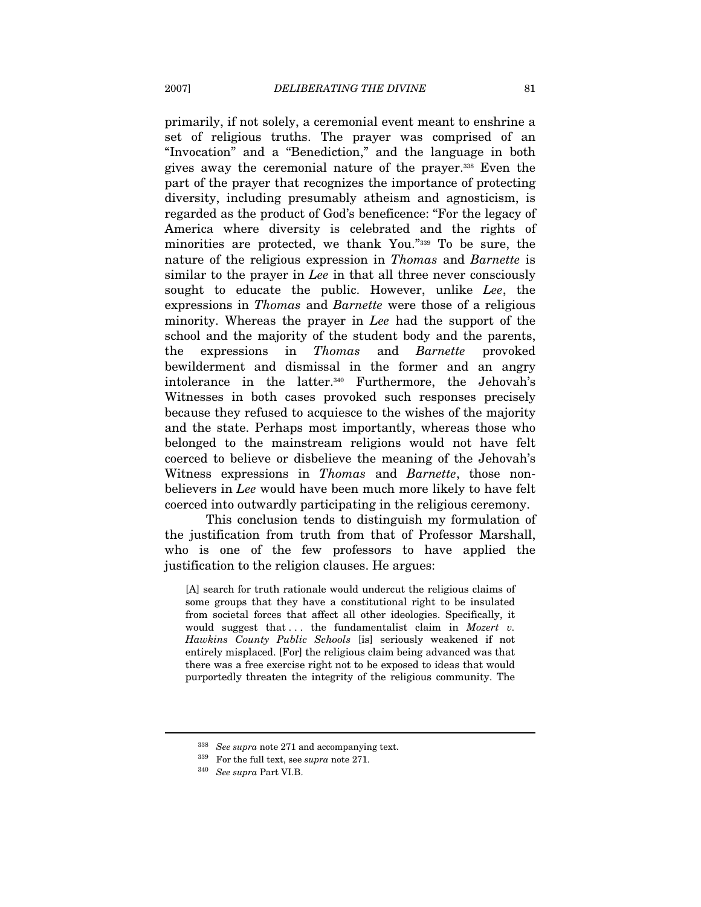primarily, if not solely, a ceremonial event meant to enshrine a set of religious truths. The prayer was comprised of an "Invocation" and a "Benediction," and the language in both gives away the ceremonial nature of the prayer.338 Even the part of the prayer that recognizes the importance of protecting diversity, including presumably atheism and agnosticism, is regarded as the product of God's beneficence: "For the legacy of America where diversity is celebrated and the rights of minorities are protected, we thank You."339 To be sure, the nature of the religious expression in Thomas and Barnette is similar to the prayer in Lee in that all three never consciously sought to educate the public. However, unlike Lee, the expressions in Thomas and Barnette were those of a religious minority. Whereas the prayer in Lee had the support of the school and the majority of the student body and the parents, the expressions in Thomas and Barnette provoked bewilderment and dismissal in the former and an angry intolerance in the latter.340 Furthermore, the Jehovah's Witnesses in both cases provoked such responses precisely because they refused to acquiesce to the wishes of the majority and the state. Perhaps most importantly, whereas those who belonged to the mainstream religions would not have felt coerced to believe or disbelieve the meaning of the Jehovah's Witness expressions in *Thomas* and *Barnette*, those nonbelievers in Lee would have been much more likely to have felt coerced into outwardly participating in the religious ceremony.

This conclusion tends to distinguish my formulation of the justification from truth from that of Professor Marshall, who is one of the few professors to have applied the justification to the religion clauses. He argues:

[A] search for truth rationale would undercut the religious claims of some groups that they have a constitutional right to be insulated from societal forces that affect all other ideologies. Specifically, it would suggest that ... the fundamentalist claim in Mozert  $v$ . Hawkins County Public Schools [is] seriously weakened if not entirely misplaced. [For] the religious claim being advanced was that there was a free exercise right not to be exposed to ideas that would purportedly threaten the integrity of the religious community. The

<sup>&</sup>lt;sup>338</sup> See supra note 271 and accompanying text.<br><sup>339</sup> For the full text, see *supra* note 271.<br><sup>340</sup> See supra Part VI.B.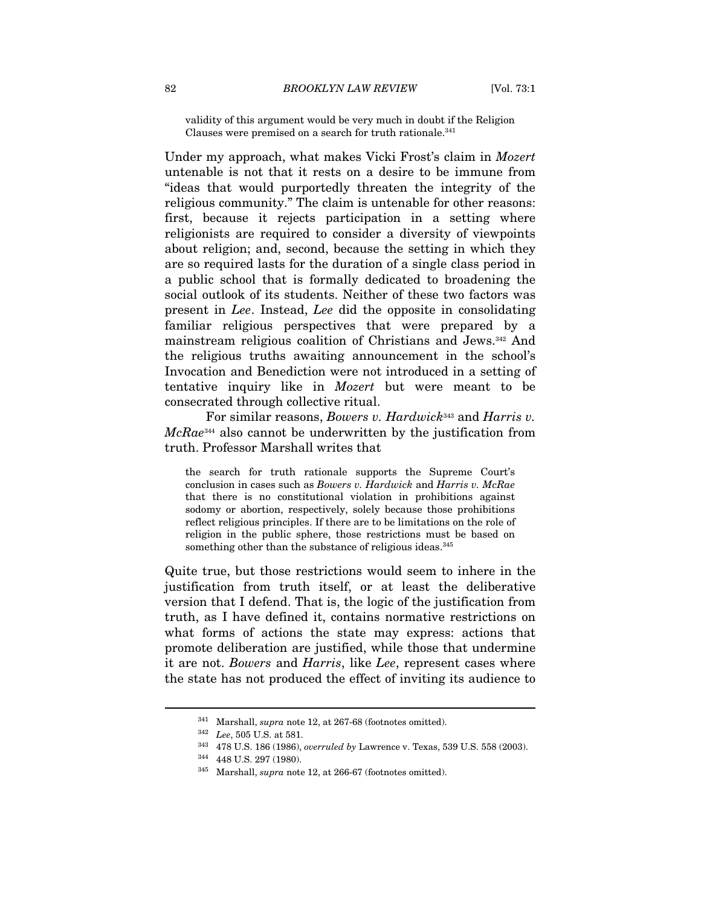validity of this argument would be very much in doubt if the Religion Clauses were premised on a search for truth rationale.<sup>341</sup>

Under my approach, what makes Vicki Frost's claim in Mozert untenable is not that it rests on a desire to be immune from "ideas that would purportedly threaten the integrity of the religious community." The claim is untenable for other reasons: first, because it rejects participation in a setting where religionists are required to consider a diversity of viewpoints about religion; and, second, because the setting in which they are so required lasts for the duration of a single class period in a public school that is formally dedicated to broadening the social outlook of its students. Neither of these two factors was present in Lee. Instead, Lee did the opposite in consolidating familiar religious perspectives that were prepared by a mainstream religious coalition of Christians and Jews.342 And the religious truths awaiting announcement in the school's Invocation and Benediction were not introduced in a setting of tentative inquiry like in Mozert but were meant to be consecrated through collective ritual.

For similar reasons, Bowers v. Hardwick<sup>343</sup> and Harris v.  $McRae<sup>344</sup>$  also cannot be underwritten by the justification from truth. Professor Marshall writes that

the search for truth rationale supports the Supreme Court's conclusion in cases such as Bowers v. Hardwick and Harris v. McRae that there is no constitutional violation in prohibitions against sodomy or abortion, respectively, solely because those prohibitions reflect religious principles. If there are to be limitations on the role of religion in the public sphere, those restrictions must be based on something other than the substance of religious ideas.<sup>345</sup>

Quite true, but those restrictions would seem to inhere in the justification from truth itself, or at least the deliberative version that I defend. That is, the logic of the justification from truth, as I have defined it, contains normative restrictions on what forms of actions the state may express: actions that promote deliberation are justified, while those that undermine it are not. Bowers and Harris, like Lee, represent cases where the state has not produced the effect of inviting its audience to

 $^{341}$  Marshall,  $supra$  note 12, at 267-68 (footnotes omitted).  $^{342}$   $\,$   $Lee,$  505 U.S. at 581.

<sup>&</sup>lt;sup>343</sup> 478 U.S. 186 (1986), overruled by Lawrence v. Texas, 539 U.S. 558 (2003).<br><sup>344</sup> 448 U.S. 297 (1980).<br><sup>345</sup> Marshall, *supra* note 12, at 266-67 (footnotes omitted).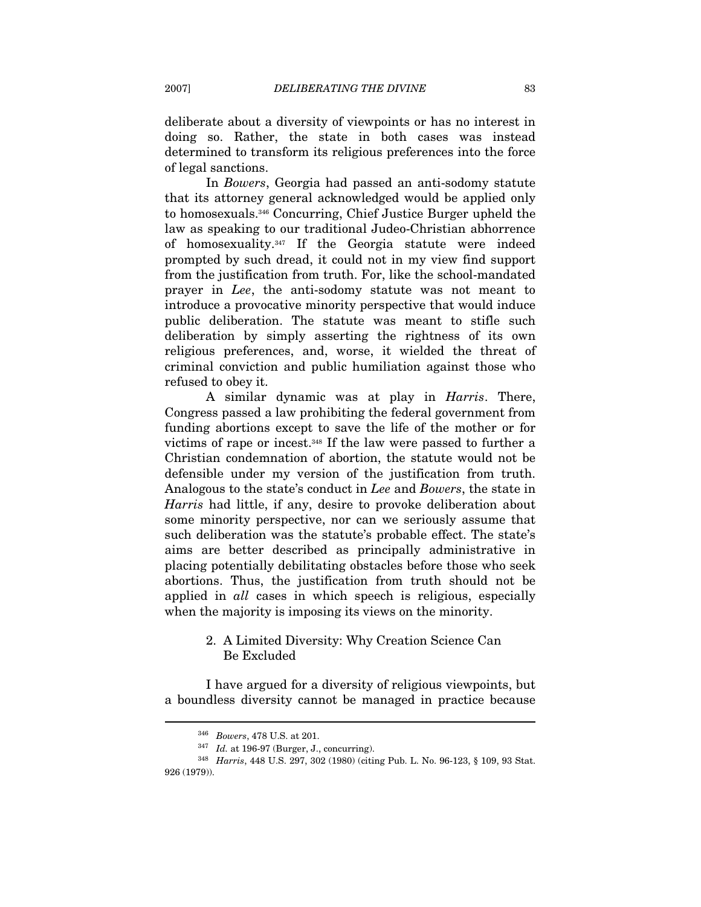deliberate about a diversity of viewpoints or has no interest in doing so. Rather, the state in both cases was instead determined to transform its religious preferences into the force of legal sanctions.

In Bowers, Georgia had passed an anti-sodomy statute that its attorney general acknowledged would be applied only to homosexuals.346 Concurring, Chief Justice Burger upheld the law as speaking to our traditional Judeo-Christian abhorrence of homosexuality.347 If the Georgia statute were indeed prompted by such dread, it could not in my view find support from the justification from truth. For, like the school-mandated prayer in Lee, the anti-sodomy statute was not meant to introduce a provocative minority perspective that would induce public deliberation. The statute was meant to stifle such deliberation by simply asserting the rightness of its own religious preferences, and, worse, it wielded the threat of criminal conviction and public humiliation against those who refused to obey it.

A similar dynamic was at play in Harris. There, Congress passed a law prohibiting the federal government from funding abortions except to save the life of the mother or for victims of rape or incest.348 If the law were passed to further a Christian condemnation of abortion, the statute would not be defensible under my version of the justification from truth. Analogous to the state's conduct in Lee and Bowers, the state in Harris had little, if any, desire to provoke deliberation about some minority perspective, nor can we seriously assume that such deliberation was the statute's probable effect. The state's aims are better described as principally administrative in placing potentially debilitating obstacles before those who seek abortions. Thus, the justification from truth should not be applied in all cases in which speech is religious, especially when the majority is imposing its views on the minority.

## 2. A Limited Diversity: Why Creation Science Can Be Excluded

I have argued for a diversity of religious viewpoints, but a boundless diversity cannot be managed in practice because

<sup>346</sup> Bowers, 478 U.S. at 201.<br><sup>347</sup> Id. at 196-97 (Burger, J., concurring).<br><sup>348</sup> Harris, 448 U.S. 297, 302 (1980) (citing Pub. L. No. 96-123, § 109, 93 Stat. 926 (1979)).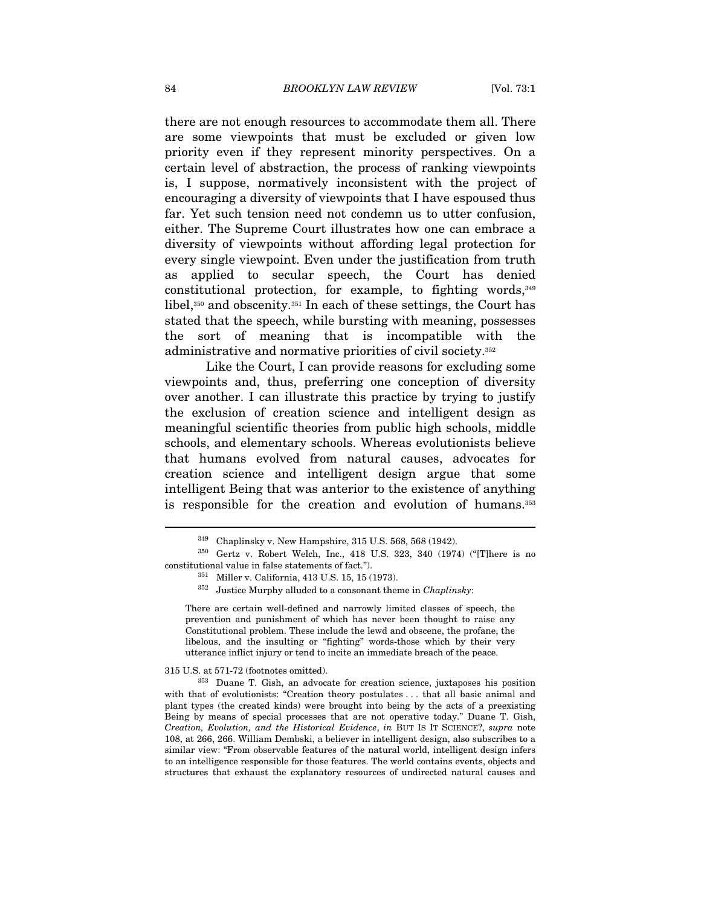there are not enough resources to accommodate them all. There are some viewpoints that must be excluded or given low priority even if they represent minority perspectives. On a certain level of abstraction, the process of ranking viewpoints is, I suppose, normatively inconsistent with the project of encouraging a diversity of viewpoints that I have espoused thus far. Yet such tension need not condemn us to utter confusion, either. The Supreme Court illustrates how one can embrace a diversity of viewpoints without affording legal protection for every single viewpoint. Even under the justification from truth as applied to secular speech, the Court has denied constitutional protection, for example, to fighting words, $349$ libel,<sup>350</sup> and obscenity.<sup>351</sup> In each of these settings, the Court has stated that the speech, while bursting with meaning, possesses the sort of meaning that is incompatible with the administrative and normative priorities of civil society.352

Like the Court, I can provide reasons for excluding some viewpoints and, thus, preferring one conception of diversity over another. I can illustrate this practice by trying to justify the exclusion of creation science and intelligent design as meaningful scientific theories from public high schools, middle schools, and elementary schools. Whereas evolutionists believe that humans evolved from natural causes, advocates for creation science and intelligent design argue that some intelligent Being that was anterior to the existence of anything is responsible for the creation and evolution of humans.<sup>353</sup>

There are certain well-defined and narrowly limited classes of speech, the prevention and punishment of which has never been thought to raise any Constitutional problem. These include the lewd and obscene, the profane, the libelous, and the insulting or "fighting" words-those which by their very utterance inflict injury or tend to incite an immediate breach of the peace.

#### 315 U.S. at 571-72 (footnotes omitted).

353 Duane T. Gish, an advocate for creation science, juxtaposes his position with that of evolutionists: "Creation theory postulates . . . that all basic animal and plant types (the created kinds) were brought into being by the acts of a preexisting Being by means of special processes that are not operative today." Duane T. Gish, Creation, Evolution, and the Historical Evidence, in BUT IS IT SCIENCE?, supra note 108, at 266, 266. William Dembski, a believer in intelligent design, also subscribes to a similar view: "From observable features of the natural world, intelligent design infers to an intelligence responsible for those features. The world contains events, objects and structures that exhaust the explanatory resources of undirected natural causes and

<sup>&</sup>lt;sup>349</sup> Chaplinsky v. New Hampshire, 315 U.S. 568, 568 (1942).<br><sup>350</sup> Gertz v. Robert Welch, Inc., 418 U.S. 323, 340 (1974) ("[T]here is no constitutional value in false statements of fact.").<br><sup>351</sup> Miller v. California, 413 U.S. 15, 15 (1973).<br><sup>352</sup> Justice Murphy alluded to a consonant theme in *Chaplinsky*: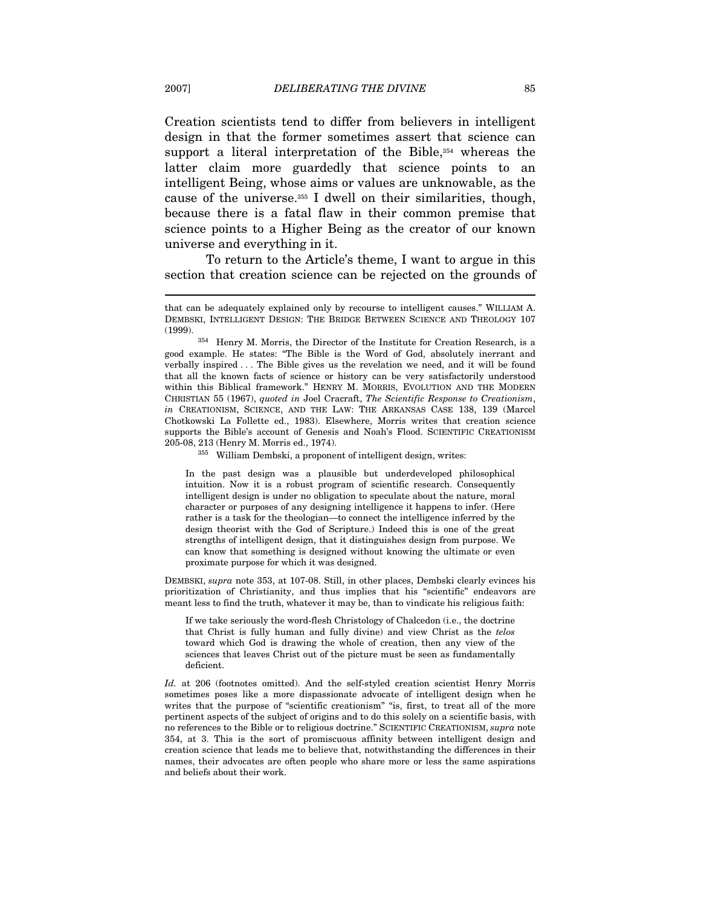Creation scientists tend to differ from believers in intelligent design in that the former sometimes assert that science can support a literal interpretation of the Bible, 354 whereas the latter claim more guardedly that science points to an intelligent Being, whose aims or values are unknowable, as the cause of the universe.355 I dwell on their similarities, though, because there is a fatal flaw in their common premise that science points to a Higher Being as the creator of our known universe and everything in it.

To return to the Article's theme, I want to argue in this section that creation science can be rejected on the grounds of

<sup>355</sup> William Dembski, a proponent of intelligent design, writes:

In the past design was a plausible but underdeveloped philosophical intuition. Now it is a robust program of scientific research. Consequently intelligent design is under no obligation to speculate about the nature, moral character or purposes of any designing intelligence it happens to infer. (Here rather is a task for the theologian—to connect the intelligence inferred by the design theorist with the God of Scripture.) Indeed this is one of the great strengths of intelligent design, that it distinguishes design from purpose. We can know that something is designed without knowing the ultimate or even proximate purpose for which it was designed.

DEMBSKI, supra note 353, at 107-08. Still, in other places, Dembski clearly evinces his prioritization of Christianity, and thus implies that his "scientific" endeavors are meant less to find the truth, whatever it may be, than to vindicate his religious faith:

If we take seriously the word-flesh Christology of Chalcedon (i.e., the doctrine that Christ is fully human and fully divine) and view Christ as the telos toward which God is drawing the whole of creation, then any view of the sciences that leaves Christ out of the picture must be seen as fundamentally deficient.

Id. at 206 (footnotes omitted). And the self-styled creation scientist Henry Morris sometimes poses like a more dispassionate advocate of intelligent design when he writes that the purpose of "scientific creationism" "is, first, to treat all of the more pertinent aspects of the subject of origins and to do this solely on a scientific basis, with no references to the Bible or to religious doctrine." SCIENTIFIC CREATIONISM, supra note 354, at 3. This is the sort of promiscuous affinity between intelligent design and creation science that leads me to believe that, notwithstanding the differences in their names, their advocates are often people who share more or less the same aspirations and beliefs about their work.

that can be adequately explained only by recourse to intelligent causes." WILLIAM A. DEMBSKI, INTELLIGENT DESIGN: THE BRIDGE BETWEEN SCIENCE AND THEOLOGY 107 (1999). 354 Henry M. Morris, the Director of the Institute for Creation Research, is a

good example. He states: "The Bible is the Word of God, absolutely inerrant and verbally inspired . . . The Bible gives us the revelation we need, and it will be found that all the known facts of science or history can be very satisfactorily understood within this Biblical framework." HENRY M. MORRIS, EVOLUTION AND THE MODERN CHRISTIAN 55 (1967), quoted in Joel Cracraft, The Scientific Response to Creationism, in CREATIONISM, SCIENCE, AND THE LAW: THE ARKANSAS CASE 138, 139 (Marcel Chotkowski La Follette ed., 1983). Elsewhere, Morris writes that creation science supports the Bible's account of Genesis and Noah's Flood. SCIENTIFIC CREATIONISM 205-08, 213 (Henry M. Morris ed., 1974).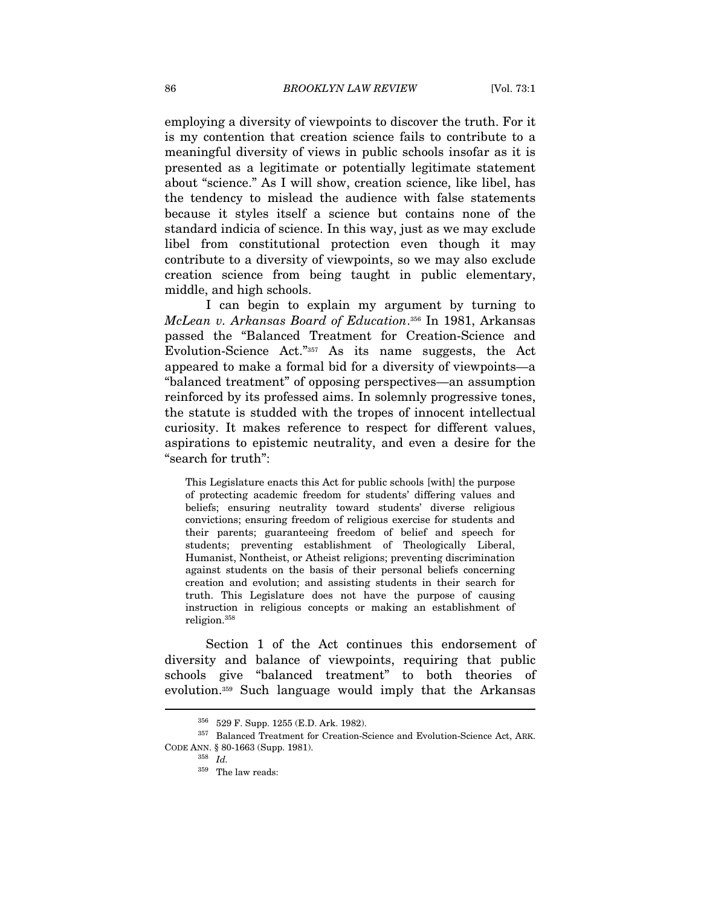employing a diversity of viewpoints to discover the truth. For it is my contention that creation science fails to contribute to a meaningful diversity of views in public schools insofar as it is presented as a legitimate or potentially legitimate statement about "science." As I will show, creation science, like libel, has the tendency to mislead the audience with false statements because it styles itself a science but contains none of the standard indicia of science. In this way, just as we may exclude libel from constitutional protection even though it may contribute to a diversity of viewpoints, so we may also exclude creation science from being taught in public elementary, middle, and high schools.

I can begin to explain my argument by turning to McLean v. Arkansas Board of Education.356 In 1981, Arkansas passed the "Balanced Treatment for Creation-Science and Evolution-Science Act."357 As its name suggests, the Act appeared to make a formal bid for a diversity of viewpoints—a "balanced treatment" of opposing perspectives—an assumption reinforced by its professed aims. In solemnly progressive tones, the statute is studded with the tropes of innocent intellectual curiosity. It makes reference to respect for different values, aspirations to epistemic neutrality, and even a desire for the "search for truth":

This Legislature enacts this Act for public schools [with] the purpose of protecting academic freedom for students' differing values and beliefs; ensuring neutrality toward students' diverse religious convictions; ensuring freedom of religious exercise for students and their parents; guaranteeing freedom of belief and speech for students; preventing establishment of Theologically Liberal, Humanist, Nontheist, or Atheist religions; preventing discrimination against students on the basis of their personal beliefs concerning creation and evolution; and assisting students in their search for truth. This Legislature does not have the purpose of causing instruction in religious concepts or making an establishment of religion.358

Section 1 of the Act continues this endorsement of diversity and balance of viewpoints, requiring that public schools give "balanced treatment" to both theories of evolution.359 Such language would imply that the Arkansas  $\overline{a}$ 

 $^{356}\,$  529 F. Supp. 1255 (E.D. Ark. 1982).  $^{357}\,$  Balanced Treatment for Creation-Science and Evolution-Science Act, ARK. CODE ANN. § 80-1663 (Supp. 1981).  $\frac{358}{Id}$ .

<sup>359</sup> The law reads: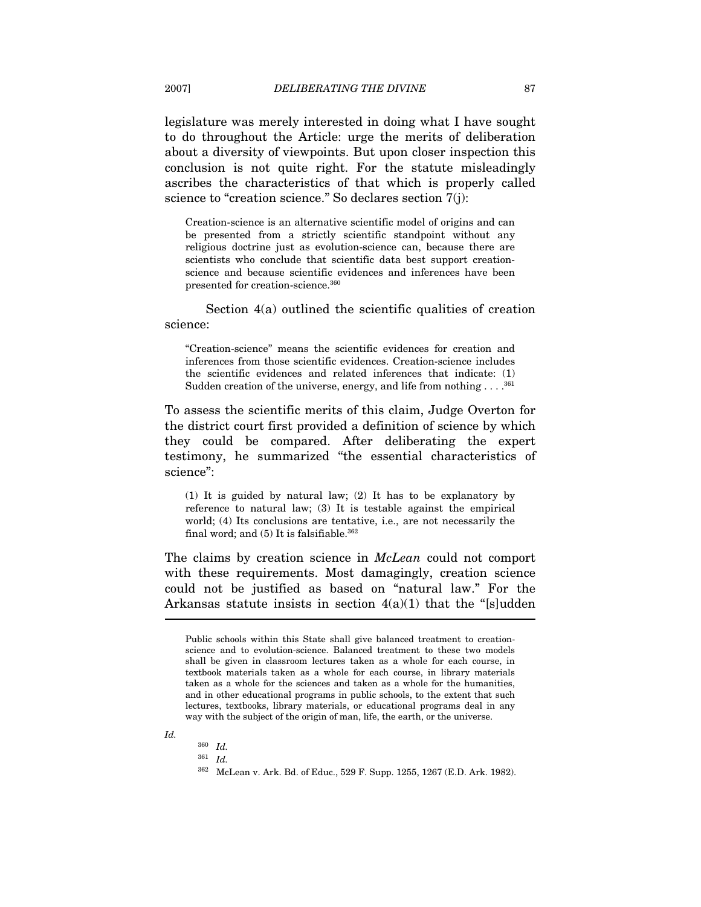legislature was merely interested in doing what I have sought to do throughout the Article: urge the merits of deliberation about a diversity of viewpoints. But upon closer inspection this conclusion is not quite right. For the statute misleadingly ascribes the characteristics of that which is properly called science to "creation science." So declares section 7(j):

Creation-science is an alternative scientific model of origins and can be presented from a strictly scientific standpoint without any religious doctrine just as evolution-science can, because there are scientists who conclude that scientific data best support creationscience and because scientific evidences and inferences have been presented for creation-science.360

Section 4(a) outlined the scientific qualities of creation science:

"Creation-science" means the scientific evidences for creation and inferences from those scientific evidences. Creation-science includes the scientific evidences and related inferences that indicate: (1) Sudden creation of the universe, energy, and life from nothing  $\dots$  .  $361$ 

To assess the scientific merits of this claim, Judge Overton for the district court first provided a definition of science by which they could be compared. After deliberating the expert testimony, he summarized "the essential characteristics of science":

(1) It is guided by natural law; (2) It has to be explanatory by reference to natural law; (3) It is testable against the empirical world; (4) Its conclusions are tentative, i.e., are not necessarily the final word; and  $(5)$  It is falsifiable.<sup>362</sup>

The claims by creation science in *McLean* could not comport with these requirements. Most damagingly, creation science could not be justified as based on "natural law." For the Arkansas statute insists in section  $4(a)(1)$  that the "[s]udden

Id.

 $\begin{array}{cc} 360 & Id. \\ 361 & Id. \end{array}$ 

Public schools within this State shall give balanced treatment to creationscience and to evolution-science. Balanced treatment to these two models shall be given in classroom lectures taken as a whole for each course, in textbook materials taken as a whole for each course, in library materials taken as a whole for the sciences and taken as a whole for the humanities, and in other educational programs in public schools, to the extent that such lectures, textbooks, library materials, or educational programs deal in any way with the subject of the origin of man, life, the earth, or the universe.

<sup>&</sup>lt;sup>362</sup> McLean v. Ark. Bd. of Educ., 529 F. Supp. 1255, 1267 (E.D. Ark. 1982).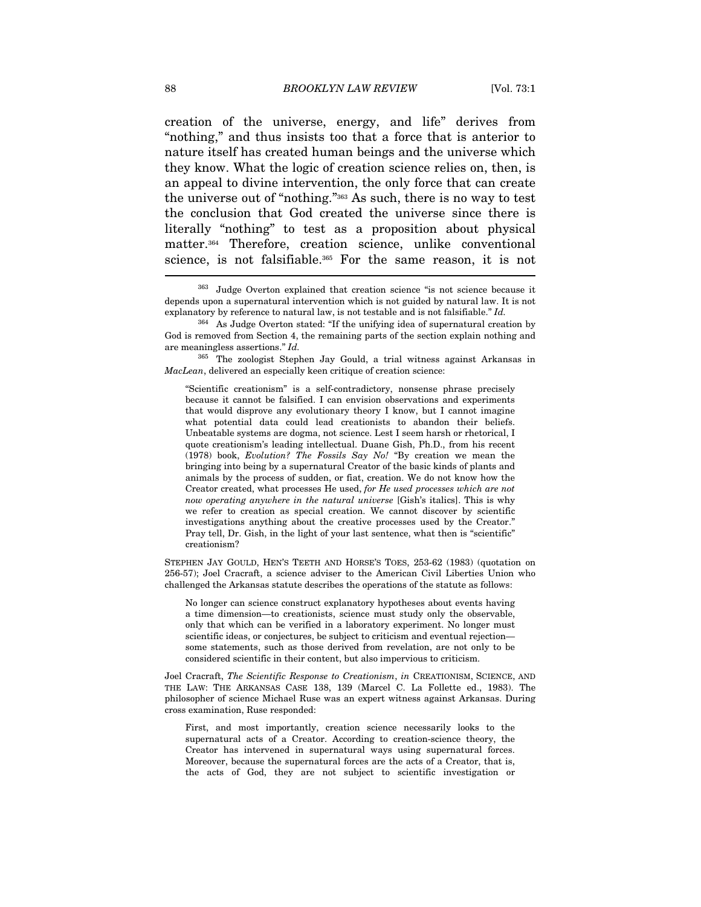creation of the universe, energy, and life" derives from "nothing," and thus insists too that a force that is anterior to nature itself has created human beings and the universe which they know. What the logic of creation science relies on, then, is an appeal to divine intervention, the only force that can create the universe out of "nothing."363 As such, there is no way to test the conclusion that God created the universe since there is literally "nothing" to test as a proposition about physical matter.364 Therefore, creation science, unlike conventional science, is not falsifiable.<sup>365</sup> For the same reason, it is not

365 The zoologist Stephen Jay Gould, a trial witness against Arkansas in MacLean, delivered an especially keen critique of creation science:

"Scientific creationism" is a self-contradictory, nonsense phrase precisely because it cannot be falsified. I can envision observations and experiments that would disprove any evolutionary theory I know, but I cannot imagine what potential data could lead creationists to abandon their beliefs. Unbeatable systems are dogma, not science. Lest I seem harsh or rhetorical, I quote creationism's leading intellectual. Duane Gish, Ph.D., from his recent (1978) book, Evolution? The Fossils Say No! "By creation we mean the bringing into being by a supernatural Creator of the basic kinds of plants and animals by the process of sudden, or fiat, creation. We do not know how the Creator created, what processes He used, for He used processes which are not now operating anywhere in the natural universe [Gish's italics]. This is why we refer to creation as special creation. We cannot discover by scientific investigations anything about the creative processes used by the Creator." Pray tell, Dr. Gish, in the light of your last sentence, what then is "scientific" creationism?

STEPHEN JAY GOULD, HEN'S TEETH AND HORSE'S TOES, 253-62 (1983) (quotation on 256-57); Joel Cracraft, a science adviser to the American Civil Liberties Union who challenged the Arkansas statute describes the operations of the statute as follows:

No longer can science construct explanatory hypotheses about events having a time dimension—to creationists, science must study only the observable, only that which can be verified in a laboratory experiment. No longer must scientific ideas, or conjectures, be subject to criticism and eventual rejection some statements, such as those derived from revelation, are not only to be considered scientific in their content, but also impervious to criticism.

Joel Cracraft, The Scientific Response to Creationism, in CREATIONISM, SCIENCE, AND THE LAW: THE ARKANSAS CASE 138, 139 (Marcel C. La Follette ed., 1983). The philosopher of science Michael Ruse was an expert witness against Arkansas. During cross examination, Ruse responded:

First, and most importantly, creation science necessarily looks to the supernatural acts of a Creator. According to creation-science theory, the Creator has intervened in supernatural ways using supernatural forces. Moreover, because the supernatural forces are the acts of a Creator, that is, the acts of God, they are not subject to scientific investigation or

<sup>363</sup> Judge Overton explained that creation science "is not science because it depends upon a supernatural intervention which is not guided by natural law. It is not explanatory by reference to natural law, is not testable and is not falsifiable." Id.

<sup>364</sup> As Judge Overton stated: "If the unifying idea of supernatural creation by God is removed from Section 4, the remaining parts of the section explain nothing and are meaningless assertions." Id.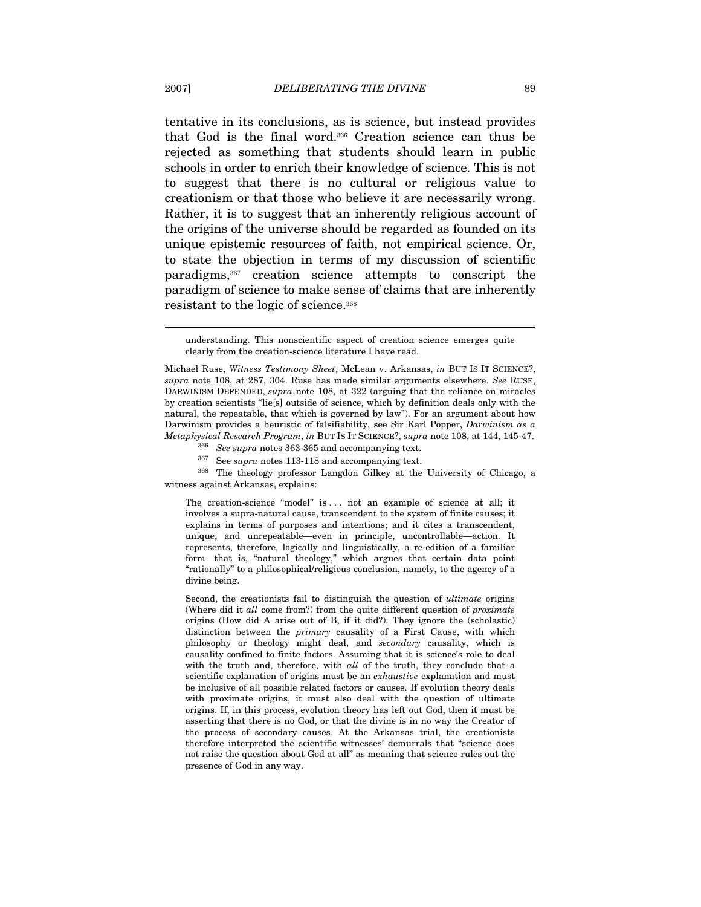tentative in its conclusions, as is science, but instead provides that God is the final word.366 Creation science can thus be rejected as something that students should learn in public schools in order to enrich their knowledge of science. This is not to suggest that there is no cultural or religious value to creationism or that those who believe it are necessarily wrong. Rather, it is to suggest that an inherently religious account of the origins of the universe should be regarded as founded on its unique epistemic resources of faith, not empirical science. Or, to state the objection in terms of my discussion of scientific paradigms,367 creation science attempts to conscript the paradigm of science to make sense of claims that are inherently resistant to the logic of science.368

witness against Arkansas, explains:

The creation-science "model" is ... not an example of science at all; it involves a supra-natural cause, transcendent to the system of finite causes; it explains in terms of purposes and intentions; and it cites a transcendent, unique, and unrepeatable—even in principle, uncontrollable—action. It represents, therefore, logically and linguistically, a re-edition of a familiar form—that is, "natural theology," which argues that certain data point "rationally" to a philosophical/religious conclusion, namely, to the agency of a divine being.

Second, the creationists fail to distinguish the question of ultimate origins (Where did it all come from?) from the quite different question of proximate origins (How did A arise out of B, if it did?). They ignore the (scholastic) distinction between the primary causality of a First Cause, with which philosophy or theology might deal, and secondary causality, which is causality confined to finite factors. Assuming that it is science's role to deal with the truth and, therefore, with all of the truth, they conclude that a scientific explanation of origins must be an *exhaustive* explanation and must be inclusive of all possible related factors or causes. If evolution theory deals with proximate origins, it must also deal with the question of ultimate origins. If, in this process, evolution theory has left out God, then it must be asserting that there is no God, or that the divine is in no way the Creator of the process of secondary causes. At the Arkansas trial, the creationists therefore interpreted the scientific witnesses' demurrals that "science does not raise the question about God at all" as meaning that science rules out the presence of God in any way.

understanding. This nonscientific aspect of creation science emerges quite clearly from the creation-science literature I have read.

Michael Ruse, Witness Testimony Sheet, McLean v. Arkansas, in BUT IS IT SCIENCE?, supra note 108, at 287, 304. Ruse has made similar arguments elsewhere. See RUSE, DARWINISM DEFENDED, supra note 108, at 322 (arguing that the reliance on miracles by creation scientists "lie[s] outside of science, which by definition deals only with the natural, the repeatable, that which is governed by law"). For an argument about how Darwinism provides a heuristic of falsifiability, see Sir Karl Popper, *Darwinism as a* Metaphysical Research Program, in BUT IS IT SCIENCE?, supra note 108, at 144, 145-47.<br><sup>366</sup> See supra notes 363-365 and accompanying text.<br><sup>367</sup> See supra notes 113-118 and accompanying text.<br><sup>367</sup> See supra notes 113-118